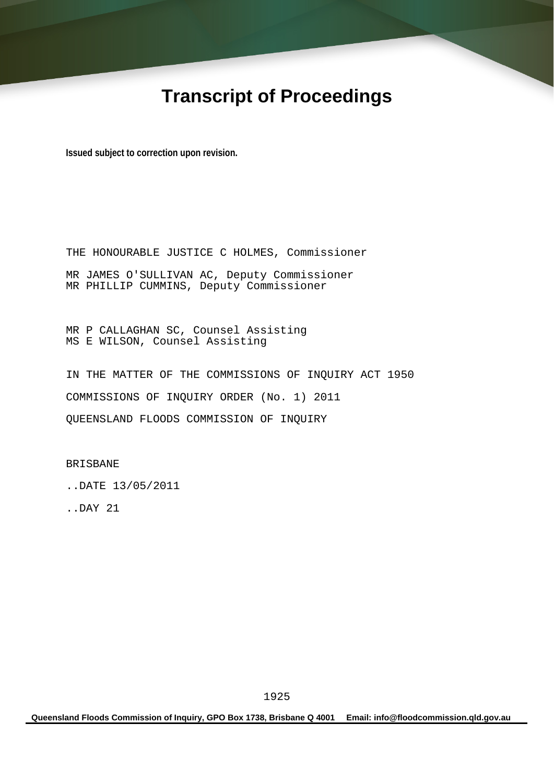# **Transcript of Proceedings**

**Issued subject to correction upon revision.** 

THE HONOURABLE JUSTICE C HOLMES, Commissioner MR JAMES O'SULLIVAN AC, Deputy Commissioner MR PHILLIP CUMMINS, Deputy Commissioner

MR P CALLAGHAN SC, Counsel Assisting MS E WILSON, Counsel Assisting

IN THE MATTER OF THE COMMISSIONS OF INQUIRY ACT 1950 COMMISSIONS OF INQUIRY ORDER (No. 1) 2011 QUEENSLAND FLOODS COMMISSION OF INQUIRY

BRISBANE

..DATE 13/05/2011

..DAY 21

**Queensland Floods Commission of Inquiry, GPO Box 1738, Brisbane Q 4001 Email: info@floodcommission.qld.gov.au**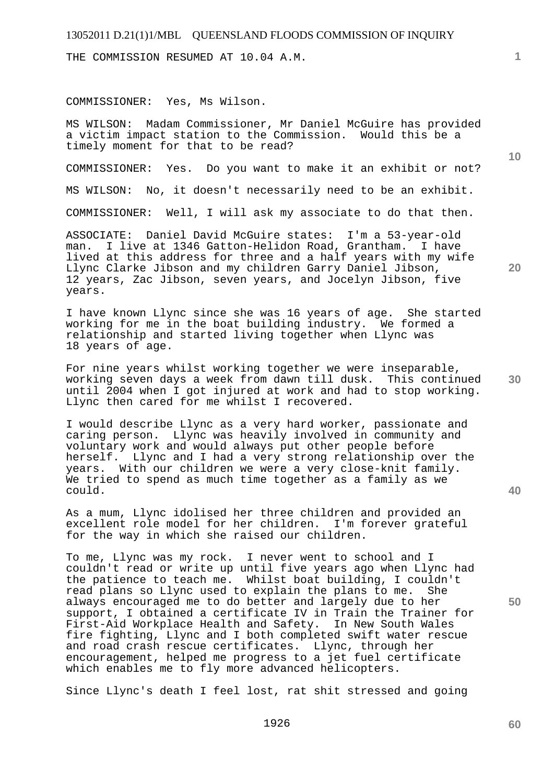THE COMMISSION RESUMED AT 10.04 A.M.

#### COMMISSIONER: Yes, Ms Wilson.

MS WILSON: Madam Commissioner, Mr Daniel McGuire has provided a victim impact station to the Commission. Would this be a timely moment for that to be read?

COMMISSIONER: Yes. Do you want to make it an exhibit or not?

MS WILSON: No, it doesn't necessarily need to be an exhibit.

COMMISSIONER: Well, I will ask my associate to do that then.

ASSOCIATE: Daniel David McGuire states: I'm a 53-year-old man. I live at 1346 Gatton-Helidon Road, Grantham. I have lived at this address for three and a half years with my wife Llync Clarke Jibson and my children Garry Daniel Jibson, 12 years, Zac Jibson, seven years, and Jocelyn Jibson, five years.

I have known Llync since she was 16 years of age. She started working for me in the boat building industry. We formed a relationship and started living together when Llync was 18 years of age.

For nine years whilst working together we were inseparable, working seven days a week from dawn till dusk. This continued until 2004 when I got injured at work and had to stop working. Llync then cared for me whilst I recovered.

I would describe Llync as a very hard worker, passionate and caring person. Llync was heavily involved in community and voluntary work and would always put other people before herself. Llync and I had a very strong relationship over the years. With our children we were a very close-knit family. We tried to spend as much time together as a family as we could.

As a mum, Llync idolised her three children and provided an excellent role model for her children. I'm forever grateful for the way in which she raised our children.

To me, Llync was my rock. I never went to school and I couldn't read or write up until five years ago when Llync had the patience to teach me. Whilst boat building, I couldn't read plans so Llync used to explain the plans to me. She always encouraged me to do better and largely due to her support, I obtained a certificate IV in Train the Trainer for First-Aid Workplace Health and Safety. In New South Wales fire fighting, Llync and I both completed swift water rescue and road crash rescue certificates. Llync, through her encouragement, helped me progress to a jet fuel certificate which enables me to fly more advanced helicopters.

Since Llync's death I feel lost, rat shit stressed and going

**1**

**10** 

**20** 

**40** 

**50**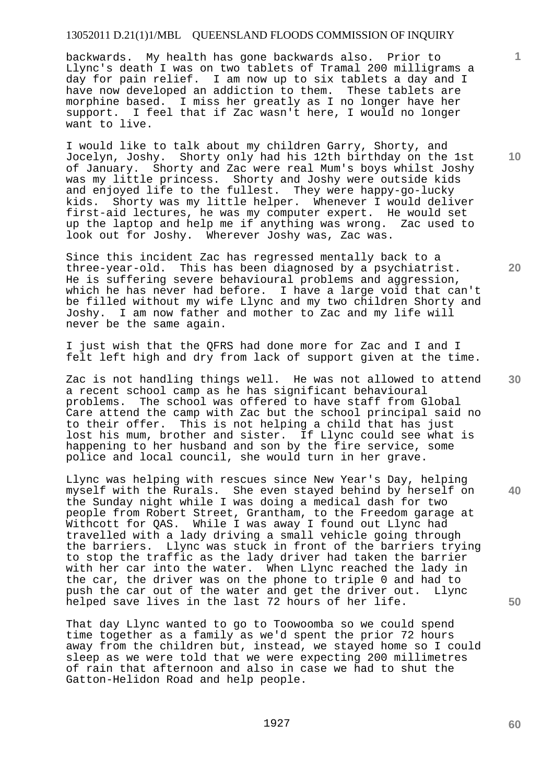backwards. My health has gone backwards also. Prior to Llync's death I was on two tablets of Tramal 200 milligrams a day for pain relief. I am now up to six tablets a day and I have now developed an addiction to them. These tablets are morphine based. I miss her greatly as I no longer have her support. I feel that if Zac wasn't here, I would no longer want to live.

I would like to talk about my children Garry, Shorty, and Jocelyn, Joshy. Shorty only had his 12th birthday on the 1st of January. Shorty and Zac were real Mum's boys whilst Joshy was my little princess. Shorty and Joshy were outside kids and enjoyed life to the fullest. They were happy-go-lucky kids. Shorty was my little helper. Whenever I would deliver first-aid lectures, he was my computer expert. He would set up the laptop and help me if anything was wrong. Zac used to look out for Joshy. Wherever Joshy was, Zac was.

Since this incident Zac has regressed mentally back to a three-year-old. This has been diagnosed by a psychiatrist. He is suffering severe behavioural problems and aggression, which he has never had before. I have a large void that can't be filled without my wife Llync and my two children Shorty and Joshy. I am now father and mother to Zac and my life will never be the same again.

I just wish that the QFRS had done more for Zac and I and I felt left high and dry from lack of support given at the time.

Zac is not handling things well. He was not allowed to attend a recent school camp as he has significant behavioural problems. The school was offered to have staff from Global Care attend the camp with Zac but the school principal said no to their offer. This is not helping a child that has just lost his mum, brother and sister. If Llync could see what is happening to her husband and son by the fire service, some police and local council, she would turn in her grave.

Llync was helping with rescues since New Year's Day, helping myself with the Rurals. She even stayed behind by herself on the Sunday night while I was doing a medical dash for two people from Robert Street, Grantham, to the Freedom garage at Withcott for QAS. While I was away I found out Llync had travelled with a lady driving a small vehicle going through the barriers. Llync was stuck in front of the barriers trying to stop the traffic as the lady driver had taken the barrier with her car into the water. When Llync reached the lady in the car, the driver was on the phone to triple 0 and had to push the car out of the water and get the driver out. Llync helped save lives in the last 72 hours of her life.

That day Llync wanted to go to Toowoomba so we could spend time together as a family as we'd spent the prior 72 hours away from the children but, instead, we stayed home so I could sleep as we were told that we were expecting 200 millimetres of rain that afternoon and also in case we had to shut the Gatton-Helidon Road and help people.

**10** 

**1**

**20** 

**50** 

**40**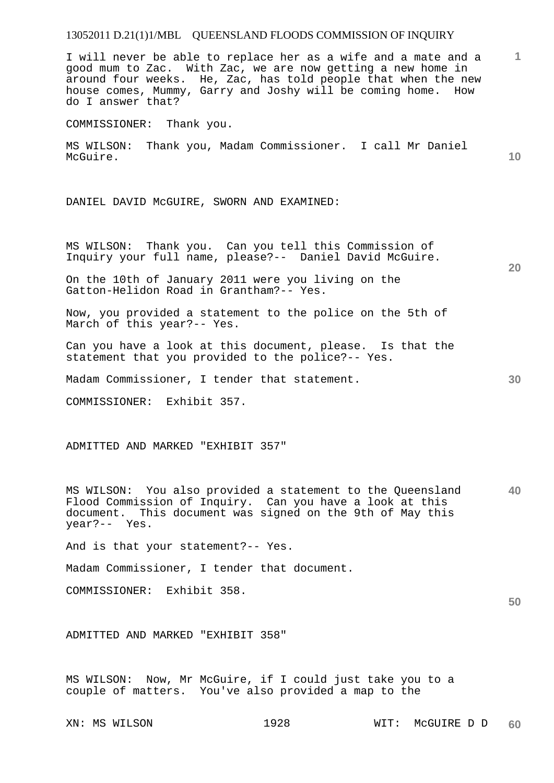**1 10 20 30**  I will never be able to replace her as a wife and a mate and a good mum to Zac. With Zac, we are now getting a new home in around four weeks. He, Zac, has told people that when the new house comes, Mummy, Garry and Joshy will be coming home. How do I answer that? COMMISSIONER: Thank you. MS WILSON: Thank you, Madam Commissioner. I call Mr Daniel McGuire. DANIEL DAVID McGUIRE, SWORN AND EXAMINED: MS WILSON: Thank you. Can you tell this Commission of Inquiry your full name, please?-- Daniel David McGuire. On the 10th of January 2011 were you living on the Gatton-Helidon Road in Grantham?-- Yes. Now, you provided a statement to the police on the 5th of March of this year?-- Yes. Can you have a look at this document, please. Is that the statement that you provided to the police?-- Yes. Madam Commissioner, I tender that statement. COMMISSIONER: Exhibit 357. ADMITTED AND MARKED "EXHIBIT 357"

**40**  MS WILSON: You also provided a statement to the Queensland Flood Commission of Inquiry. Can you have a look at this document. This document was signed on the 9th of May this year?-- Yes.

And is that your statement?-- Yes.

Madam Commissioner, I tender that document.

COMMISSIONER: Exhibit 358.

ADMITTED AND MARKED "EXHIBIT 358"

MS WILSON: Now, Mr McGuire, if I could just take you to a couple of matters. You've also provided a map to the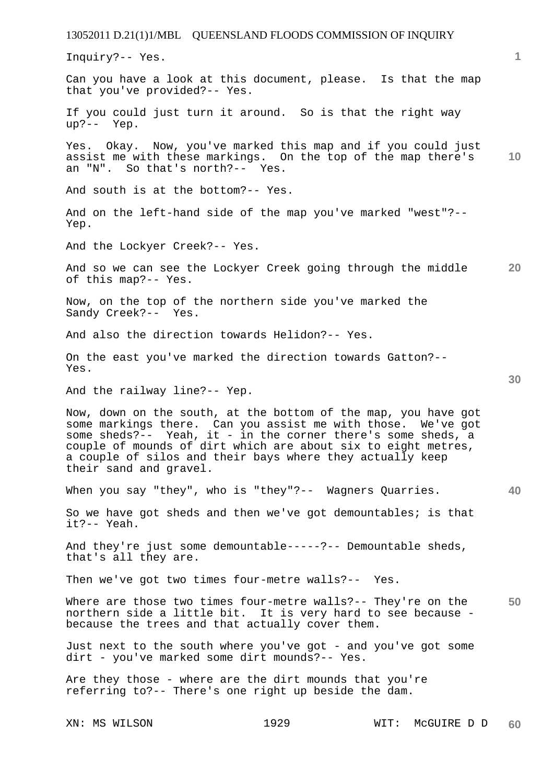13052011 D.21(1)1/MBL QUEENSLAND FLOODS COMMISSION OF INQUIRY XN: MS WILSON 1929 WIT: McGUIRE D D **1 10 20 30 40 50 60**  Inquiry?-- Yes. Can you have a look at this document, please. Is that the map that you've provided?-- Yes. If you could just turn it around. So is that the right way up?-- Yep. Yes. Okay. Now, you've marked this map and if you could just assist me with these markings. On the top of the map there's an "N". So that's north?-- Yes. And south is at the bottom?-- Yes. And on the left-hand side of the map you've marked "west"?-- Yep. And the Lockyer Creek?-- Yes. And so we can see the Lockyer Creek going through the middle of this map?-- Yes. Now, on the top of the northern side you've marked the Sandy Creek?-- Yes. And also the direction towards Helidon?-- Yes. On the east you've marked the direction towards Gatton?-- Yes. And the railway line?-- Yep. Now, down on the south, at the bottom of the map, you have got some markings there. Can you assist me with those. We've got some sheds?-- Yeah, it - in the corner there's some sheds, a couple of mounds of dirt which are about six to eight metres, a couple of silos and their bays where they actually keep their sand and gravel. When you say "they", who is "they"?-- Wagners Quarries. So we have got sheds and then we've got demountables; is that it?-- Yeah. And they're just some demountable-----?-- Demountable sheds, that's all they are. Then we've got two times four-metre walls?-- Yes. Where are those two times four-metre walls?-- They're on the northern side a little bit. It is very hard to see because because the trees and that actually cover them. Just next to the south where you've got - and you've got some dirt - you've marked some dirt mounds?-- Yes. Are they those - where are the dirt mounds that you're referring to?-- There's one right up beside the dam.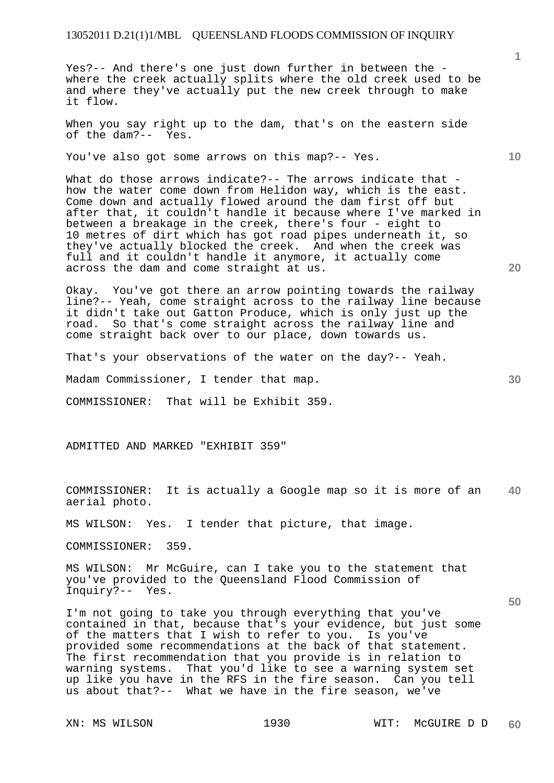Yes?-- And there's one just down further in between the where the creek actually splits where the old creek used to be and where they've actually put the new creek through to make it flow.

When you say right up to the dam, that's on the eastern side of the dam?-- Yes.

You've also got some arrows on this map?-- Yes.

What do those arrows indicate?-- The arrows indicate that how the water come down from Helidon way, which is the east. Come down and actually flowed around the dam first off but after that, it couldn't handle it because where I've marked in between a breakage in the creek, there's four - eight to 10 metres of dirt which has got road pipes underneath it, so they've actually blocked the creek. And when the creek was full and it couldn't handle it anymore, it actually come across the dam and come straight at us.

Okay. You've got there an arrow pointing towards the railway line?-- Yeah, come straight across to the railway line because it didn't take out Gatton Produce, which is only just up the road. So that's come straight across the railway line and come straight back over to our place, down towards us.

That's your observations of the water on the day?-- Yeah.

Madam Commissioner, I tender that map.

COMMISSIONER: That will be Exhibit 359.

ADMITTED AND MARKED "EXHIBIT 359"

**40**  COMMISSIONER: It is actually a Google map so it is more of an aerial photo.

MS WILSON: Yes. I tender that picture, that image.

COMMISSIONER: 359.

MS WILSON: Mr McGuire, can I take you to the statement that you've provided to the Queensland Flood Commission of Inquiry?-- Yes.

I'm not going to take you through everything that you've contained in that, because that's your evidence, but just some of the matters that I wish to refer to you. Is you've provided some recommendations at the back of that statement. The first recommendation that you provide is in relation to warning systems. That you'd like to see a warning system set up like you have in the RFS in the fire season. Can you tell us about that?-- What we have in the fire season, we've

**1**

**10** 

**20** 

**30**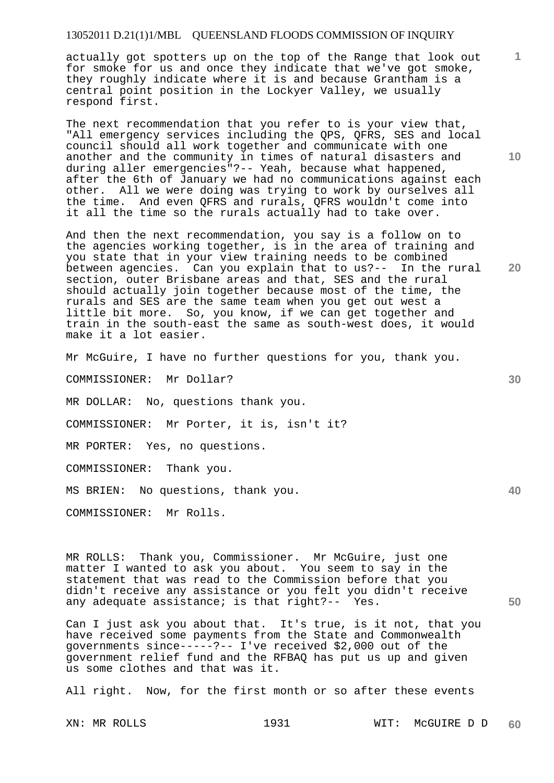actually got spotters up on the top of the Range that look out for smoke for us and once they indicate that we've got smoke, they roughly indicate where it is and because Grantham is a central point position in the Lockyer Valley, we usually respond first.

The next recommendation that you refer to is your view that, "All emergency services including the QPS, QFRS, SES and local council should all work together and communicate with one another and the community in times of natural disasters and during aller emergencies"?-- Yeah, because what happened, after the 6th of January we had no communications against each other. All we were doing was trying to work by ourselves all the time. And even QFRS and rurals, QFRS wouldn't come into it all the time so the rurals actually had to take over.

And then the next recommendation, you say is a follow on to the agencies working together, is in the area of training and you state that in your view training needs to be combined<br>between agencies. Can you explain that to us?-- In the rural between agencies. Can you explain that to us?-section, outer Brisbane areas and that, SES and the rural should actually join together because most of the time, the rurals and SES are the same team when you get out west a little bit more. So, you know, if we can get together and train in the south-east the same as south-west does, it would make it a lot easier.

Mr McGuire, I have no further questions for you, thank you.

COMMISSIONER: Mr Dollar?

MR DOLLAR: No, questions thank you.

COMMISSIONER: Mr Porter, it is, isn't it?

MR PORTER: Yes, no questions.

COMMISSIONER: Thank you.

MS BRIEN: No questions, thank you.

COMMISSIONER: Mr Rolls.

MR ROLLS: Thank you, Commissioner. Mr McGuire, just one matter I wanted to ask you about. You seem to say in the statement that was read to the Commission before that you didn't receive any assistance or you felt you didn't receive any adequate assistance; is that right?-- Yes.

Can I just ask you about that. It's true, is it not, that you have received some payments from the State and Commonwealth governments since-----?-- I've received \$2,000 out of the government relief fund and the RFBAQ has put us up and given us some clothes and that was it.

All right. Now, for the first month or so after these events

XN: MR ROLLS 1931 WIT: McGUIRE D D **60** 

**10** 

**1**

**20** 

**30** 

**40**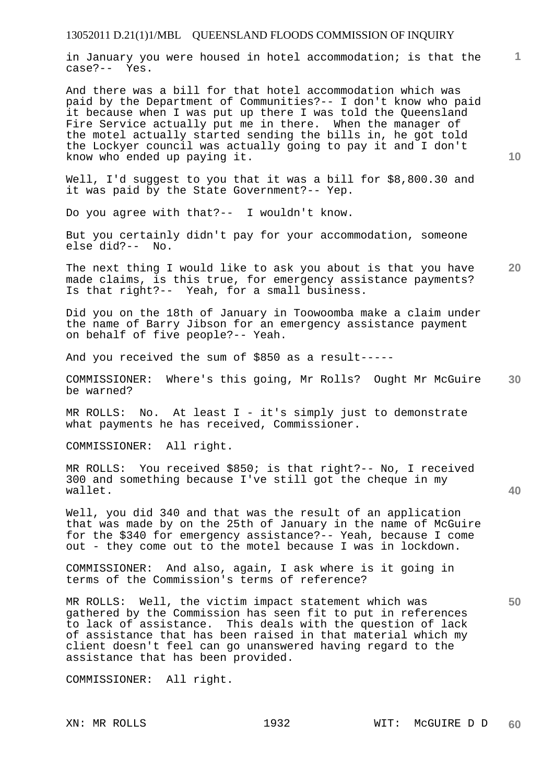in January you were housed in hotel accommodation; is that the case?-- Yes.

And there was a bill for that hotel accommodation which was paid by the Department of Communities?-- I don't know who paid it because when I was put up there I was told the Queensland Fire Service actually put me in there. When the manager of the motel actually started sending the bills in, he got told the Lockyer council was actually going to pay it and I don't know who ended up paying it.

Well, I'd suggest to you that it was a bill for \$8,800.30 and it was paid by the State Government?-- Yep.

Do you agree with that?-- I wouldn't know.

But you certainly didn't pay for your accommodation, someone else did?-- No.

**20**  The next thing I would like to ask you about is that you have made claims, is this true, for emergency assistance payments? Is that right?-- Yeah, for a small business.

Did you on the 18th of January in Toowoomba make a claim under the name of Barry Jibson for an emergency assistance payment on behalf of five people?-- Yeah.

And you received the sum of \$850 as a result-----

**30**  COMMISSIONER: Where's this going, Mr Rolls? Ought Mr McGuire be warned?

MR ROLLS: No. At least I - it's simply just to demonstrate what payments he has received, Commissioner.

COMMISSIONER: All right.

MR ROLLS: You received \$850; is that right?-- No, I received 300 and something because I've still got the cheque in my wallet.

Well, you did 340 and that was the result of an application that was made by on the 25th of January in the name of McGuire for the \$340 for emergency assistance?-- Yeah, because I come out - they come out to the motel because I was in lockdown.

COMMISSIONER: And also, again, I ask where is it going in terms of the Commission's terms of reference?

MR ROLLS: Well, the victim impact statement which was gathered by the Commission has seen fit to put in references to lack of assistance. This deals with the question of lack of assistance that has been raised in that material which my client doesn't feel can go unanswered having regard to the assistance that has been provided.

COMMISSIONER: All right.

**1**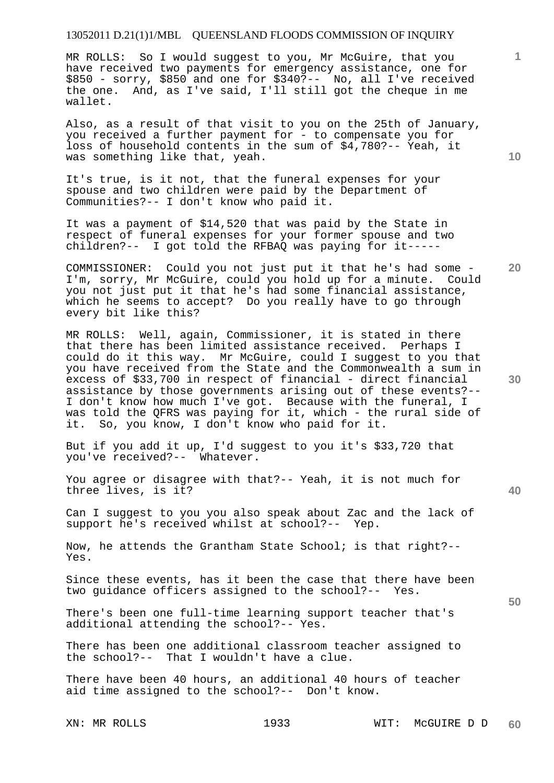MR ROLLS: So I would suggest to you, Mr McGuire, that you have received two payments for emergency assistance, one for \$850 - sorry, \$850 and one for \$340?-- No, all I've received the one. And, as I've said, I'll still got the cheque in me wallet.

Also, as a result of that visit to you on the 25th of January, you received a further payment for - to compensate you for loss of household contents in the sum of \$4,780?-- Yeah, it was something like that, yeah.

It's true, is it not, that the funeral expenses for your spouse and two children were paid by the Department of Communities?-- I don't know who paid it.

It was a payment of \$14,520 that was paid by the State in respect of funeral expenses for your former spouse and two children?-- I got told the RFBAQ was paying for it-----

COMMISSIONER: Could you not just put it that he's had some - I'm, sorry, Mr McGuire, could you hold up for a minute. Could you not just put it that he's had some financial assistance, which he seems to accept? Do you really have to go through every bit like this?

MR ROLLS: Well, again, Commissioner, it is stated in there that there has been limited assistance received. Perhaps I could do it this way. Mr McGuire, could I suggest to you that you have received from the State and the Commonwealth a sum in excess of \$33,700 in respect of financial - direct financial assistance by those governments arising out of these events?-- I don't know how much I've got. Because with the funeral, I was told the QFRS was paying for it, which - the rural side of it. So, you know, I don't know who paid for it.

But if you add it up, I'd suggest to you it's \$33,720 that you've received?-- Whatever.

You agree or disagree with that?-- Yeah, it is not much for three lives, is it?

Can I suggest to you you also speak about Zac and the lack of support he's received whilst at school?-- Yep.

Now, he attends the Grantham State School; is that right?-- Yes.

Since these events, has it been the case that there have been two guidance officers assigned to the school?-- Yes.

There's been one full-time learning support teacher that's additional attending the school?-- Yes.

There has been one additional classroom teacher assigned to the school?-- That I wouldn't have a clue.

There have been 40 hours, an additional 40 hours of teacher aid time assigned to the school?-- Don't know.

**10** 

**1**

**20** 

**30** 

**40**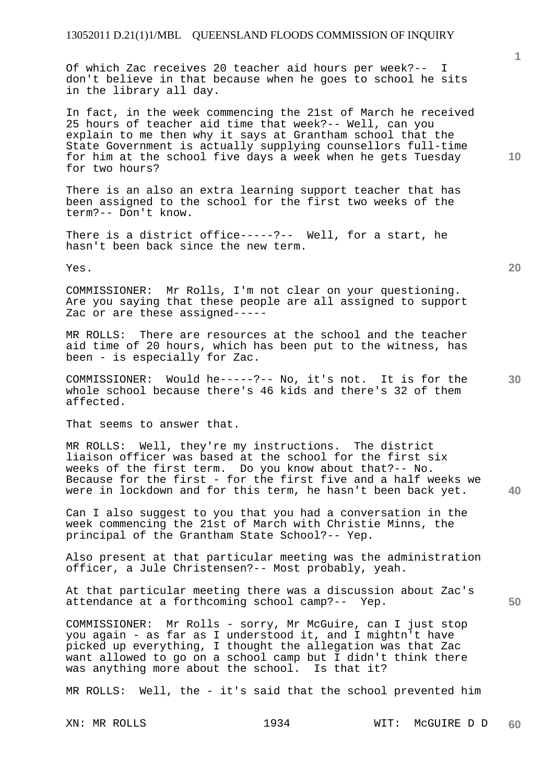Of which Zac receives 20 teacher aid hours per week?-- I don't believe in that because when he goes to school he sits in the library all day.

In fact, in the week commencing the 21st of March he received 25 hours of teacher aid time that week?-- Well, can you explain to me then why it says at Grantham school that the State Government is actually supplying counsellors full-time for him at the school five days a week when he gets Tuesday for two hours?

There is an also an extra learning support teacher that has been assigned to the school for the first two weeks of the term?-- Don't know.

There is a district office-----?-- Well, for a start, he hasn't been back since the new term.

Yes.

COMMISSIONER: Mr Rolls, I'm not clear on your questioning. Are you saying that these people are all assigned to support Zac or are these assigned-----

MR ROLLS: There are resources at the school and the teacher aid time of 20 hours, which has been put to the witness, has been - is especially for Zac.

COMMISSIONER: Would he-----?-- No, it's not. It is for the whole school because there's 46 kids and there's 32 of them affected.

That seems to answer that.

MR ROLLS: Well, they're my instructions. The district liaison officer was based at the school for the first six weeks of the first term. Do you know about that?-- No. Because for the first - for the first five and a half weeks we were in lockdown and for this term, he hasn't been back yet.

Can I also suggest to you that you had a conversation in the week commencing the 21st of March with Christie Minns, the principal of the Grantham State School?-- Yep.

Also present at that particular meeting was the administration officer, a Jule Christensen?-- Most probably, yeah.

At that particular meeting there was a discussion about Zac's attendance at a forthcoming school camp?-- Yep.

COMMISSIONER: Mr Rolls - sorry, Mr McGuire, can I just stop you again - as far as I understood it, and I mightn't have picked up everything, I thought the allegation was that Zac want allowed to go on a school camp but I didn't think there was anything more about the school. Is that it?

MR ROLLS: Well, the - it's said that the school prevented him

**1**

**10** 

**20** 

**40**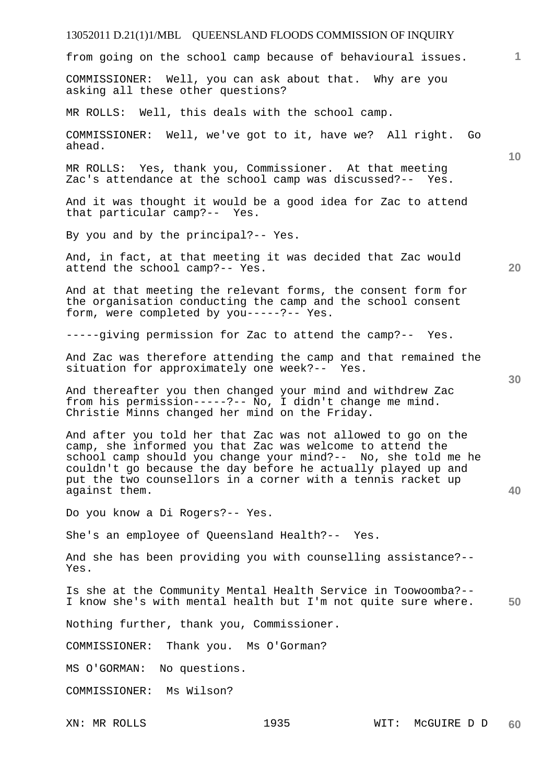# 13052011 D.21(1)1/MBL QUEENSLAND FLOODS COMMISSION OF INQUIRY **1 10 20 30 40 50**  from going on the school camp because of behavioural issues. COMMISSIONER: Well, you can ask about that. Why are you asking all these other questions? MR ROLLS: Well, this deals with the school camp. COMMISSIONER: Well, we've got to it, have we? All right. Go ahead. MR ROLLS: Yes, thank you, Commissioner. At that meeting Zac's attendance at the school camp was discussed?-- Yes. And it was thought it would be a good idea for Zac to attend that particular camp?-- Yes. By you and by the principal?-- Yes. And, in fact, at that meeting it was decided that Zac would attend the school camp?-- Yes. And at that meeting the relevant forms, the consent form for the organisation conducting the camp and the school consent form, were completed by you-----?-- Yes. -----giving permission for Zac to attend the camp?-- Yes. And Zac was therefore attending the camp and that remained the situation for approximately one week?-- Yes. And thereafter you then changed your mind and withdrew Zac from his permission-----?-- No, I didn't change me mind. Christie Minns changed her mind on the Friday. And after you told her that Zac was not allowed to go on the camp, she informed you that Zac was welcome to attend the school camp should you change your mind?-- No, she told me he couldn't go because the day before he actually played up and put the two counsellors in a corner with a tennis racket up against them. Do you know a Di Rogers?-- Yes. She's an employee of Queensland Health?-- Yes. And she has been providing you with counselling assistance?-- Yes. Is she at the Community Mental Health Service in Toowoomba?-- I know she's with mental health but I'm not quite sure where. Nothing further, thank you, Commissioner. COMMISSIONER: Thank you. Ms O'Gorman? MS O'GORMAN: No questions. COMMISSIONER: Ms Wilson?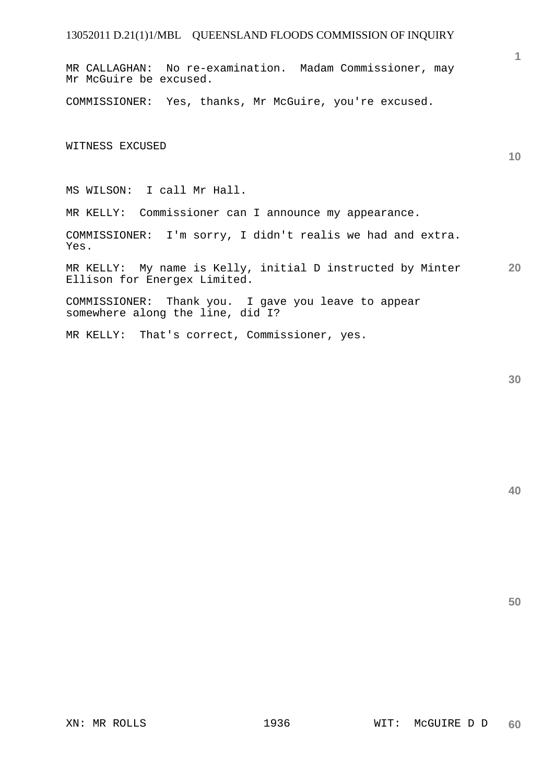MR CALLAGHAN: No re-examination. Madam Commissioner, may Mr McGuire be excused.

COMMISSIONER: Yes, thanks, Mr McGuire, you're excused.

WITNESS EXCUSED

MS WILSON: I call Mr Hall.

MR KELLY: Commissioner can I announce my appearance.

COMMISSIONER: I'm sorry, I didn't realis we had and extra. Yes.

**20**  MR KELLY: My name is Kelly, initial D instructed by Minter Ellison for Energex Limited.

COMMISSIONER: Thank you. I gave you leave to appear somewhere along the line, did I?

MR KELLY: That's correct, Commissioner, yes.

**30** 

**40** 

**50** 

**1**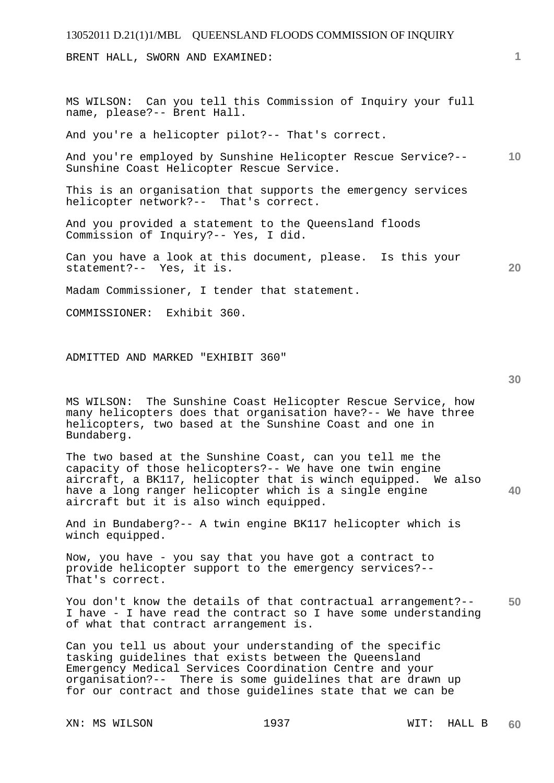BRENT HALL, SWORN AND EXAMINED:

MS WILSON: Can you tell this Commission of Inquiry your full name, please?-- Brent Hall.

And you're a helicopter pilot?-- That's correct.

**10**  And you're employed by Sunshine Helicopter Rescue Service?-- Sunshine Coast Helicopter Rescue Service.

This is an organisation that supports the emergency services helicopter network?-- That's correct.

And you provided a statement to the Queensland floods Commission of Inquiry?-- Yes, I did.

Can you have a look at this document, please. Is this your statement?-- Yes, it is.

Madam Commissioner, I tender that statement.

COMMISSIONER: Exhibit 360.

ADMITTED AND MARKED "EXHIBIT 360"

**30** 

**20** 

**1**

MS WILSON: The Sunshine Coast Helicopter Rescue Service, how many helicopters does that organisation have?-- We have three helicopters, two based at the Sunshine Coast and one in Bundaberg.

**40**  The two based at the Sunshine Coast, can you tell me the capacity of those helicopters?-- We have one twin engine aircraft, a BK117, helicopter that is winch equipped. We also have a long ranger helicopter which is a single engine aircraft but it is also winch equipped.

And in Bundaberg?-- A twin engine BK117 helicopter which is winch equipped.

Now, you have - you say that you have got a contract to provide helicopter support to the emergency services?-- That's correct.

**50**  You don't know the details of that contractual arrangement?--I have - I have read the contract so I have some understanding of what that contract arrangement is.

Can you tell us about your understanding of the specific tasking guidelines that exists between the Queensland Emergency Medical Services Coordination Centre and your organisation?-- There is some guidelines that are drawn up for our contract and those guidelines state that we can be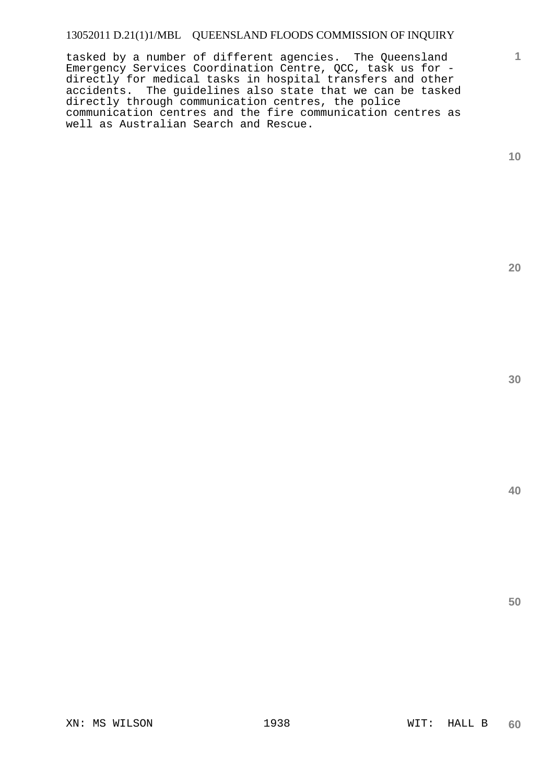tasked by a number of different agencies. The Queensland Emergency Services Coordination Centre, QCC, task us for directly for medical tasks in hospital transfers and other accidents. The guidelines also state that we can be tasked directly through communication centres, the police communication centres and the fire communication centres as well as Australian Search and Rescue.

**10** 

**1**

**20** 

**30** 

**40**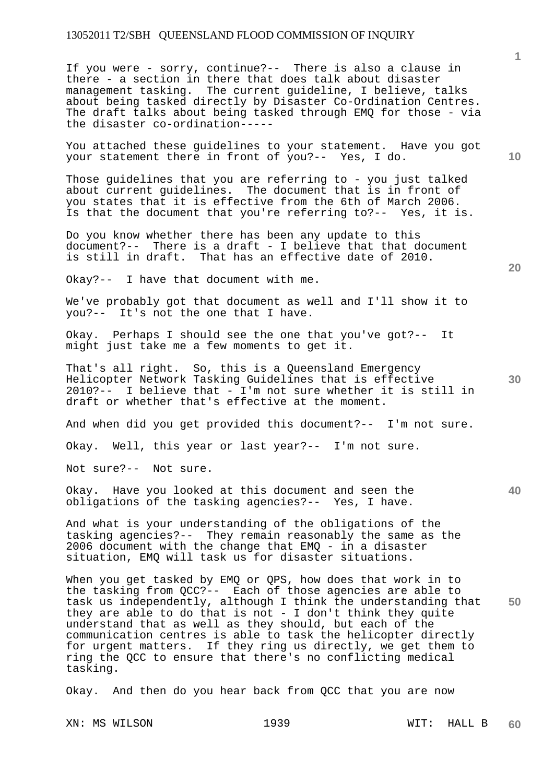If you were - sorry, continue?-- There is also a clause in there - a section in there that does talk about disaster management tasking. The current guideline, I believe, talks about being tasked directly by Disaster Co-Ordination Centres. The draft talks about being tasked through EMQ for those - via the disaster co-ordination-----

You attached these guidelines to your statement. Have you got your statement there in front of you?-- Yes, I do.

Those guidelines that you are referring to - you just talked about current guidelines. The document that is in front of you states that it is effective from the 6th of March 2006. Is that the document that you're referring to?-- Yes, it is.

Do you know whether there has been any update to this document?-- There is a draft - I believe that that document is still in draft. That has an effective date of 2010.

Okay?-- I have that document with me.

We've probably got that document as well and I'll show it to you?-- It's not the one that I have.

Okay. Perhaps I should see the one that you've got?-- It might just take me a few moments to get it.

**30**  That's all right. So, this is a Queensland Emergency Helicopter Network Tasking Guidelines that is effective 2010?-- I believe that - I'm not sure whether it is still in draft or whether that's effective at the moment.

And when did you get provided this document?-- I'm not sure.

Okay. Well, this year or last year?-- I'm not sure.

Not sure?-- Not sure.

Okay. Have you looked at this document and seen the obligations of the tasking agencies?-- Yes, I have.

And what is your understanding of the obligations of the tasking agencies?-- They remain reasonably the same as the 2006 document with the change that EMQ - in a disaster situation, EMQ will task us for disaster situations.

**50**  When you get tasked by EMQ or QPS, how does that work in to the tasking from QCC?-- Each of those agencies are able to task us independently, although I think the understanding that they are able to do that is not - I don't think they quite understand that as well as they should, but each of the communication centres is able to task the helicopter directly for urgent matters. If they ring us directly, we get them to ring the QCC to ensure that there's no conflicting medical tasking.

Okay. And then do you hear back from QCC that you are now

XN: MS WILSON 1939 WIT: HALL B **60** 

**40** 

**20** 

**1**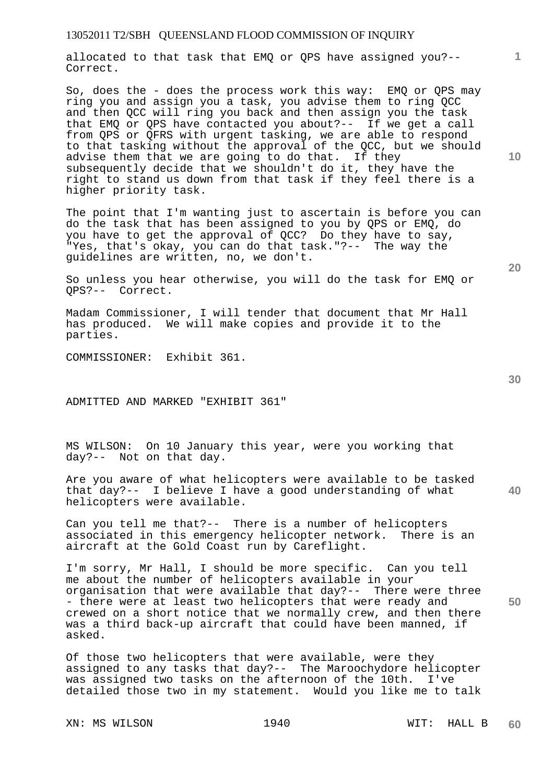allocated to that task that EMQ or QPS have assigned you?-- Correct.

So, does the - does the process work this way: EMQ or QPS may ring you and assign you a task, you advise them to ring QCC and then QCC will ring you back and then assign you the task that EMQ or QPS have contacted you about?-- If we get a call from QPS or QFRS with urgent tasking, we are able to respond to that tasking without the approval of the QCC, but we should advise them that we are going to do that. If they subsequently decide that we shouldn't do it, they have the right to stand us down from that task if they feel there is a higher priority task.

The point that I'm wanting just to ascertain is before you can do the task that has been assigned to you by QPS or EMQ, do you have to get the approval of QCC? Do they have to say, "Yes, that's okay, you can do that task."?-- The way the guidelines are written, no, we don't.

So unless you hear otherwise, you will do the task for EMQ or QPS?-- Correct.

Madam Commissioner, I will tender that document that Mr Hall has produced. We will make copies and provide it to the parties.

COMMISSIONER: Exhibit 361.

ADMITTED AND MARKED "EXHIBIT 361"

MS WILSON: On 10 January this year, were you working that day?-- Not on that day.

Are you aware of what helicopters were available to be tasked that day?-- I believe I have a good understanding of what helicopters were available.

Can you tell me that?-- There is a number of helicopters associated in this emergency helicopter network. There is an aircraft at the Gold Coast run by Careflight.

I'm sorry, Mr Hall, I should be more specific. Can you tell me about the number of helicopters available in your organisation that were available that day?-- There were three - there were at least two helicopters that were ready and crewed on a short notice that we normally crew, and then there was a third back-up aircraft that could have been manned, if asked.

Of those two helicopters that were available, were they assigned to any tasks that day?-- The Maroochydore helicopter was assigned two tasks on the afternoon of the 10th. I've detailed those two in my statement. Would you like me to talk

XN: MS WILSON 1940 WIT: HALL B

**10** 

**1**

**30** 

**20** 

**40**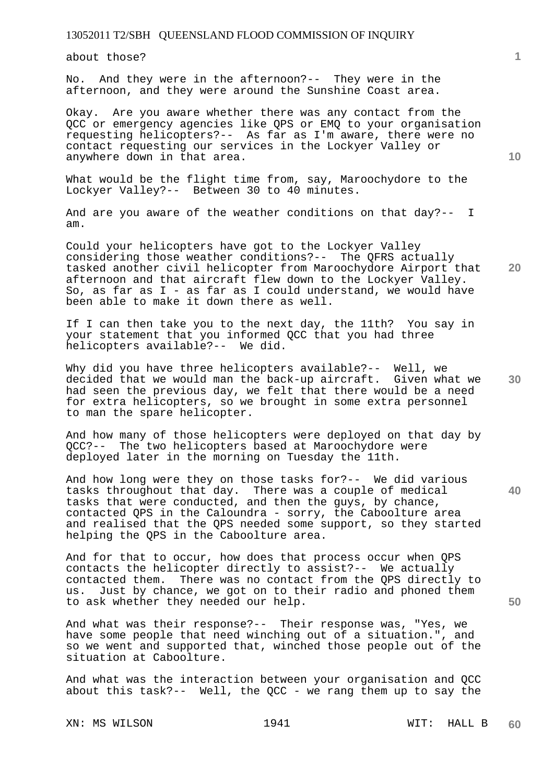about those?

No. And they were in the afternoon?-- They were in the afternoon, and they were around the Sunshine Coast area.

Okay. Are you aware whether there was any contact from the QCC or emergency agencies like QPS or EMQ to your organisation requesting helicopters?-- As far as I'm aware, there were no contact requesting our services in the Lockyer Valley or anywhere down in that area.

What would be the flight time from, say, Maroochydore to the Lockyer Valley?-- Between 30 to 40 minutes.

And are you aware of the weather conditions on that day?-- I am.

Could your helicopters have got to the Lockyer Valley considering those weather conditions?-- The QFRS actually tasked another civil helicopter from Maroochydore Airport that afternoon and that aircraft flew down to the Lockyer Valley. So, as far as I - as far as I could understand, we would have been able to make it down there as well.

If I can then take you to the next day, the 11th? You say in your statement that you informed QCC that you had three helicopters available?-- We did.

**30**  Why did you have three helicopters available?-- Well, we decided that we would man the back-up aircraft. Given what we had seen the previous day, we felt that there would be a need for extra helicopters, so we brought in some extra personnel to man the spare helicopter.

And how many of those helicopters were deployed on that day by QCC?-- The two helicopters based at Maroochydore were deployed later in the morning on Tuesday the 11th.

And how long were they on those tasks for?-- We did various tasks throughout that day. There was a couple of medical tasks that were conducted, and then the guys, by chance, contacted QPS in the Caloundra - sorry, the Caboolture area and realised that the QPS needed some support, so they started helping the QPS in the Caboolture area.

And for that to occur, how does that process occur when QPS contacts the helicopter directly to assist?-- We actually contacted them. There was no contact from the OPS directly There was no contact from the OPS directly to us. Just by chance, we got on to their radio and phoned them to ask whether they needed our help.

And what was their response?-- Their response was, "Yes, we have some people that need winching out of a situation.", and so we went and supported that, winched those people out of the situation at Caboolture.

And what was the interaction between your organisation and QCC about this task?-- Well, the QCC - we rang them up to say the

XN: MS WILSON 1941 NIT: HALL B

**10** 

**20** 

**40** 

**50**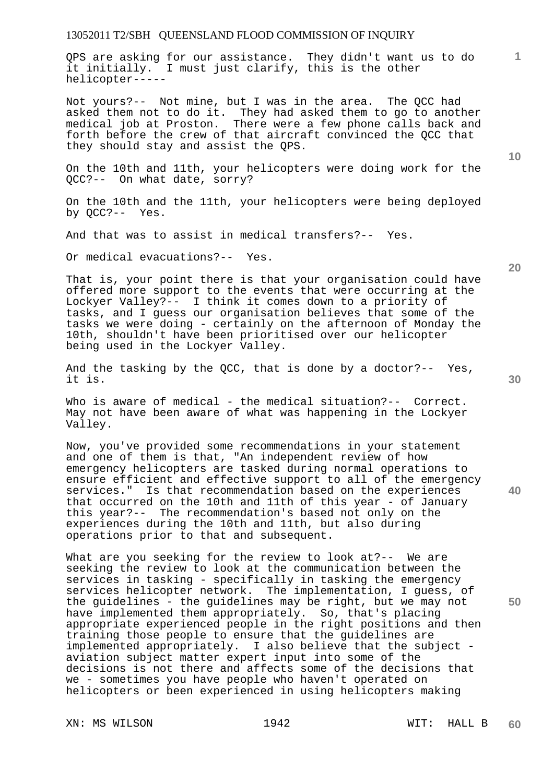QPS are asking for our assistance. They didn't want us to do it initially. I must just clarify, this is the other helicopter-----

Not yours?-- Not mine, but I was in the area. The QCC had asked them not to do it. They had asked them to go to another medical job at Proston. There were a few phone calls back and forth before the crew of that aircraft convinced the QCC that they should stay and assist the QPS.

On the 10th and 11th, your helicopters were doing work for the QCC?-- On what date, sorry?

On the 10th and the 11th, your helicopters were being deployed by QCC?-- Yes.

And that was to assist in medical transfers?-- Yes.

Or medical evacuations?-- Yes.

That is, your point there is that your organisation could have offered more support to the events that were occurring at the Lockyer Valley?-- I think it comes down to a priority of tasks, and I guess our organisation believes that some of the tasks we were doing - certainly on the afternoon of Monday the 10th, shouldn't have been prioritised over our helicopter being used in the Lockyer Valley.

And the tasking by the QCC, that is done by a doctor?-- Yes, it is.

Who is aware of medical - the medical situation?-- Correct. May not have been aware of what was happening in the Lockyer Valley.

Now, you've provided some recommendations in your statement and one of them is that, "An independent review of how emergency helicopters are tasked during normal operations to ensure efficient and effective support to all of the emergency services." Is that recommendation based on the experiences that occurred on the 10th and 11th of this year - of January this year?-- The recommendation's based not only on the experiences during the 10th and 11th, but also during operations prior to that and subsequent.

What are you seeking for the review to look at?-- We are seeking the review to look at the communication between the services in tasking - specifically in tasking the emergency services helicopter network. The implementation, I guess, of the guidelines - the guidelines may be right, but we may not have implemented them appropriately. So, that's placing appropriate experienced people in the right positions and then training those people to ensure that the guidelines are implemented appropriately. I also believe that the subject aviation subject matter expert input into some of the decisions is not there and affects some of the decisions that we - sometimes you have people who haven't operated on helicopters or been experienced in using helicopters making

XN: MS WILSON 1942 NIT: HALL B

**20** 

**40** 

**50** 

**10**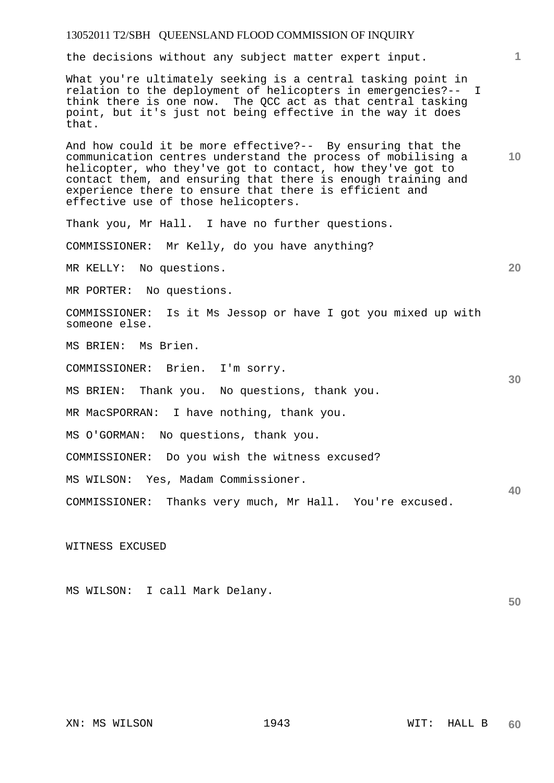the decisions without any subject matter expert input.

What you're ultimately seeking is a central tasking point in relation to the deployment of helicopters in emergencies?-- I think there is one now. The QCC act as that central tasking point, but it's just not being effective in the way it does that.

And how could it be more effective?-- By ensuring that the communication centres understand the process of mobilising a helicopter, who they've got to contact, how they've got to contact them, and ensuring that there is enough training and experience there to ensure that there is efficient and effective use of those helicopters.

Thank you, Mr Hall. I have no further questions.

COMMISSIONER: Mr Kelly, do you have anything?

MR KELLY: No questions.

MR PORTER: No questions.

COMMISSIONER: Is it Ms Jessop or have I got you mixed up with someone else.

MS BRIEN: Ms Brien.

COMMISSIONER: Brien. I'm sorry.

MS BRIEN: Thank you. No questions, thank you.

MR MacSPORRAN: I have nothing, thank you.

MS O'GORMAN: No questions, thank you.

COMMISSIONER: Do you wish the witness excused?

MS WILSON: Yes, Madam Commissioner.

COMMISSIONER: Thanks very much, Mr Hall. You're excused.

WITNESS EXCUSED

**50**  MS WILSON: I call Mark Delany.

XN: MS WILSON 1943 WIT: HALL B

**1**

**10** 

**20** 

**30**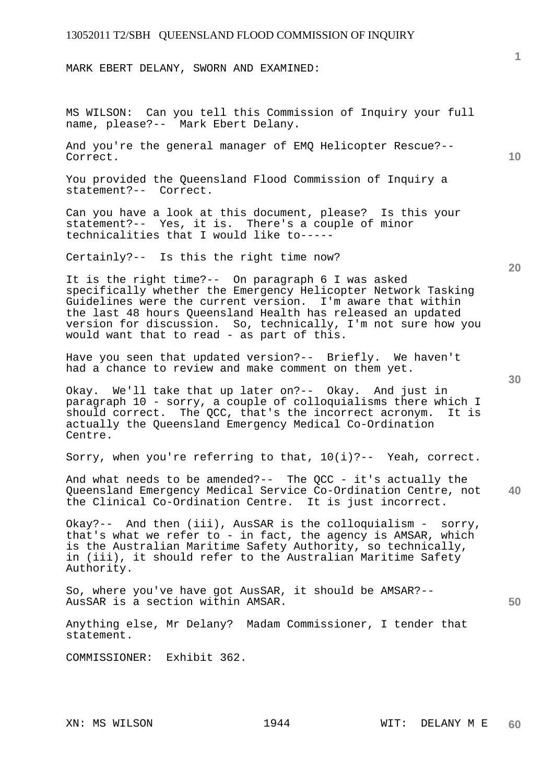MARK EBERT DELANY, SWORN AND EXAMINED:

MS WILSON: Can you tell this Commission of Inquiry your full name, please?-- Mark Ebert Delany.

And you're the general manager of EMQ Helicopter Rescue?-- Correct.

You provided the Queensland Flood Commission of Inquiry a statement?-- Correct.

Can you have a look at this document, please? Is this your statement?-- Yes, it is. There's a couple of minor technicalities that I would like to-----

Certainly?-- Is this the right time now?

It is the right time?-- On paragraph 6 I was asked specifically whether the Emergency Helicopter Network Tasking Guidelines were the current version. I'm aware that within the last 48 hours Queensland Health has released an updated version for discussion. So, technically, I'm not sure how you would want that to read - as part of this.

Have you seen that updated version?-- Briefly. We haven't had a chance to review and make comment on them yet.

Okay. We'll take that up later on?-- Okay. And just in paragraph 10 - sorry, a couple of colloquialisms there which I<br>should correct. The OCC, that's the incorrect acronym. It is should correct. The QCC, that's the incorrect acronym. actually the Queensland Emergency Medical Co-Ordination Centre.

Sorry, when you're referring to that,  $10(i)$  ?-- Yeah, correct.

**40**  And what needs to be amended?-- The QCC - it's actually the Queensland Emergency Medical Service Co-Ordination Centre, not the Clinical Co-Ordination Centre. It is just incorrect.

Okay?-- And then (iii), AusSAR is the colloquialism - sorry, that's what we refer to - in fact, the agency is AMSAR, which is the Australian Maritime Safety Authority, so technically, in (iii), it should refer to the Australian Maritime Safety Authority.

So, where you've have got AusSAR, it should be AMSAR?-- AusSAR is a section within AMSAR.

Anything else, Mr Delany? Madam Commissioner, I tender that statement.

COMMISSIONER: Exhibit 362.

**10** 

**1**

**30**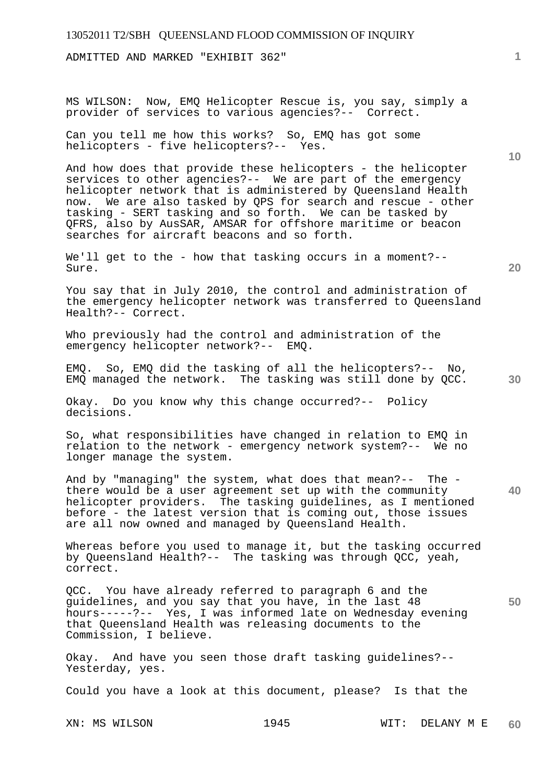ADMITTED AND MARKED "EXHIBIT 362"

MS WILSON: Now, EMQ Helicopter Rescue is, you say, simply a provider of services to various agencies?-- Correct.

Can you tell me how this works? So, EMQ has got some helicopters - five helicopters?-- Yes.

And how does that provide these helicopters - the helicopter services to other agencies?-- We are part of the emergency helicopter network that is administered by Queensland Health now. We are also tasked by QPS for search and rescue - other tasking - SERT tasking and so forth. We can be tasked by QFRS, also by AusSAR, AMSAR for offshore maritime or beacon searches for aircraft beacons and so forth.

We'll get to the - how that tasking occurs in a moment?-- Sure.

You say that in July 2010, the control and administration of the emergency helicopter network was transferred to Queensland Health?-- Correct.

Who previously had the control and administration of the emergency helicopter network?-- EMQ.

EMQ. So, EMQ did the tasking of all the helicopters?-- No, EMQ managed the network. The tasking was still done by QCC.

Okay. Do you know why this change occurred?-- Policy decisions.

So, what responsibilities have changed in relation to EMQ in relation to the network - emergency network system?-- We no longer manage the system.

And by "managing" the system, what does that mean?-- The there would be a user agreement set up with the community helicopter providers. The tasking guidelines, as I mentioned before - the latest version that is coming out, those issues are all now owned and managed by Queensland Health.

Whereas before you used to manage it, but the tasking occurred by Queensland Health?-- The tasking was through QCC, yeah, correct.

QCC. You have already referred to paragraph 6 and the guidelines, and you say that you have, in the last 48 hours-----?-- Yes, I was informed late on Wednesday evening that Queensland Health was releasing documents to the Commission, I believe.

Okay. And have you seen those draft tasking guidelines?-- Yesterday, yes.

Could you have a look at this document, please? Is that the

XN: MS WILSON 1945 WIT: DELANY M E **60** 

**1**

**20** 

**10** 

**40**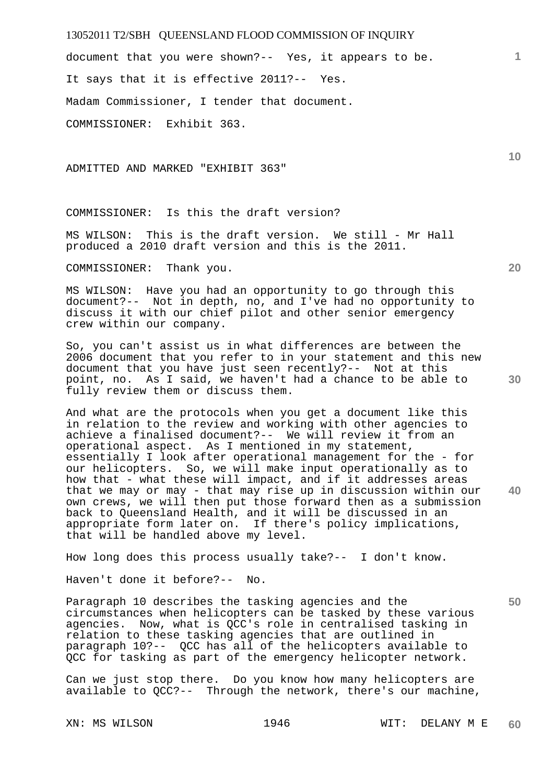document that you were shown?-- Yes, it appears to be. It says that it is effective 2011?-- Yes. Madam Commissioner, I tender that document. COMMISSIONER: Exhibit 363.

ADMITTED AND MARKED "EXHIBIT 363"

COMMISSIONER: Is this the draft version?

MS WILSON: This is the draft version. We still - Mr Hall produced a 2010 draft version and this is the 2011.

COMMISSIONER: Thank you.

MS WILSON: Have you had an opportunity to go through this document?-- Not in depth, no, and I've had no opportunity to discuss it with our chief pilot and other senior emergency crew within our company.

So, you can't assist us in what differences are between the 2006 document that you refer to in your statement and this new document that you have just seen recently?-- Not at this point, no. As I said, we haven't had a chance to be able to fully review them or discuss them.

And what are the protocols when you get a document like this in relation to the review and working with other agencies to achieve a finalised document?-- We will review it from an operational aspect. As I mentioned in my statement, essentially I look after operational management for the - for our helicopters. So, we will make input operationally as to how that - what these will impact, and if it addresses areas that we may or may - that may rise up in discussion within our own crews, we will then put those forward then as a submission back to Queensland Health, and it will be discussed in an appropriate form later on. If there's policy implications, that will be handled above my level.

How long does this process usually take?-- I don't know.

Haven't done it before?-- No.

Paragraph 10 describes the tasking agencies and the circumstances when helicopters can be tasked by these various agencies. Now, what is QCC's role in centralised tasking in relation to these tasking agencies that are outlined in paragraph 10?-- QCC has all of the helicopters available to QCC for tasking as part of the emergency helicopter network.

Can we just stop there. Do you know how many helicopters are available to QCC?-- Through the network, there's our machine,

**20** 

**30** 

**40** 

**1**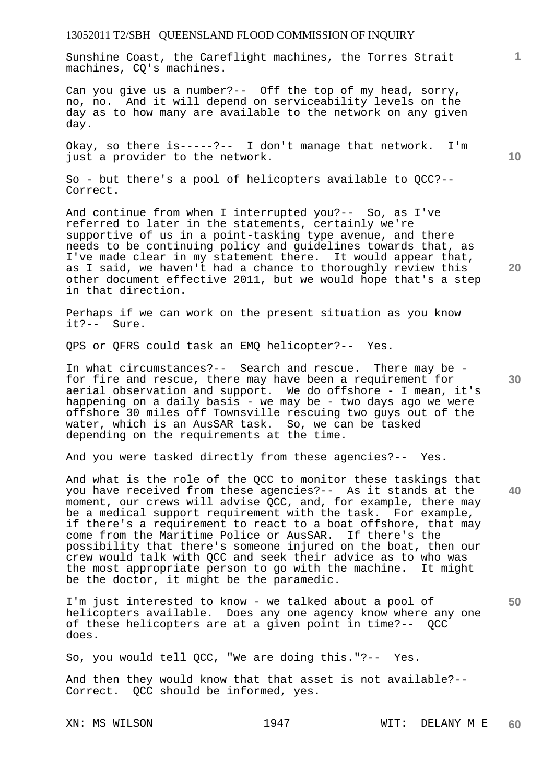Sunshine Coast, the Careflight machines, the Torres Strait machines, CQ's machines.

Can you give us a number?-- Off the top of my head, sorry, no, no. And it will depend on serviceability levels on the day as to how many are available to the network on any given day.

Okay, so there is-----?-- I don't manage that network. I'm just a provider to the network.

So - but there's a pool of helicopters available to QCC?-- Correct.

And continue from when I interrupted you?-- So, as I've referred to later in the statements, certainly we're supportive of us in a point-tasking type avenue, and there needs to be continuing policy and guidelines towards that, as I've made clear in my statement there. It would appear that, as I said, we haven't had a chance to thoroughly review this other document effective 2011, but we would hope that's a step in that direction.

Perhaps if we can work on the present situation as you know it?-- Sure.

QPS or QFRS could task an EMQ helicopter?-- Yes.

In what circumstances?-- Search and rescue. There may be for fire and rescue, there may have been a requirement for aerial observation and support. We do offshore - I mean, it's happening on a daily basis - we may be - two days ago we were offshore 30 miles off Townsville rescuing two guys out of the water, which is an AusSAR task. So, we can be tasked depending on the requirements at the time.

And you were tasked directly from these agencies?-- Yes.

And what is the role of the QCC to monitor these taskings that you have received from these agencies?-- As it stands at the moment, our crews will advise QCC, and, for example, there may be a medical support requirement with the task. For example, if there's a requirement to react to a boat offshore, that may come from the Maritime Police or AusSAR. If there's the possibility that there's someone injured on the boat, then our crew would talk with QCC and seek their advice as to who was the most appropriate person to go with the machine. It might be the doctor, it might be the paramedic.

**50**  I'm just interested to know - we talked about a pool of helicopters available. Does any one agency know where any one of these helicopters are at a given point in time?-- QCC does.

So, you would tell QCC, "We are doing this."?-- Yes.

And then they would know that that asset is not available?-- Correct. QCC should be informed, yes.

**10** 

**1**

**20** 

**30**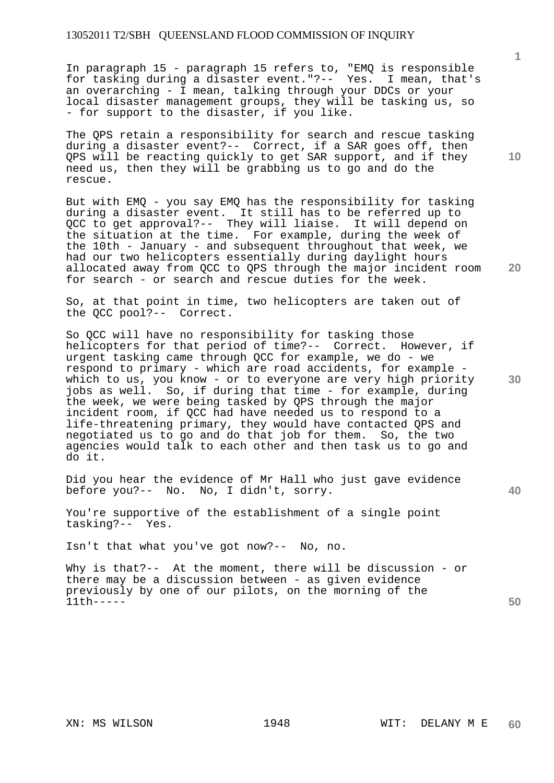In paragraph 15 - paragraph 15 refers to, "EMQ is responsible for tasking during a disaster event."?-- Yes. I mean, that's an overarching - I mean, talking through your DDCs or your local disaster management groups, they will be tasking us, so - for support to the disaster, if you like.

The QPS retain a responsibility for search and rescue tasking during a disaster event?-- Correct, if a SAR goes off, then QPS will be reacting quickly to get SAR support, and if they need us, then they will be grabbing us to go and do the rescue.

But with EMQ - you say EMQ has the responsibility for tasking during a disaster event. It still has to be referred up to QCC to get approval?-- They will liaise. It will depend on the situation at the time. For example, during the week of the 10th - January - and subsequent throughout that week, we had our two helicopters essentially during daylight hours allocated away from QCC to QPS through the major incident room for search - or search and rescue duties for the week.

So, at that point in time, two helicopters are taken out of the QCC pool?-- Correct.

So QCC will have no responsibility for tasking those helicopters for that period of time?-- Correct. However, if urgent tasking came through QCC for example, we do - we respond to primary - which are road accidents, for example which to us, you know - or to everyone are very high priority jobs as well. So, if during that time - for example, during the week, we were being tasked by QPS through the major incident room, if QCC had have needed us to respond to a life-threatening primary, they would have contacted QPS and negotiated us to go and do that job for them. So, the two agencies would talk to each other and then task us to go and do it.

Did you hear the evidence of Mr Hall who just gave evidence before you?-- No. No, I didn't, sorry.

You're supportive of the establishment of a single point tasking?-- Yes.

Isn't that what you've got now?-- No, no.

Why is that?-- At the moment, there will be discussion - or there may be a discussion between - as given evidence previously by one of our pilots, on the morning of the 11th-----

**10** 

**1**

**20** 

**30** 

**40**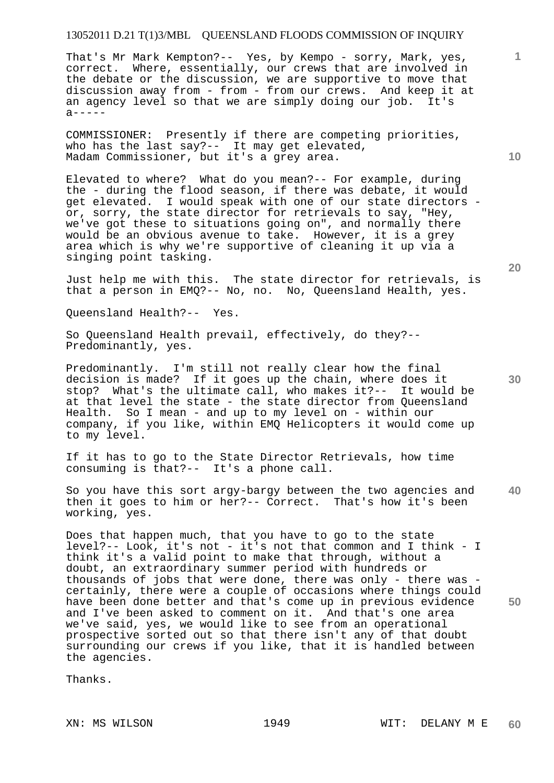That's Mr Mark Kempton?-- Yes, by Kempo - sorry, Mark, yes, correct. Where, essentially, our crews that are involved in the debate or the discussion, we are supportive to move that discussion away from - from - from our crews. And keep it at an agency level so that we are simply doing our job. It's  $a - - - - -$ 

COMMISSIONER: Presently if there are competing priorities, who has the last say?-- It may get elevated, Madam Commissioner, but it's a grey area.

Elevated to where? What do you mean?-- For example, during the - during the flood season, if there was debate, it would get elevated. I would speak with one of our state directors or, sorry, the state director for retrievals to say, "Hey, we've got these to situations going on", and normally there would be an obvious avenue to take. However, it is a grey area which is why we're supportive of cleaning it up via a singing point tasking.

Just help me with this. The state director for retrievals, is that a person in EMQ?-- No, no. No, Queensland Health, yes.

Queensland Health?-- Yes.

So Queensland Health prevail, effectively, do they?-- Predominantly, yes.

Predominantly. I'm still not really clear how the final decision is made? If it goes up the chain, where does it stop? What's the ultimate call, who makes it?-- It would be at that level the state - the state director from Queensland Health. So I mean - and up to my level on - within our company, if you like, within EMQ Helicopters it would come up to my level.

If it has to go to the State Director Retrievals, how time consuming is that?-- It's a phone call.

So you have this sort argy-bargy between the two agencies and then it goes to him or her?-- Correct. That's how it's been working, yes.

Does that happen much, that you have to go to the state level?-- Look, it's not - it's not that common and I think - I think it's a valid point to make that through, without a doubt, an extraordinary summer period with hundreds or thousands of jobs that were done, there was only - there was certainly, there were a couple of occasions where things could have been done better and that's come up in previous evidence and I've been asked to comment on it. And that's one area we've said, yes, we would like to see from an operational prospective sorted out so that there isn't any of that doubt surrounding our crews if you like, that it is handled between the agencies.

Thanks.

**10** 

**1**

**20** 

**30**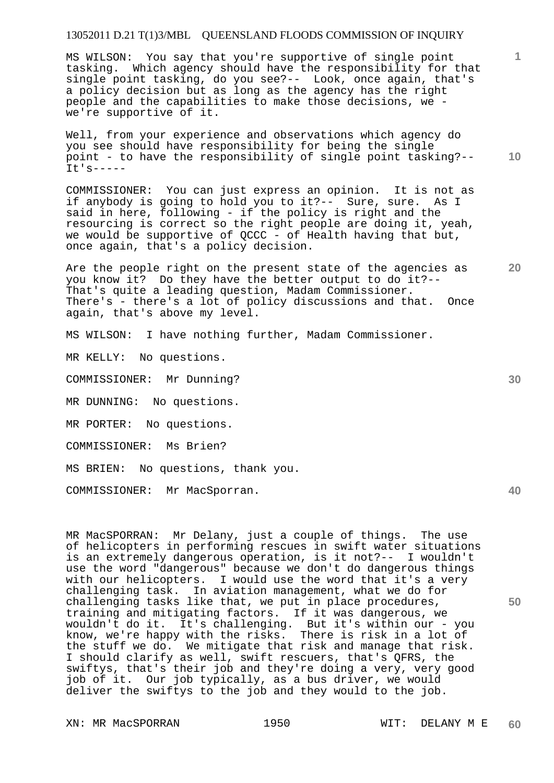MS WILSON: You say that you're supportive of single point tasking. Which agency should have the responsibility for that single point tasking, do you see?-- Look, once again, that's a policy decision but as long as the agency has the right people and the capabilities to make those decisions, we we're supportive of it.

**10**  Well, from your experience and observations which agency do you see should have responsibility for being the single point - to have the responsibility of single point tasking?-- It's-----

COMMISSIONER: You can just express an opinion. It is not as if anybody is going to hold you to it?-- Sure, sure. As I said in here, following - if the policy is right and the resourcing is correct so the right people are doing it, yeah, we would be supportive of QCCC - of Health having that but, once again, that's a policy decision.

Are the people right on the present state of the agencies as you know it? Do they have the better output to do it?-- That's quite a leading question, Madam Commissioner. There's - there's a lot of policy discussions and that. Once again, that's above my level.

MS WILSON: I have nothing further, Madam Commissioner.

MR KELLY: No questions.

COMMISSIONER: Mr Dunning?

MR DUNNING: No questions.

MR PORTER: No questions.

COMMISSIONER: Ms Brien?

MS BRIEN: No questions, thank you.

COMMISSIONER: Mr MacSporran.

MR MacSPORRAN: Mr Delany, just a couple of things. The use of helicopters in performing rescues in swift water situations is an extremely dangerous operation, is it not?-- I wouldn't use the word "dangerous" because we don't do dangerous things with our helicopters. I would use the word that it's a very challenging task. In aviation management, what we do for challenging tasks like that, we put in place procedures, training and mitigating factors. If it was dangerous, we wouldn't do it. It's challenging. But it's within our - you know, we're happy with the risks. There is risk in a lot of the stuff we do. We mitigate that risk and manage that risk. I should clarify as well, swift rescuers, that's QFRS, the swiftys, that's their job and they're doing a very, very good job of it. Our job typically, as a bus driver, we would deliver the swiftys to the job and they would to the job.

XN: MR MacSPORRAN 1950 WIT: DELANY M E

**30** 

**20** 

**1**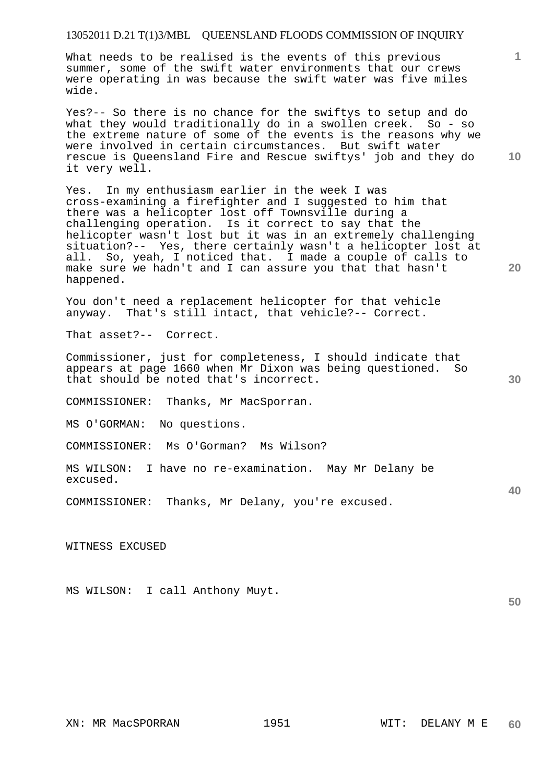What needs to be realised is the events of this previous summer, some of the swift water environments that our crews were operating in was because the swift water was five miles wide.

Yes?-- So there is no chance for the swiftys to setup and do what they would traditionally do in a swollen creek. So - so the extreme nature of some of the events is the reasons why we were involved in certain circumstances. But swift water rescue is Queensland Fire and Rescue swiftys' job and they do it very well.

Yes. In my enthusiasm earlier in the week I was cross-examining a firefighter and I suggested to him that there was a helicopter lost off Townsville during a challenging operation. Is it correct to say that the helicopter wasn't lost but it was in an extremely challenging situation?-- Yes, there certainly wasn't a helicopter lost at all. So, yeah, I noticed that. I made a couple of calls to make sure we hadn't and I can assure you that that hasn't happened.

You don't need a replacement helicopter for that vehicle anyway. That's still intact, that vehicle?-- Correct.

That asset?-- Correct.

Commissioner, just for completeness, I should indicate that appears at page 1660 when Mr Dixon was being questioned. So that should be noted that's incorrect.

COMMISSIONER: Thanks, Mr MacSporran.

MS O'GORMAN: No questions.

COMMISSIONER: Ms O'Gorman? Ms Wilson?

MS WILSON: I have no re-examination. May Mr Delany be excused.

COMMISSIONER: Thanks, Mr Delany, you're excused.

WITNESS EXCUSED

MS WILSON: I call Anthony Muyt.

**10** 

**1**

**20** 

**30** 

**40**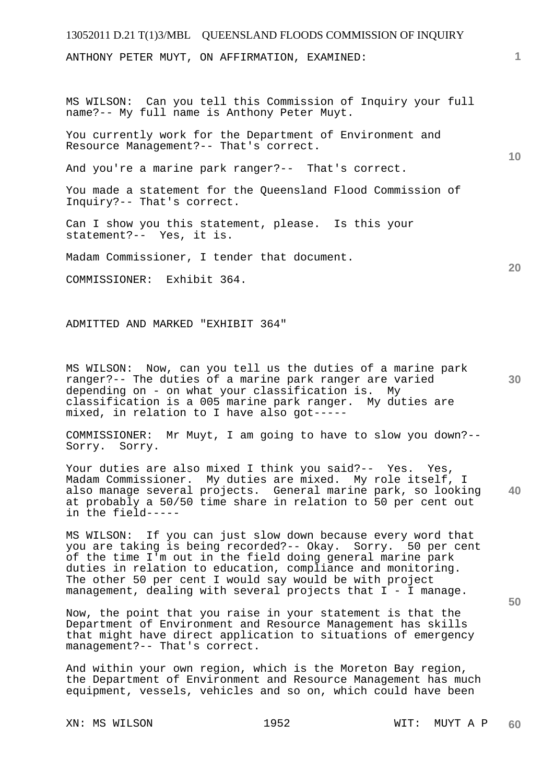ANTHONY PETER MUYT, ON AFFIRMATION, EXAMINED:

MS WILSON: Can you tell this Commission of Inquiry your full name?-- My full name is Anthony Peter Muyt.

You currently work for the Department of Environment and Resource Management?-- That's correct.

And you're a marine park ranger?-- That's correct.

You made a statement for the Queensland Flood Commission of Inquiry?-- That's correct.

Can I show you this statement, please. Is this your statement?-- Yes, it is.

Madam Commissioner, I tender that document.

COMMISSIONER: Exhibit 364.

ADMITTED AND MARKED "EXHIBIT 364"

MS WILSON: Now, can you tell us the duties of a marine park ranger?-- The duties of a marine park ranger are varied depending on - on what your classification is. My classification is a 005 marine park ranger. My duties are mixed, in relation to I have also got-----

COMMISSIONER: Mr Muyt, I am going to have to slow you down?-- Sorry. Sorry.

**40**  Your duties are also mixed I think you said?-- Yes. Yes, Madam Commissioner. My duties are mixed. My role itself, I also manage several projects. General marine park, so looking at probably a 50/50 time share in relation to 50 per cent out in the field-----

MS WILSON: If you can just slow down because every word that you are taking is being recorded?-- Okay. Sorry. 50 per cent of the time I'm out in the field doing general marine park duties in relation to education, compliance and monitoring. The other 50 per cent I would say would be with project management, dealing with several projects that I - I manage.

Now, the point that you raise in your statement is that the Department of Environment and Resource Management has skills that might have direct application to situations of emergency management?-- That's correct.

And within your own region, which is the Moreton Bay region, the Department of Environment and Resource Management has much equipment, vessels, vehicles and so on, which could have been

**1**

**10** 

**20**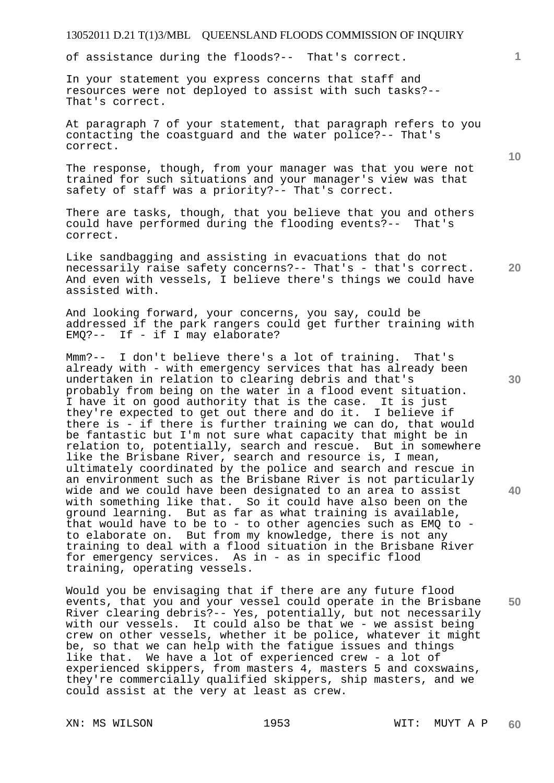of assistance during the floods?-- That's correct.

In your statement you express concerns that staff and resources were not deployed to assist with such tasks?-- That's correct.

At paragraph 7 of your statement, that paragraph refers to you contacting the coastguard and the water police?-- That's correct.

The response, though, from your manager was that you were not trained for such situations and your manager's view was that safety of staff was a priority?-- That's correct.

There are tasks, though, that you believe that you and others could have performed during the flooding events?-- That's correct.

Like sandbagging and assisting in evacuations that do not necessarily raise safety concerns?-- That's - that's correct. And even with vessels, I believe there's things we could have assisted with.

And looking forward, your concerns, you say, could be addressed if the park rangers could get further training with EMQ?-- If - if I may elaborate?

Mmm?-- I don't believe there's a lot of training. That's already with - with emergency services that has already been undertaken in relation to clearing debris and that's probably from being on the water in a flood event situation. I have it on good authority that is the case. It is just they're expected to get out there and do it. I believe if there is - if there is further training we can do, that would be fantastic but I'm not sure what capacity that might be in relation to, potentially, search and rescue. But in somewhere like the Brisbane River, search and resource is, I mean, ultimately coordinated by the police and search and rescue in an environment such as the Brisbane River is not particularly wide and we could have been designated to an area to assist with something like that. So it could have also been on the ground learning. But as far as what training is available, that would have to be to - to other agencies such as EMQ to to elaborate on. But from my knowledge, there is not any training to deal with a flood situation in the Brisbane River for emergency services. As in - as in specific flood training, operating vessels.

Would you be envisaging that if there are any future flood events, that you and your vessel could operate in the Brisbane River clearing debris?-- Yes, potentially, but not necessarily with our vessels. It could also be that we - we assist being crew on other vessels, whether it be police, whatever it might be, so that we can help with the fatigue issues and things like that. We have a lot of experienced crew - a lot of experienced skippers, from masters 4, masters 5 and coxswains, they're commercially qualified skippers, ship masters, and we could assist at the very at least as crew.

**20** 

**10** 

**1**

**40**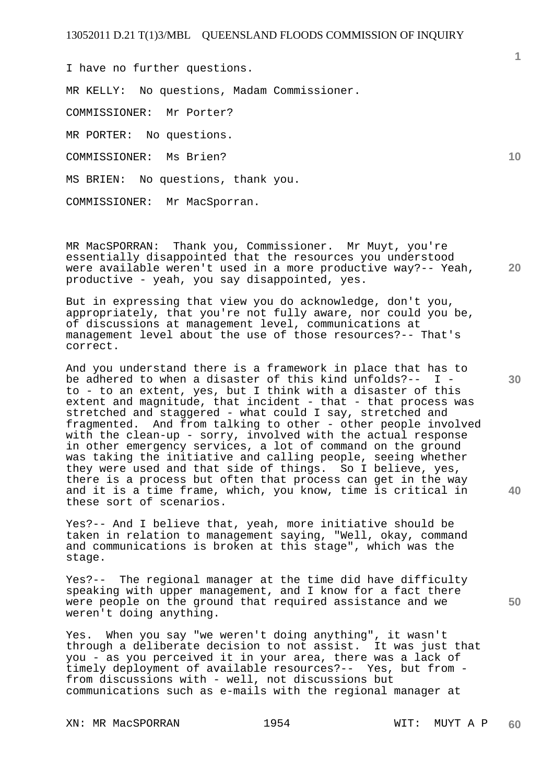I have no further questions. MR KELLY: No questions, Madam Commissioner. COMMISSIONER: Mr Porter? MR PORTER: No questions. COMMISSIONER: Ms Brien? MS BRIEN: No questions, thank you. COMMISSIONER: Mr MacSporran.

**20**  MR MacSPORRAN: Thank you, Commissioner. Mr Muyt, you're essentially disappointed that the resources you understood were available weren't used in a more productive way?-- Yeah, productive - yeah, you say disappointed, yes.

But in expressing that view you do acknowledge, don't you, appropriately, that you're not fully aware, nor could you be, of discussions at management level, communications at management level about the use of those resources?-- That's correct.

And you understand there is a framework in place that has to be adhered to when a disaster of this kind unfolds?-- I to - to an extent, yes, but I think with a disaster of this extent and magnitude, that incident - that - that process was stretched and staggered - what could I say, stretched and fragmented. And from talking to other - other people involved with the clean-up - sorry, involved with the actual response in other emergency services, a lot of command on the ground was taking the initiative and calling people, seeing whether they were used and that side of things. So I believe, yes, there is a process but often that process can get in the way and it is a time frame, which, you know, time is critical in these sort of scenarios.

Yes?-- And I believe that, yeah, more initiative should be taken in relation to management saying, "Well, okay, command and communications is broken at this stage", which was the stage.

Yes?-- The regional manager at the time did have difficulty speaking with upper management, and I know for a fact there were people on the ground that required assistance and we weren't doing anything.

Yes. When you say "we weren't doing anything", it wasn't through a deliberate decision to not assist. It was just that you - as you perceived it in your area, there was a lack of timely deployment of available resources?-- Yes, but from from discussions with - well, not discussions but communications such as e-mails with the regional manager at

XN: MR MacSPORRAN 1954 WIT: MUYT A P

**10** 

**1**

**40**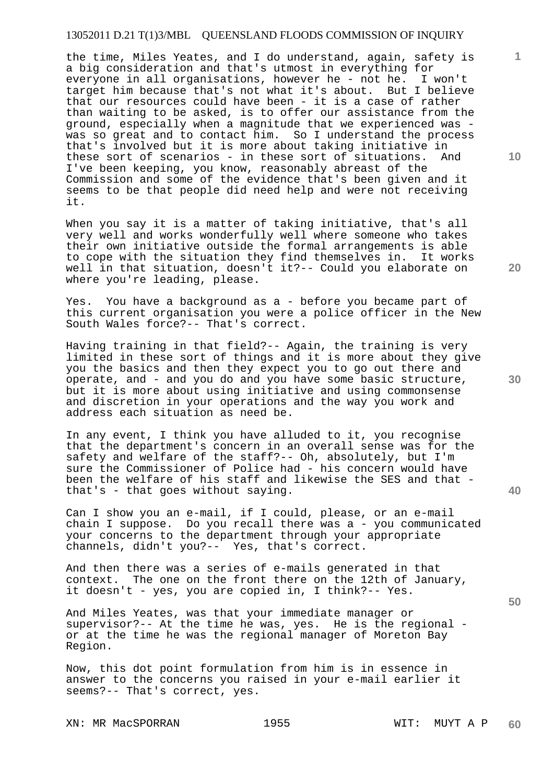the time, Miles Yeates, and I do understand, again, safety is a big consideration and that's utmost in everything for everyone in all organisations, however he - not he. I won't target him because that's not what it's about. But I believe that our resources could have been - it is a case of rather than waiting to be asked, is to offer our assistance from the ground, especially when a magnitude that we experienced was was so great and to contact him. So I understand the process that's involved but it is more about taking initiative in these sort of scenarios - in these sort of situations. And I've been keeping, you know, reasonably abreast of the Commission and some of the evidence that's been given and it seems to be that people did need help and were not receiving it.

When you say it is a matter of taking initiative, that's all very well and works wonderfully well where someone who takes their own initiative outside the formal arrangements is able to cope with the situation they find themselves in. It works well in that situation, doesn't it?-- Could you elaborate on where you're leading, please.

Yes. You have a background as a - before you became part of this current organisation you were a police officer in the New South Wales force?-- That's correct.

Having training in that field?-- Again, the training is very limited in these sort of things and it is more about they give you the basics and then they expect you to go out there and operate, and - and you do and you have some basic structure, but it is more about using initiative and using commonsense and discretion in your operations and the way you work and address each situation as need be.

In any event, I think you have alluded to it, you recognise that the department's concern in an overall sense was for the safety and welfare of the staff?-- Oh, absolutely, but I'm sure the Commissioner of Police had - his concern would have been the welfare of his staff and likewise the SES and that that's - that goes without saying.

Can I show you an e-mail, if I could, please, or an e-mail chain I suppose. Do you recall there was a - you communicated your concerns to the department through your appropriate channels, didn't you?-- Yes, that's correct.

And then there was a series of e-mails generated in that context. The one on the front there on the 12th of January, it doesn't - yes, you are copied in, I think?-- Yes.

And Miles Yeates, was that your immediate manager or supervisor?-- At the time he was, yes. He is the regional or at the time he was the regional manager of Moreton Bay Region.

Now, this dot point formulation from him is in essence in answer to the concerns you raised in your e-mail earlier it seems?-- That's correct, yes.

XN: MR MacSPORRAN 1955 WIT: MUYT A P

**10** 

**1**

**20** 

**40**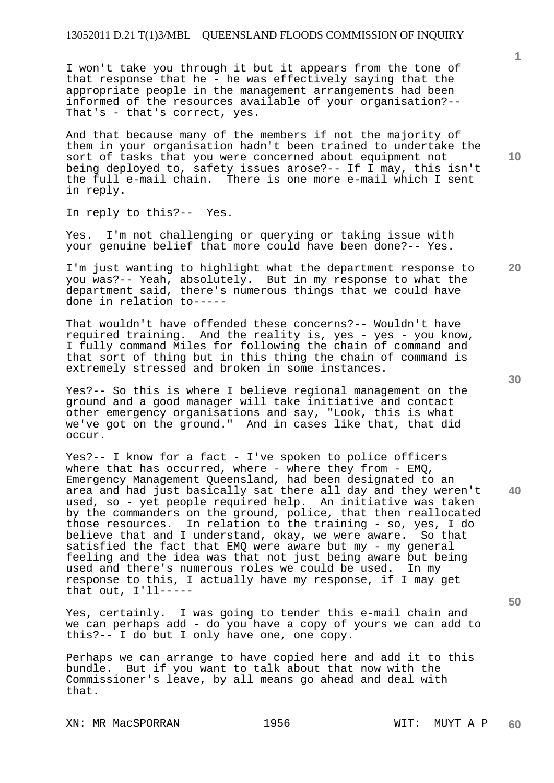I won't take you through it but it appears from the tone of that response that he - he was effectively saying that the appropriate people in the management arrangements had been informed of the resources available of your organisation?-- That's - that's correct, yes.

And that because many of the members if not the majority of them in your organisation hadn't been trained to undertake the sort of tasks that you were concerned about equipment not being deployed to, safety issues arose?-- If I may, this isn't the full e-mail chain. There is one more e-mail which I sent in reply.

In reply to this?-- Yes.

Yes. I'm not challenging or querying or taking issue with your genuine belief that more could have been done?-- Yes.

I'm just wanting to highlight what the department response to you was?-- Yeah, absolutely. But in my response to what the department said, there's numerous things that we could have done in relation to-----

That wouldn't have offended these concerns?-- Wouldn't have required training. And the reality is, yes - yes - you know, I fully command Miles for following the chain of command and that sort of thing but in this thing the chain of command is extremely stressed and broken in some instances.

Yes?-- So this is where I believe regional management on the ground and a good manager will take initiative and contact other emergency organisations and say, "Look, this is what we've got on the ground." And in cases like that, that did occur.

Yes?-- I know for a fact - I've spoken to police officers where that has occurred, where - where they from - EMQ, Emergency Management Queensland, had been designated to an area and had just basically sat there all day and they weren't used, so - yet people required help. An initiative was taken by the commanders on the ground, police, that then reallocated those resources. In relation to the training - so, yes, I do believe that and I understand, okay, we were aware. So that satisfied the fact that EMQ were aware but my - my general feeling and the idea was that not just being aware but being used and there's numerous roles we could be used. In my response to this, I actually have my response, if I may get that out, I'll-----

Yes, certainly. I was going to tender this e-mail chain and we can perhaps add - do you have a copy of yours we can add to this?-- I do but I only have one, one copy.

Perhaps we can arrange to have copied here and add it to this bundle. But if you want to talk about that now with the Commissioner's leave, by all means go ahead and deal with that.

**20** 

**40** 

**30** 

**50** 

**1**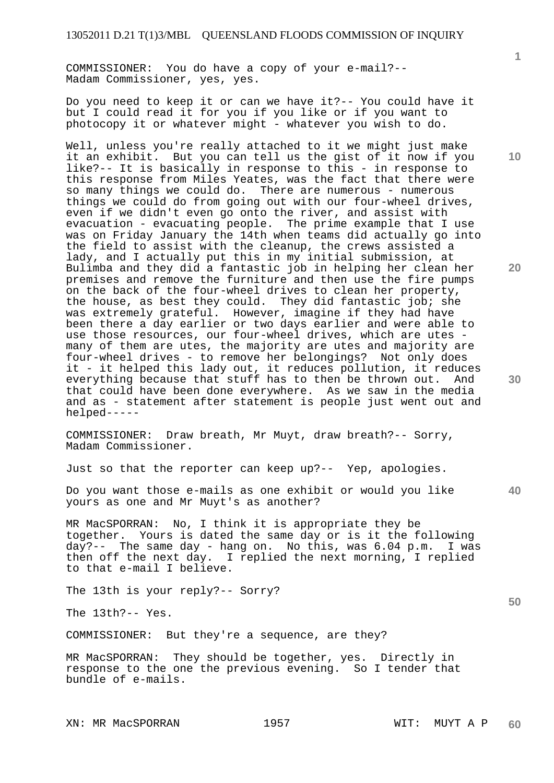COMMISSIONER: You do have a copy of your e-mail?-- Madam Commissioner, yes, yes.

Do you need to keep it or can we have it?-- You could have it but I could read it for you if you like or if you want to photocopy it or whatever might - whatever you wish to do.

Well, unless you're really attached to it we might just make it an exhibit. But you can tell us the gist of it now if you like?-- It is basically in response to this - in response to this response from Miles Yeates, was the fact that there were so many things we could do. There are numerous - numerous things we could do from going out with our four-wheel drives, even if we didn't even go onto the river, and assist with evacuation - evacuating people. The prime example that I use was on Friday January the 14th when teams did actually go into the field to assist with the cleanup, the crews assisted a lady, and I actually put this in my initial submission, at Bulimba and they did a fantastic job in helping her clean her premises and remove the furniture and then use the fire pumps on the back of the four-wheel drives to clean her property, the house, as best they could. They did fantastic job; she was extremely grateful. However, imagine if they had have been there a day earlier or two days earlier and were able to use those resources, our four-wheel drives, which are utes many of them are utes, the majority are utes and majority are four-wheel drives - to remove her belongings? Not only does it - it helped this lady out, it reduces pollution, it reduces everything because that stuff has to then be thrown out. And that could have been done everywhere. As we saw in the media and as - statement after statement is people just went out and helped-----

COMMISSIONER: Draw breath, Mr Muyt, draw breath?-- Sorry, Madam Commissioner.

Just so that the reporter can keep up?-- Yep, apologies.

Do you want those e-mails as one exhibit or would you like yours as one and Mr Muyt's as another?

MR MacSPORRAN: No, I think it is appropriate they be together. Yours is dated the same day or is it the following day?-- The same day - hang on. No this, was 6.04 p.m. I was then off the next day. I replied the next morning, I replied to that e-mail I believe.

The 13th is your reply?-- Sorry?

The 13th?-- Yes.

COMMISSIONER: But they're a sequence, are they?

MR MacSPORRAN: They should be together, yes. Directly in response to the one the previous evening. So I tender that bundle of e-mails.

XN: MR MacSPORRAN 1957 NIT: MUYT A P

**1**

**10** 

**20** 

**40** 

**50**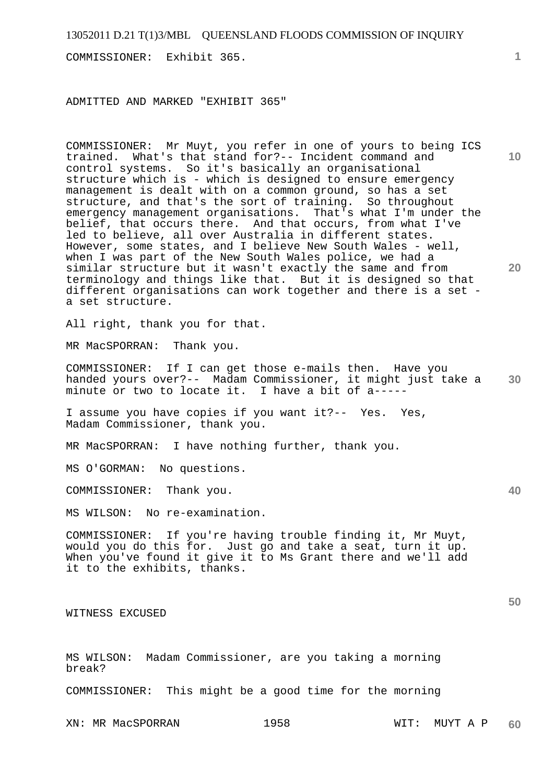COMMISSIONER: Exhibit 365.

ADMITTED AND MARKED "EXHIBIT 365"

**10 20**  COMMISSIONER: Mr Muyt, you refer in one of yours to being ICS trained. What's that stand for?-- Incident command and control systems. So it's basically an organisational structure which is - which is designed to ensure emergency management is dealt with on a common ground, so has a set structure, and that's the sort of training. So throughout emergency management organisations. That's what I'm under the belief, that occurs there. And that occurs, from what I've led to believe, all over Australia in different states. However, some states, and I believe New South Wales - well, when I was part of the New South Wales police, we had a similar structure but it wasn't exactly the same and from terminology and things like that. But it is designed so that different organisations can work together and there is a set a set structure.

All right, thank you for that.

MR MacSPORRAN: Thank you.

**30**  COMMISSIONER: If I can get those e-mails then. Have you handed yours over?-- Madam Commissioner, it might just take a minute or two to locate it. I have a bit of a-----

I assume you have copies if you want it?-- Yes. Yes, Madam Commissioner, thank you.

MR MacSPORRAN: I have nothing further, thank you.

MS O'GORMAN: No questions.

COMMISSIONER: Thank you.

MS WILSON: No re-examination.

COMMISSIONER: If you're having trouble finding it, Mr Muyt, would you do this for. Just go and take a seat, turn it up. When you've found it give it to Ms Grant there and we'll add it to the exhibits, thanks.

WITNESS EXCUSED

MS WILSON: Madam Commissioner, are you taking a morning break?

COMMISSIONER: This might be a good time for the morning

XN: MR MacSPORRAN 1958 WIT: MUYT A P

**1**

**40**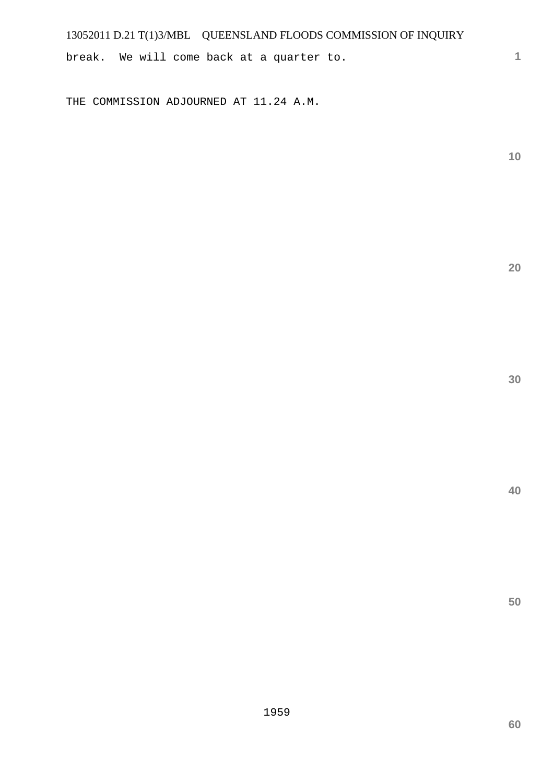break. We will come back at a quarter to.

THE COMMISSION ADJOURNED AT 11.24 A.M.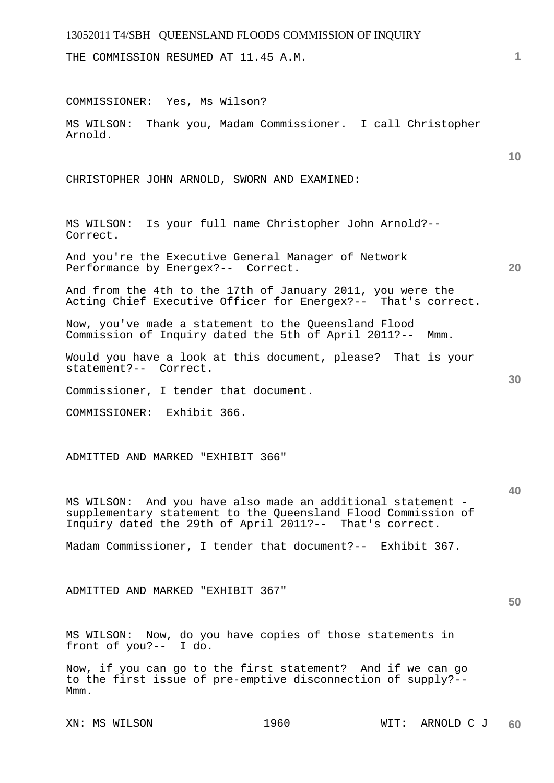THE COMMISSION RESUMED AT 11.45 A.M.

COMMISSIONER: Yes, Ms Wilson?

MS WILSON: Thank you, Madam Commissioner. I call Christopher Arnold.

CHRISTOPHER JOHN ARNOLD, SWORN AND EXAMINED:

MS WILSON: Is your full name Christopher John Arnold?-- Correct.

And you're the Executive General Manager of Network Performance by Energex?-- Correct.

And from the 4th to the 17th of January 2011, you were the Acting Chief Executive Officer for Energex?-- That's correct.

Now, you've made a statement to the Queensland Flood Commission of Inquiry dated the 5th of April 2011?-- Mmm.

Would you have a look at this document, please? That is your statement?-- Correct.

Commissioner, I tender that document.

COMMISSIONER: Exhibit 366.

ADMITTED AND MARKED "EXHIBIT 366"

MS WILSON: And you have also made an additional statement supplementary statement to the Queensland Flood Commission of Inquiry dated the 29th of April 2011?-- That's correct.

Madam Commissioner, I tender that document?-- Exhibit 367.

ADMITTED AND MARKED "EXHIBIT 367"

MS WILSON: Now, do you have copies of those statements in front of you?-- I do.

Now, if you can go to the first statement? And if we can go to the first issue of pre-emptive disconnection of supply?-- Mmm.

**1**

**10** 

**20** 

**30** 

**50**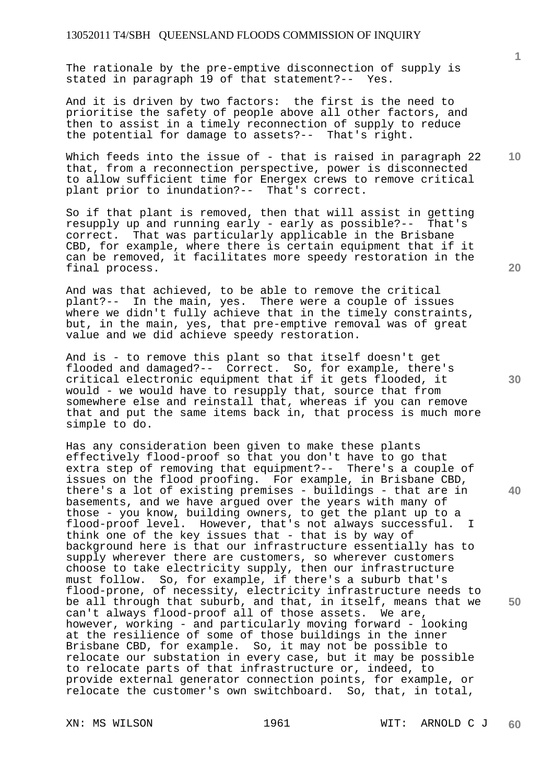The rationale by the pre-emptive disconnection of supply is stated in paragraph 19 of that statement?-- Yes.

And it is driven by two factors: the first is the need to prioritise the safety of people above all other factors, and then to assist in a timely reconnection of supply to reduce the potential for damage to assets?-- That's right.

Which feeds into the issue of - that is raised in paragraph 22 that, from a reconnection perspective, power is disconnected to allow sufficient time for Energex crews to remove critical plant prior to inundation?-- That's correct.

So if that plant is removed, then that will assist in getting resupply up and running early - early as possible?-- That's correct. That was particularly applicable in the Brisbane CBD, for example, where there is certain equipment that if it can be removed, it facilitates more speedy restoration in the final process.

And was that achieved, to be able to remove the critical plant?-- In the main, yes. There were a couple of issues where we didn't fully achieve that in the timely constraints, but, in the main, yes, that pre-emptive removal was of great value and we did achieve speedy restoration.

And is - to remove this plant so that itself doesn't get flooded and damaged?-- Correct. So, for example, there's critical electronic equipment that if it gets flooded, it would - we would have to resupply that, source that from somewhere else and reinstall that, whereas if you can remove that and put the same items back in, that process is much more simple to do.

Has any consideration been given to make these plants effectively flood-proof so that you don't have to go that extra step of removing that equipment?-- There's a couple of issues on the flood proofing. For example, in Brisbane CBD, there's a lot of existing premises - buildings - that are in basements, and we have argued over the years with many of those - you know, building owners, to get the plant up to a flood-proof level. However, that's not always successful. I think one of the key issues that - that is by way of background here is that our infrastructure essentially has to supply wherever there are customers, so wherever customers choose to take electricity supply, then our infrastructure must follow. So, for example, if there's a suburb that's flood-prone, of necessity, electricity infrastructure needs to be all through that suburb, and that, in itself, means that we can't always flood-proof all of those assets. We are, however, working - and particularly moving forward - looking at the resilience of some of those buildings in the inner Brisbane CBD, for example. So, it may not be possible to relocate our substation in every case, but it may be possible to relocate parts of that infrastructure or, indeed, to provide external generator connection points, for example, or relocate the customer's own switchboard. So, that, in total,

**20** 

**40** 

**50** 

**10**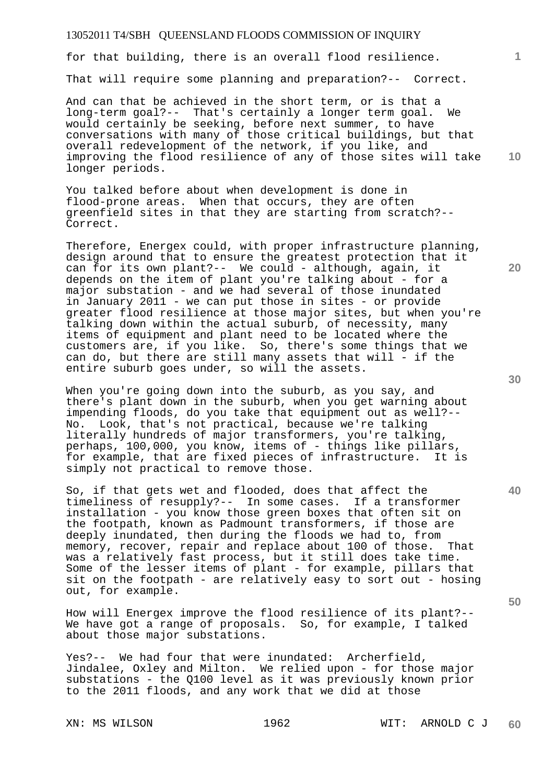for that building, there is an overall flood resilience.

That will require some planning and preparation?-- Correct.

And can that be achieved in the short term, or is that a long-term goal?-- That's certainly a longer term goal. We would certainly be seeking, before next summer, to have conversations with many of those critical buildings, but that overall redevelopment of the network, if you like, and improving the flood resilience of any of those sites will take longer periods.

You talked before about when development is done in flood-prone areas. When that occurs, they are often greenfield sites in that they are starting from scratch?-- Correct.

Therefore, Energex could, with proper infrastructure planning, design around that to ensure the greatest protection that it can for its own plant?-- We could - although, again, it depends on the item of plant you're talking about - for a major substation - and we had several of those inundated in January 2011 - we can put those in sites - or provide greater flood resilience at those major sites, but when you're talking down within the actual suburb, of necessity, many items of equipment and plant need to be located where the customers are, if you like. So, there's some things that we can do, but there are still many assets that will - if the entire suburb goes under, so will the assets.

When you're going down into the suburb, as you say, and there's plant down in the suburb, when you get warning about impending floods, do you take that equipment out as well?--<br>No. Look, that's not practical, because we're talking Look, that's not practical, because we're talking literally hundreds of major transformers, you're talking, perhaps, 100,000, you know, items of - things like pillars, for example, that are fixed pieces of infrastructure. It is simply not practical to remove those.

So, if that gets wet and flooded, does that affect the timeliness of resupply?-- In some cases. If a transformer installation - you know those green boxes that often sit on the footpath, known as Padmount transformers, if those are deeply inundated, then during the floods we had to, from memory, recover, repair and replace about 100 of those. That was a relatively fast process, but it still does take time. Some of the lesser items of plant - for example, pillars that sit on the footpath - are relatively easy to sort out - hosing out, for example.

How will Energex improve the flood resilience of its plant?-- We have got a range of proposals. So, for example, I talked about those major substations.

Yes?-- We had four that were inundated: Archerfield, Jindalee, Oxley and Milton. We relied upon - for those major substations - the Q100 level as it was previously known prior to the 2011 floods, and any work that we did at those

**30** 

**20** 

**40** 

**50** 

**10**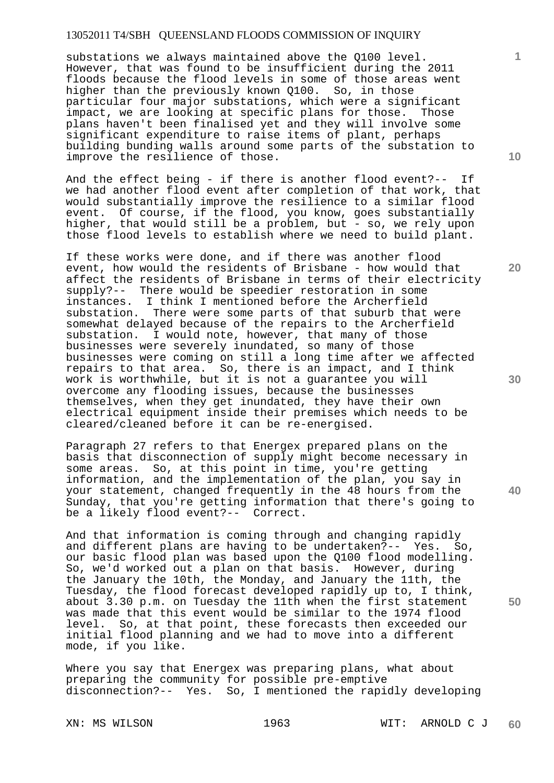substations we always maintained above the Q100 level. However, that was found to be insufficient during the 2011 floods because the flood levels in some of those areas went higher than the previously known Q100. So, in those particular four major substations, which were a significant impact, we are looking at specific plans for those. Those plans haven't been finalised yet and they will involve some significant expenditure to raise items of plant, perhaps building bunding walls around some parts of the substation to improve the resilience of those.

And the effect being - if there is another flood event?-- If we had another flood event after completion of that work, that would substantially improve the resilience to a similar flood event. Of course, if the flood, you know, goes substantially higher, that would still be a problem, but - so, we rely upon those flood levels to establish where we need to build plant.

If these works were done, and if there was another flood event, how would the residents of Brisbane - how would that affect the residents of Brisbane in terms of their electricity supply?-- There would be speedier restoration in some instances. I think I mentioned before the Archerfield substation. There were some parts of that suburb that were somewhat delayed because of the repairs to the Archerfield substation. I would note, however, that many of those businesses were severely inundated, so many of those businesses were coming on still a long time after we affected repairs to that area. So, there is an impact, and I think work is worthwhile, but it is not a guarantee you will overcome any flooding issues, because the businesses themselves, when they get inundated, they have their own electrical equipment inside their premises which needs to be cleared/cleaned before it can be re-energised.

Paragraph 27 refers to that Energex prepared plans on the basis that disconnection of supply might become necessary in some areas. So, at this point in time, you're getting information, and the implementation of the plan, you say in your statement, changed frequently in the 48 hours from the Sunday, that you're getting information that there's going to be a likely flood event?-- Correct.

And that information is coming through and changing rapidly and different plans are having to be undertaken?-- Yes. So, our basic flood plan was based upon the Q100 flood modelling. So, we'd worked out a plan on that basis. However, during the January the 10th, the Monday, and January the 11th, the Tuesday, the flood forecast developed rapidly up to, I think, about 3.30 p.m. on Tuesday the 11th when the first statement was made that this event would be similar to the 1974 flood level. So, at that point, these forecasts then exceeded our initial flood planning and we had to move into a different mode, if you like.

Where you say that Energex was preparing plans, what about preparing the community for possible pre-emptive disconnection?-- Yes. So, I mentioned the rapidly developing

**10** 

**1**

**20** 

**30** 

**40**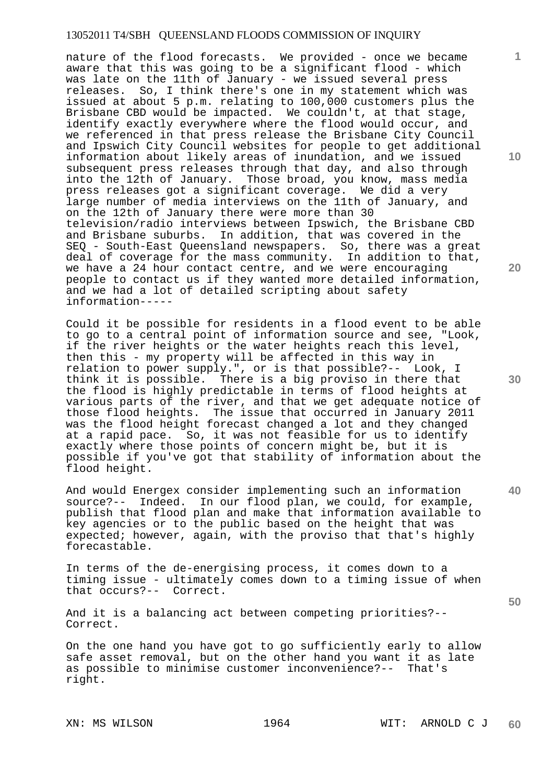nature of the flood forecasts. We provided - once we became aware that this was going to be a significant flood - which was late on the 11th of January - we issued several press releases. So, I think there's one in my statement which was issued at about 5 p.m. relating to 100,000 customers plus the Brisbane CBD would be impacted. We couldn't, at that stage, identify exactly everywhere where the flood would occur, and we referenced in that press release the Brisbane City Council and Ipswich City Council websites for people to get additional information about likely areas of inundation, and we issued subsequent press releases through that day, and also through into the 12th of January. Those broad, you know, mass media press releases got a significant coverage. We did a very large number of media interviews on the 11th of January, and on the 12th of January there were more than 30 television/radio interviews between Ipswich, the Brisbane CBD and Brisbane suburbs. In addition, that was covered in the SEQ - South-East Queensland newspapers. So, there was a great deal of coverage for the mass community. In addition to that, we have a 24 hour contact centre, and we were encouraging people to contact us if they wanted more detailed information, and we had a lot of detailed scripting about safety information-----

Could it be possible for residents in a flood event to be able to go to a central point of information source and see, "Look, if the river heights or the water heights reach this level, then this - my property will be affected in this way in relation to power supply.", or is that possible?-- Look, I think it is possible. There is a big proviso in there that the flood is highly predictable in terms of flood heights at various parts of the river, and that we get adequate notice of those flood heights. The issue that occurred in January 2011 was the flood height forecast changed a lot and they changed at a rapid pace. So, it was not feasible for us to identify exactly where those points of concern might be, but it is possible if you've got that stability of information about the flood height.

And would Energex consider implementing such an information source?-- Indeed. In our flood plan, we could, for example, publish that flood plan and make that information available to key agencies or to the public based on the height that was expected; however, again, with the proviso that that's highly forecastable.

In terms of the de-energising process, it comes down to a timing issue - ultimately comes down to a timing issue of when that occurs?-- Correct.

And it is a balancing act between competing priorities?-- Correct.

On the one hand you have got to go sufficiently early to allow safe asset removal, but on the other hand you want it as late as possible to minimise customer inconvenience?-- That's right.

**10** 

**1**

**20** 

**30** 

**40**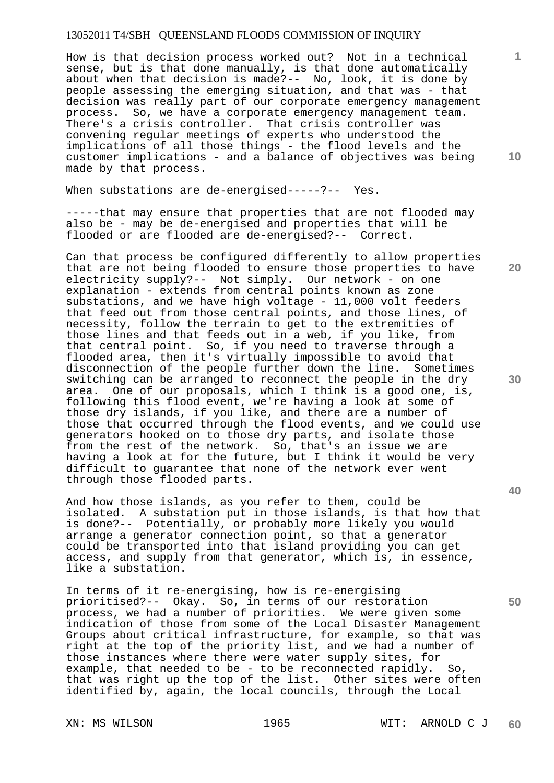How is that decision process worked out? Not in a technical sense, but is that done manually, is that done automatically about when that decision is made?-- No, look, it is done by people assessing the emerging situation, and that was - that decision was really part of our corporate emergency management process. So, we have a corporate emergency management team. There's a crisis controller. That crisis controller was convening regular meetings of experts who understood the implications of all those things - the flood levels and the customer implications - and a balance of objectives was being made by that process.

When substations are de-energised-----?-- Yes.

-----that may ensure that properties that are not flooded may also be - may be de-energised and properties that will be flooded or are flooded are de-energised?-- Correct.

Can that process be configured differently to allow properties that are not being flooded to ensure those properties to have electricity supply?-- Not simply. Our network - on one explanation - extends from central points known as zone substations, and we have high voltage - 11,000 volt feeders that feed out from those central points, and those lines, of necessity, follow the terrain to get to the extremities of those lines and that feeds out in a web, if you like, from that central point. So, if you need to traverse through a flooded area, then it's virtually impossible to avoid that disconnection of the people further down the line. Sometimes switching can be arranged to reconnect the people in the dry area. One of our proposals, which I think is a good one, is, following this flood event, we're having a look at some of those dry islands, if you like, and there are a number of those that occurred through the flood events, and we could use generators hooked on to those dry parts, and isolate those from the rest of the network. So, that's an issue we are having a look at for the future, but I think it would be very difficult to guarantee that none of the network ever went through those flooded parts.

And how those islands, as you refer to them, could be isolated. A substation put in those islands, is that how that is done?-- Potentially, or probably more likely you would arrange a generator connection point, so that a generator could be transported into that island providing you can get access, and supply from that generator, which is, in essence, like a substation.

In terms of it re-energising, how is re-energising prioritised?-- Okay. So, in terms of our restoration process, we had a number of priorities. We were given some indication of those from some of the Local Disaster Management Groups about critical infrastructure, for example, so that was right at the top of the priority list, and we had a number of those instances where there were water supply sites, for example, that needed to be - to be reconnected rapidly. So, that was right up the top of the list. Other sites were often identified by, again, the local councils, through the Local

**10** 

**1**

**20** 

**40**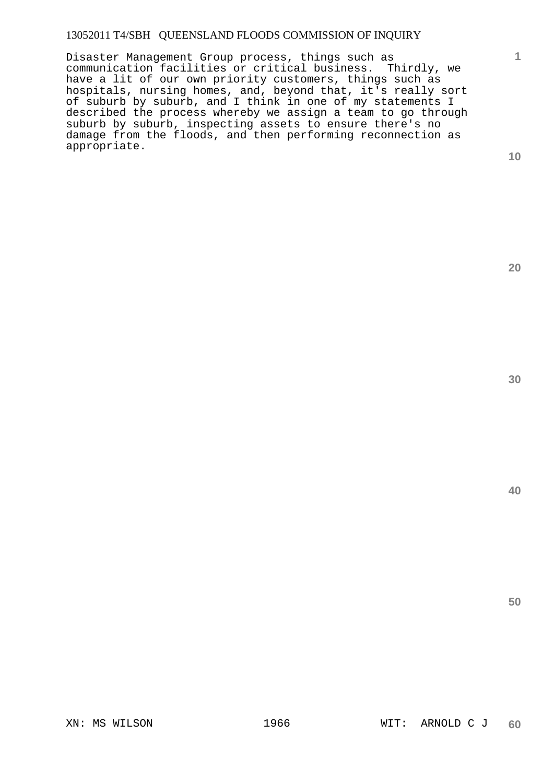Disaster Management Group process, things such as communication facilities or critical business. Thirdly, we have a lit of our own priority customers, things such as hospitals, nursing homes, and, beyond that, it's really sort of suburb by suburb, and I think in one of my statements I described the process whereby we assign a team to go through suburb by suburb, inspecting assets to ensure there's no damage from the floods, and then performing reconnection as appropriate.

**10** 

**1**

**20** 

**30**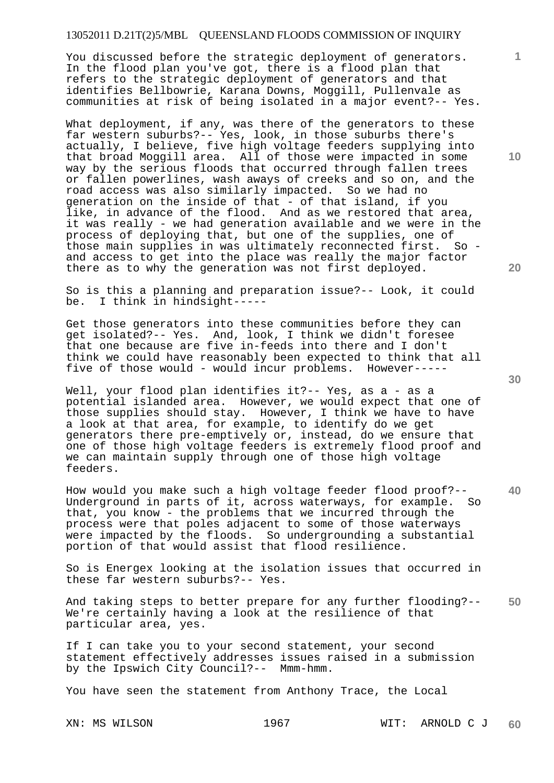You discussed before the strategic deployment of generators. In the flood plan you've got, there is a flood plan that refers to the strategic deployment of generators and that identifies Bellbowrie, Karana Downs, Moggill, Pullenvale as communities at risk of being isolated in a major event?-- Yes.

What deployment, if any, was there of the generators to these far western suburbs?-- Yes, look, in those suburbs there's actually, I believe, five high voltage feeders supplying into that broad Moggill area. All of those were impacted in some way by the serious floods that occurred through fallen trees or fallen powerlines, wash aways of creeks and so on, and the road access was also similarly impacted. So we had no generation on the inside of that - of that island, if you like, in advance of the flood. And as we restored that area, it was really - we had generation available and we were in the process of deploying that, but one of the supplies, one of those main supplies in was ultimately reconnected first. So and access to get into the place was really the major factor there as to why the generation was not first deployed.

So is this a planning and preparation issue?-- Look, it could be. I think in hindsight-----

Get those generators into these communities before they can get isolated?-- Yes. And, look, I think we didn't foresee that one because are five in-feeds into there and I don't think we could have reasonably been expected to think that all five of those would - would incur problems. However-----

Well, your flood plan identifies it ?-- Yes, as a - as a potential islanded area. However, we would expect that one of those supplies should stay. However, I think we have to have a look at that area, for example, to identify do we get generators there pre-emptively or, instead, do we ensure that one of those high voltage feeders is extremely flood proof and we can maintain supply through one of those high voltage feeders.

How would you make such a high voltage feeder flood proof?--<br>Underground in parts of it, across waterways, for example. So Underground in parts of it, across waterways, for example. that, you know - the problems that we incurred through the process were that poles adjacent to some of those waterways were impacted by the floods. So undergrounding a substantial portion of that would assist that flood resilience.

So is Energex looking at the isolation issues that occurred in these far western suburbs?-- Yes.

**50**  And taking steps to better prepare for any further flooding?-- We're certainly having a look at the resilience of that particular area, yes.

If I can take you to your second statement, your second statement effectively addresses issues raised in a submission by the Ipswich City Council?-- Mmm-hmm.

You have seen the statement from Anthony Trace, the Local

**10** 

**1**

**20** 

**30**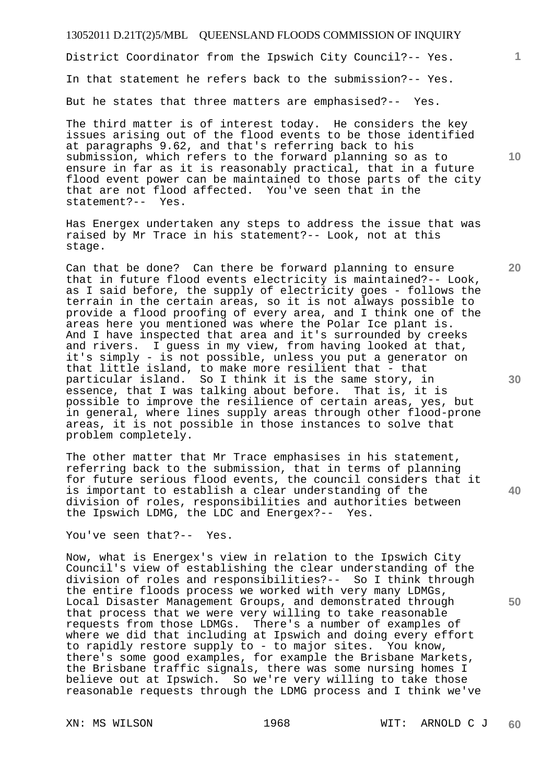District Coordinator from the Ipswich City Council?-- Yes.

In that statement he refers back to the submission?-- Yes.

But he states that three matters are emphasised?-- Yes.

The third matter is of interest today. He considers the key issues arising out of the flood events to be those identified at paragraphs 9.62, and that's referring back to his submission, which refers to the forward planning so as to ensure in far as it is reasonably practical, that in a future flood event power can be maintained to those parts of the city that are not flood affected. You've seen that in the statement?-- Yes.

Has Energex undertaken any steps to address the issue that was raised by Mr Trace in his statement?-- Look, not at this stage.

Can that be done? Can there be forward planning to ensure that in future flood events electricity is maintained?-- Look, as I said before, the supply of electricity goes - follows the terrain in the certain areas, so it is not always possible to provide a flood proofing of every area, and I think one of the areas here you mentioned was where the Polar Ice plant is. And I have inspected that area and it's surrounded by creeks and rivers. I guess in my view, from having looked at that, it's simply - is not possible, unless you put a generator on that little island, to make more resilient that - that particular island. So I think it is the same story, in essence, that I was talking about before. That is, it is possible to improve the resilience of certain areas, yes, but in general, where lines supply areas through other flood-prone areas, it is not possible in those instances to solve that problem completely.

The other matter that Mr Trace emphasises in his statement, referring back to the submission, that in terms of planning for future serious flood events, the council considers that it is important to establish a clear understanding of the division of roles, responsibilities and authorities between the Ipswich LDMG, the LDC and Energex?-- Yes.

You've seen that?-- Yes.

Now, what is Energex's view in relation to the Ipswich City Council's view of establishing the clear understanding of the division of roles and responsibilities?-- So I think through the entire floods process we worked with very many LDMGs, Local Disaster Management Groups, and demonstrated through that process that we were very willing to take reasonable requests from those LDMGs. There's a number of examples of where we did that including at Ipswich and doing every effort to rapidly restore supply to - to major sites. You know, there's some good examples, for example the Brisbane Markets, the Brisbane traffic signals, there was some nursing homes I believe out at Ipswich. So we're very willing to take those reasonable requests through the LDMG process and I think we've

**30** 

**20** 

**1**

**10**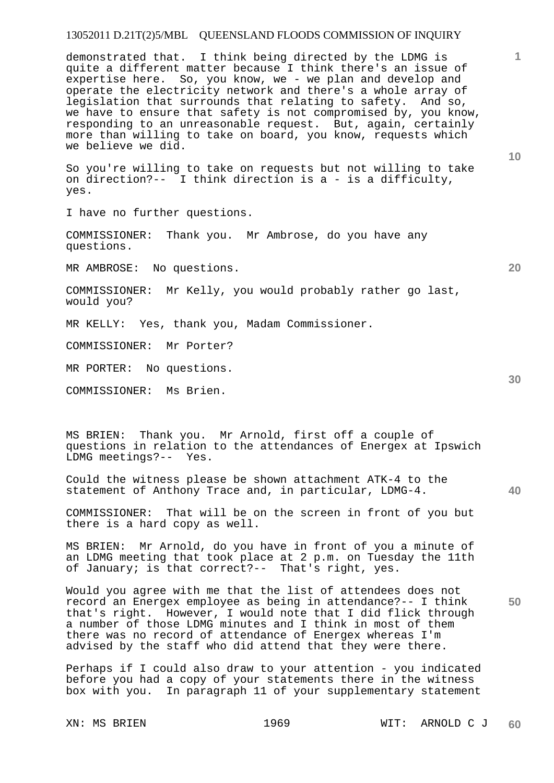demonstrated that. I think being directed by the LDMG is quite a different matter because I think there's an issue of expertise here. So, you know, we - we plan and develop and operate the electricity network and there's a whole array of legislation that surrounds that relating to safety. And so, we have to ensure that safety is not compromised by, you know, responding to an unreasonable request. But, again, certainly more than willing to take on board, you know, requests which we believe we did.

So you're willing to take on requests but not willing to take on direction?-- I think direction is a - is a difficulty, yes.

I have no further questions.

COMMISSIONER: Thank you. Mr Ambrose, do you have any questions.

MR AMBROSE: No questions.

COMMISSIONER: Mr Kelly, you would probably rather go last, would you?

MR KELLY: Yes, thank you, Madam Commissioner.

COMMISSIONER: Mr Porter?

MR PORTER: No questions.

COMMISSIONER: Ms Brien.

MS BRIEN: Thank you. Mr Arnold, first off a couple of questions in relation to the attendances of Energex at Ipswich LDMG meetings?-- Yes.

Could the witness please be shown attachment ATK-4 to the statement of Anthony Trace and, in particular, LDMG-4.

COMMISSIONER: That will be on the screen in front of you but there is a hard copy as well.

MS BRIEN: Mr Arnold, do you have in front of you a minute of an LDMG meeting that took place at 2 p.m. on Tuesday the 11th of January; is that correct?-- That's right, yes.

**50**  Would you agree with me that the list of attendees does not record an Energex employee as being in attendance?-- I think that's right. However, I would note that I did flick through a number of those LDMG minutes and I think in most of them there was no record of attendance of Energex whereas I'm advised by the staff who did attend that they were there.

Perhaps if I could also draw to your attention - you indicated before you had a copy of your statements there in the witness box with you. In paragraph 11 of your supplementary statement

XN: MS BRIEN 1969 WIT: ARNOLD C J **60** 

**10** 

**1**

**20**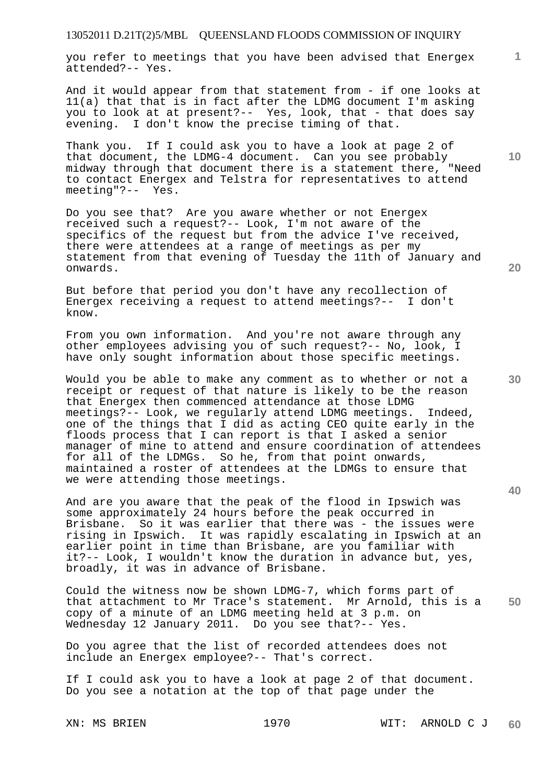you refer to meetings that you have been advised that Energex attended?-- Yes.

And it would appear from that statement from - if one looks at 11(a) that that is in fact after the LDMG document I'm asking you to look at at present?-- Yes, look, that - that does say evening. I don't know the precise timing of that.

Thank you. If I could ask you to have a look at page 2 of that document, the LDMG-4 document. Can you see probably midway through that document there is a statement there, "Need to contact Energex and Telstra for representatives to attend meeting"?-- Yes.

Do you see that? Are you aware whether or not Energex received such a request?-- Look, I'm not aware of the specifics of the request but from the advice I've received, there were attendees at a range of meetings as per my statement from that evening of Tuesday the 11th of January and onwards.

But before that period you don't have any recollection of Energex receiving a request to attend meetings?-- I don't know.

From you own information. And you're not aware through any other employees advising you of such request?-- No, look, I have only sought information about those specific meetings.

Would you be able to make any comment as to whether or not a receipt or request of that nature is likely to be the reason that Energex then commenced attendance at those LDMG meetings?-- Look, we regularly attend LDMG meetings. Indeed, one of the things that I did as acting CEO quite early in the floods process that I can report is that I asked a senior manager of mine to attend and ensure coordination of attendees for all of the LDMGs. So he, from that point onwards, maintained a roster of attendees at the LDMGs to ensure that we were attending those meetings.

And are you aware that the peak of the flood in Ipswich was some approximately 24 hours before the peak occurred in Brisbane. So it was earlier that there was - the issues were rising in Ipswich. It was rapidly escalating in Ipswich at an earlier point in time than Brisbane, are you familiar with it?-- Look, I wouldn't know the duration in advance but, yes, broadly, it was in advance of Brisbane.

**50**  Could the witness now be shown LDMG-7, which forms part of that attachment to Mr Trace's statement. Mr Arnold, this is a copy of a minute of an LDMG meeting held at 3 p.m. on Wednesday 12 January 2011. Do you see that?-- Yes.

Do you agree that the list of recorded attendees does not include an Energex employee?-- That's correct.

If I could ask you to have a look at page 2 of that document. Do you see a notation at the top of that page under the

XN: MS BRIEN 1970 WIT: ARNOLD C J **60** 

**40** 

**20** 

**10**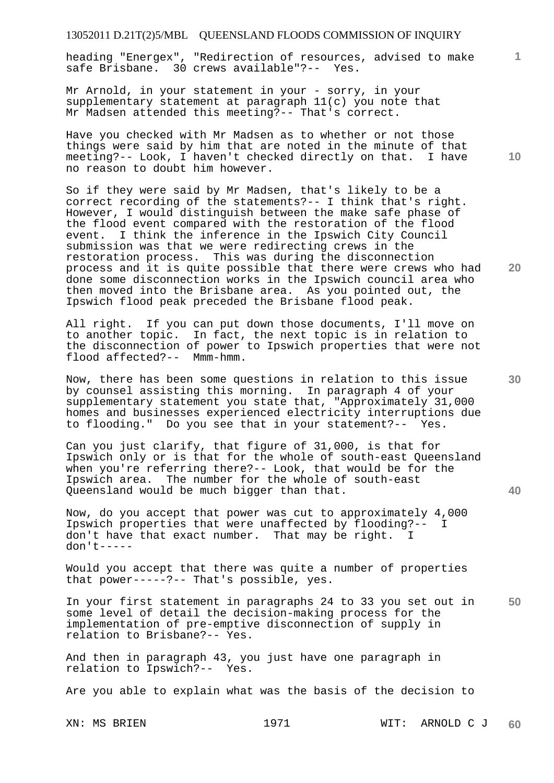heading "Energex", "Redirection of resources, advised to make safe Brisbane. 30 crews available"?-- Yes.

Mr Arnold, in your statement in your - sorry, in your supplementary statement at paragraph 11(c) you note that Mr Madsen attended this meeting?-- That's correct.

Have you checked with Mr Madsen as to whether or not those things were said by him that are noted in the minute of that meeting?-- Look, I haven't checked directly on that. I have no reason to doubt him however.

So if they were said by Mr Madsen, that's likely to be a correct recording of the statements?-- I think that's right. However, I would distinguish between the make safe phase of the flood event compared with the restoration of the flood event. I think the inference in the Ipswich City Council submission was that we were redirecting crews in the restoration process. This was during the disconnection process and it is quite possible that there were crews who had done some disconnection works in the Ipswich council area who then moved into the Brisbane area. As you pointed out, the Ipswich flood peak preceded the Brisbane flood peak.

All right. If you can put down those documents, I'll move on to another topic. In fact, the next topic is in relation to the disconnection of power to Ipswich properties that were not flood affected?-- Mmm-hmm.

Now, there has been some questions in relation to this issue by counsel assisting this morning. In paragraph 4 of your supplementary statement you state that, "Approximately 31,000 homes and businesses experienced electricity interruptions due to flooding." Do you see that in your statement?-- Yes.

Can you just clarify, that figure of 31,000, is that for Ipswich only or is that for the whole of south-east Queensland when you're referring there?-- Look, that would be for the Ipswich area. The number for the whole of south-east Queensland would be much bigger than that.

Now, do you accept that power was cut to approximately 4,000 Ipswich properties that were unaffected by flooding?-- I don't have that exact number. That may be right. I don't-----

Would you accept that there was quite a number of properties that power-----?-- That's possible, yes.

**50**  In your first statement in paragraphs 24 to 33 you set out in some level of detail the decision-making process for the implementation of pre-emptive disconnection of supply in relation to Brisbane?-- Yes.

And then in paragraph 43, you just have one paragraph in relation to Ipswich?-- Yes.

Are you able to explain what was the basis of the decision to

XN: MS BRIEN 1971 WIT: ARNOLD C J **60** 

**10** 

**1**

**20**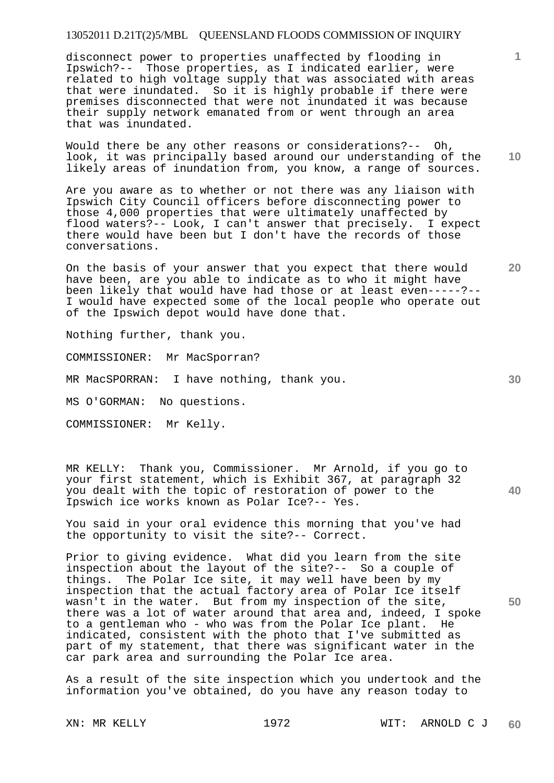disconnect power to properties unaffected by flooding in Ipswich?-- Those properties, as I indicated earlier, were related to high voltage supply that was associated with areas that were inundated. So it is highly probable if there were premises disconnected that were not inundated it was because their supply network emanated from or went through an area that was inundated.

**10**  Would there be any other reasons or considerations?-- Oh, look, it was principally based around our understanding of the likely areas of inundation from, you know, a range of sources.

Are you aware as to whether or not there was any liaison with Ipswich City Council officers before disconnecting power to those 4,000 properties that were ultimately unaffected by flood waters?-- Look, I can't answer that precisely. I expect there would have been but I don't have the records of those conversations.

On the basis of your answer that you expect that there would have been, are you able to indicate as to who it might have been likely that would have had those or at least even-----?-- I would have expected some of the local people who operate out of the Ipswich depot would have done that.

Nothing further, thank you.

COMMISSIONER: Mr MacSporran?

MR MacSPORRAN: I have nothing, thank you.

MS O'GORMAN: No questions.

COMMISSIONER: Mr Kelly.

MR KELLY: Thank you, Commissioner. Mr Arnold, if you go to your first statement, which is Exhibit 367, at paragraph 32 you dealt with the topic of restoration of power to the Ipswich ice works known as Polar Ice?-- Yes.

You said in your oral evidence this morning that you've had the opportunity to visit the site?-- Correct.

Prior to giving evidence. What did you learn from the site inspection about the layout of the site?-- So a couple of things. The Polar Ice site, it may well have been by my inspection that the actual factory area of Polar Ice itself wasn't in the water. But from my inspection of the site, there was a lot of water around that area and, indeed, I spoke to a gentleman who - who was from the Polar Ice plant. He indicated, consistent with the photo that I've submitted as part of my statement, that there was significant water in the car park area and surrounding the Polar Ice area.

As a result of the site inspection which you undertook and the information you've obtained, do you have any reason today to

**20** 

**40** 

**30** 

**50**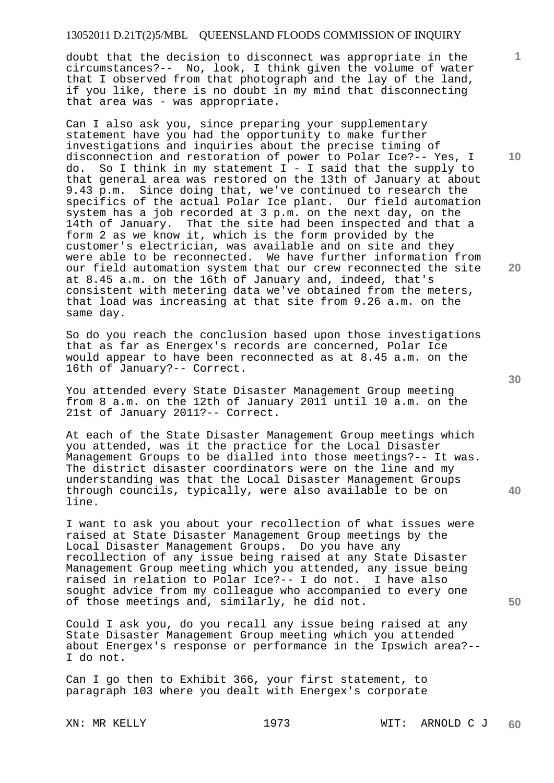doubt that the decision to disconnect was appropriate in the circumstances?-- No, look, I think given the volume of water that I observed from that photograph and the lay of the land, if you like, there is no doubt in my mind that disconnecting that area was - was appropriate.

Can I also ask you, since preparing your supplementary statement have you had the opportunity to make further investigations and inquiries about the precise timing of disconnection and restoration of power to Polar Ice?-- Yes, I do. So I think in my statement  $I - I$  said that the supply to that general area was restored on the 13th of January at about 9.43 p.m. Since doing that, we've continued to research the specifics of the actual Polar Ice plant. Our field automation system has a job recorded at 3 p.m. on the next day, on the 14th of January. That the site had been inspected and that a form 2 as we know it, which is the form provided by the customer's electrician, was available and on site and they were able to be reconnected. We have further information from our field automation system that our crew reconnected the site at 8.45 a.m. on the 16th of January and, indeed, that's consistent with metering data we've obtained from the meters, that load was increasing at that site from 9.26 a.m. on the same day.

So do you reach the conclusion based upon those investigations that as far as Energex's records are concerned, Polar Ice would appear to have been reconnected as at 8.45 a.m. on the 16th of January?-- Correct.

You attended every State Disaster Management Group meeting from 8 a.m. on the 12th of January 2011 until 10 a.m. on the 21st of January 2011?-- Correct.

At each of the State Disaster Management Group meetings which you attended, was it the practice for the Local Disaster Management Groups to be dialled into those meetings?-- It was. The district disaster coordinators were on the line and my understanding was that the Local Disaster Management Groups through councils, typically, were also available to be on line.

I want to ask you about your recollection of what issues were raised at State Disaster Management Group meetings by the Local Disaster Management Groups. Do you have any recollection of any issue being raised at any State Disaster Management Group meeting which you attended, any issue being raised in relation to Polar Ice?-- I do not. I have also sought advice from my colleague who accompanied to every one of those meetings and, similarly, he did not.

Could I ask you, do you recall any issue being raised at any State Disaster Management Group meeting which you attended about Energex's response or performance in the Ipswich area?-- I do not.

Can I go then to Exhibit 366, your first statement, to paragraph 103 where you dealt with Energex's corporate

**10** 

**1**

**20** 

**40**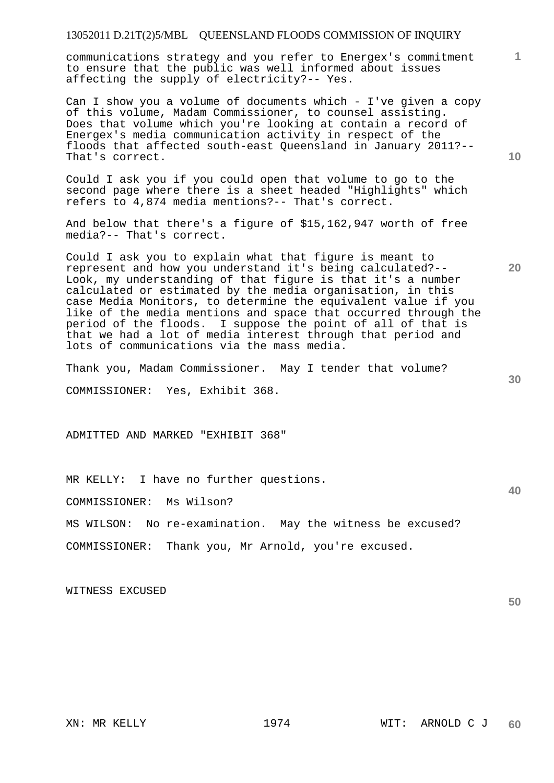communications strategy and you refer to Energex's commitment to ensure that the public was well informed about issues affecting the supply of electricity?-- Yes.

Can I show you a volume of documents which - I've given a copy of this volume, Madam Commissioner, to counsel assisting. Does that volume which you're looking at contain a record of Energex's media communication activity in respect of the floods that affected south-east Queensland in January 2011?-- That's correct.

Could I ask you if you could open that volume to go to the second page where there is a sheet headed "Highlights" which refers to 4,874 media mentions?-- That's correct.

And below that there's a figure of \$15,162,947 worth of free media?-- That's correct.

Could I ask you to explain what that figure is meant to represent and how you understand it's being calculated?-- Look, my understanding of that figure is that it's a number calculated or estimated by the media organisation, in this case Media Monitors, to determine the equivalent value if you like of the media mentions and space that occurred through the period of the floods. I suppose the point of all of that is that we had a lot of media interest through that period and lots of communications via the mass media.

Thank you, Madam Commissioner. May I tender that volume?

COMMISSIONER: Yes, Exhibit 368.

ADMITTED AND MARKED "EXHIBIT 368"

MR KELLY: I have no further questions.

COMMISSIONER: Ms Wilson?

MS WILSON: No re-examination. May the witness be excused?

COMMISSIONER: Thank you, Mr Arnold, you're excused.

WITNESS EXCUSED

**10** 

**20** 

**1**

**30** 

**40**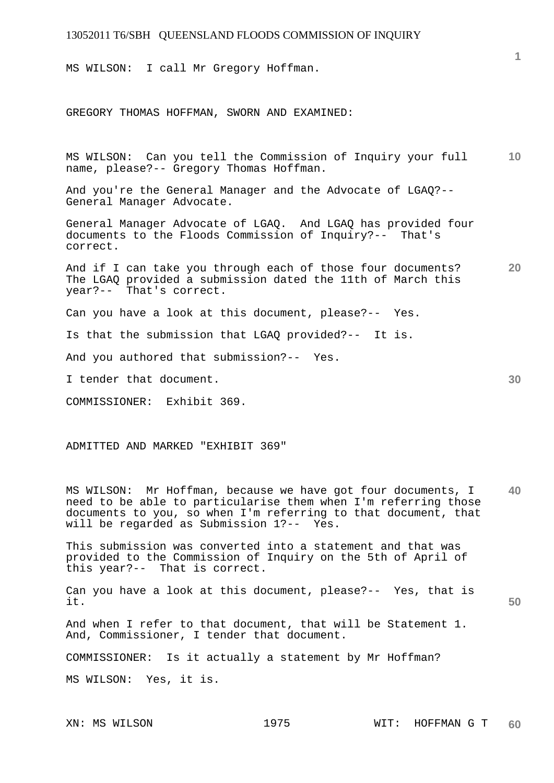MS WILSON: I call Mr Gregory Hoffman.

GREGORY THOMAS HOFFMAN, SWORN AND EXAMINED:

**10**  MS WILSON: Can you tell the Commission of Inquiry your full name, please?-- Gregory Thomas Hoffman.

And you're the General Manager and the Advocate of LGAQ?-- General Manager Advocate.

General Manager Advocate of LGAQ. And LGAQ has provided four documents to the Floods Commission of Inquiry?-- That's correct.

**20**  And if I can take you through each of those four documents? The LGAQ provided a submission dated the 11th of March this year?-- That's correct.

Can you have a look at this document, please?-- Yes.

Is that the submission that LGAQ provided?-- It is.

And you authored that submission?-- Yes.

I tender that document.

COMMISSIONER: Exhibit 369.

ADMITTED AND MARKED "EXHIBIT 369"

**40**  MS WILSON: Mr Hoffman, because we have got four documents, I need to be able to particularise them when I'm referring those documents to you, so when I'm referring to that document, that will be regarded as Submission 1?-- Yes.

This submission was converted into a statement and that was provided to the Commission of Inquiry on the 5th of April of this year?-- That is correct.

**50**  Can you have a look at this document, please?-- Yes, that is it.

And when I refer to that document, that will be Statement 1. And, Commissioner, I tender that document.

COMMISSIONER: Is it actually a statement by Mr Hoffman?

MS WILSON: Yes, it is.

**1**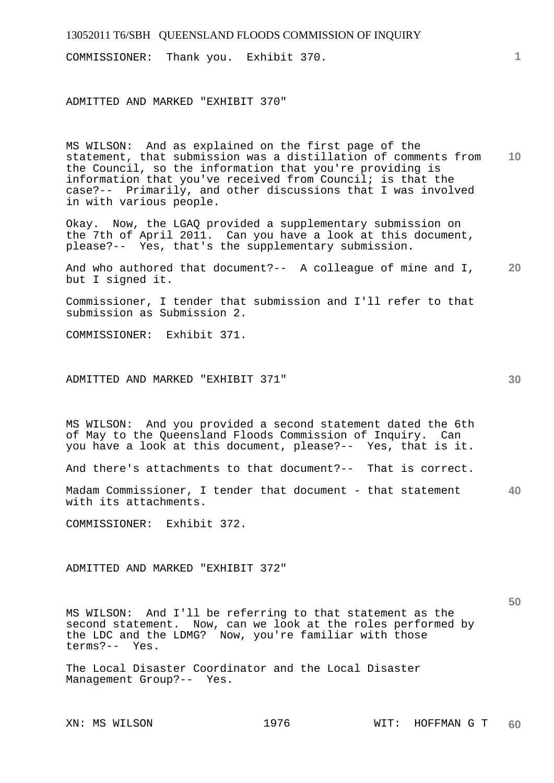| 13052011 T6/SBH QUEENSLAND FLOODS COMMISSION OF INQUIRY                                                                                                                                                                                                                                                                                     |    |
|---------------------------------------------------------------------------------------------------------------------------------------------------------------------------------------------------------------------------------------------------------------------------------------------------------------------------------------------|----|
| COMMISSIONER: Thank you. Exhibit 370.                                                                                                                                                                                                                                                                                                       |    |
| ADMITTED AND MARKED "EXHIBIT 370"                                                                                                                                                                                                                                                                                                           |    |
| MS WILSON: And as explained on the first page of the<br>statement, that submission was a distillation of comments from<br>the Council, so the information that you're providing is<br>information that you've received from Council; is that the<br>case?-- Primarily, and other discussions that I was involved<br>in with various people. | 10 |

Okay. Now, the LGAQ provided a supplementary submission on the 7th of April 2011. Can you have a look at this document, please?-- Yes, that's the supplementary submission.

**20**  And who authored that document?-- A colleague of mine and I, but I signed it.

Commissioner, I tender that submission and I'll refer to that submission as Submission 2.

COMMISSIONER: Exhibit 371.

ADMITTED AND MARKED "EXHIBIT 371"

MS WILSON: And you provided a second statement dated the 6th of May to the Queensland Floods Commission of Inquiry. Can you have a look at this document, please?-- Yes, that is it.

And there's attachments to that document?-- That is correct.

**40**  Madam Commissioner, I tender that document - that statement with its attachments.

COMMISSIONER: Exhibit 372.

ADMITTED AND MARKED "EXHIBIT 372"

MS WILSON: And I'll be referring to that statement as the second statement. Now, can we look at the roles performed by the LDC and the LDMG? Now, you're familiar with those terms?-- Yes.

The Local Disaster Coordinator and the Local Disaster Management Group?-- Yes.

**30**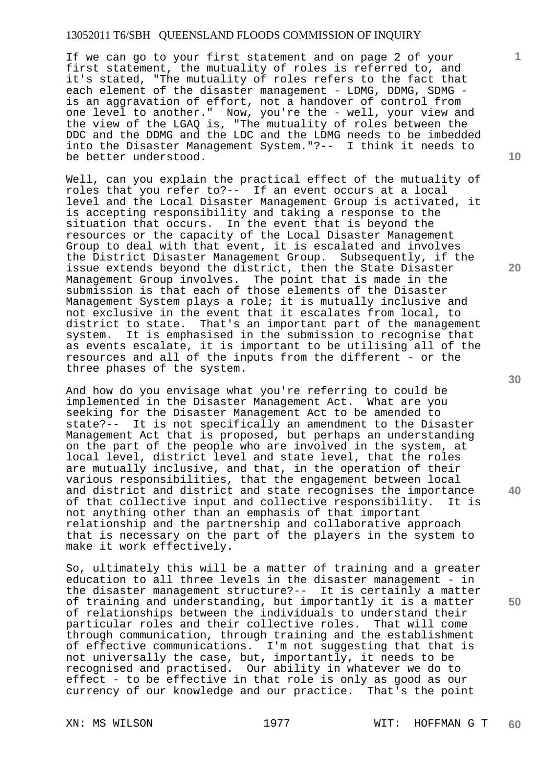If we can go to your first statement and on page 2 of your first statement, the mutuality of roles is referred to, and it's stated, "The mutuality of roles refers to the fact that each element of the disaster management - LDMG, DDMG, SDMG is an aggravation of effort, not a handover of control from one level to another." Now, you're the - well, your view and the view of the LGAQ is, "The mutuality of roles between the DDC and the DDMG and the LDC and the LDMG needs to be imbedded into the Disaster Management System."?-- I think it needs to be better understood.

Well, can you explain the practical effect of the mutuality of roles that you refer to?-- If an event occurs at a local level and the Local Disaster Management Group is activated, it is accepting responsibility and taking a response to the situation that occurs. In the event that is beyond the resources or the capacity of the Local Disaster Management Group to deal with that event, it is escalated and involves the District Disaster Management Group. Subsequently, if the issue extends beyond the district, then the State Disaster Management Group involves. The point that is made in the submission is that each of those elements of the Disaster Management System plays a role; it is mutually inclusive and not exclusive in the event that it escalates from local, to district to state. That's an important part of the management system. It is emphasised in the submission to recognise that as events escalate, it is important to be utilising all of the resources and all of the inputs from the different - or the three phases of the system.

And how do you envisage what you're referring to could be implemented in the Disaster Management Act. What are you seeking for the Disaster Management Act to be amended to state?-- It is not specifically an amendment to the Disaster Management Act that is proposed, but perhaps an understanding on the part of the people who are involved in the system, at local level, district level and state level, that the roles are mutually inclusive, and that, in the operation of their various responsibilities, that the engagement between local and district and district and state recognises the importance<br>of that collective input and collective responsibility. It is of that collective input and collective responsibility. not anything other than an emphasis of that important relationship and the partnership and collaborative approach that is necessary on the part of the players in the system to make it work effectively.

So, ultimately this will be a matter of training and a greater education to all three levels in the disaster management - in the disaster management structure?-- It is certainly a matter of training and understanding, but importantly it is a matter of relationships between the individuals to understand their particular roles and their collective roles. That will come through communication, through training and the establishment of effective communications. I'm not suggesting that that is not universally the case, but, importantly, it needs to be recognised and practised. Our ability in whatever we do to effect - to be effective in that role is only as good as our currency of our knowledge and our practice. That's the point

**10** 

**1**

**20** 

**40**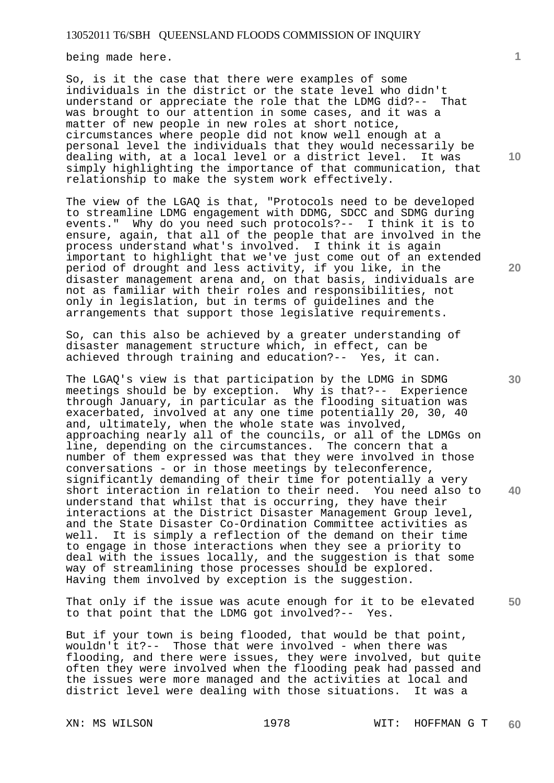being made here.

So, is it the case that there were examples of some individuals in the district or the state level who didn't understand or appreciate the role that the LDMG did?-- That was brought to our attention in some cases, and it was a matter of new people in new roles at short notice, circumstances where people did not know well enough at a personal level the individuals that they would necessarily be dealing with, at a local level or a district level. It was simply highlighting the importance of that communication, that relationship to make the system work effectively.

The view of the LGAQ is that, "Protocols need to be developed to streamline LDMG engagement with DDMG, SDCC and SDMG during events." Why do you need such protocols?-- I think it is to ensure, again, that all of the people that are involved in the process understand what's involved. I think it is again important to highlight that we've just come out of an extended period of drought and less activity, if you like, in the disaster management arena and, on that basis, individuals are not as familiar with their roles and responsibilities, not only in legislation, but in terms of guidelines and the arrangements that support those legislative requirements.

So, can this also be achieved by a greater understanding of disaster management structure which, in effect, can be achieved through training and education?-- Yes, it can.

The LGAQ's view is that participation by the LDMG in SDMG meetings should be by exception. Why is that?-- Experience through January, in particular as the flooding situation was exacerbated, involved at any one time potentially 20, 30, 40 and, ultimately, when the whole state was involved, approaching nearly all of the councils, or all of the LDMGs on line, depending on the circumstances. The concern that a number of them expressed was that they were involved in those conversations - or in those meetings by teleconference, significantly demanding of their time for potentially a very short interaction in relation to their need. You need also to understand that whilst that is occurring, they have their interactions at the District Disaster Management Group level, and the State Disaster Co-Ordination Committee activities as well. It is simply a reflection of the demand on their time to engage in those interactions when they see a priority to deal with the issues locally, and the suggestion is that some way of streamlining those processes should be explored. Having them involved by exception is the suggestion.

**50**  That only if the issue was acute enough for it to be elevated to that point that the LDMG got involved?-- Yes.

But if your town is being flooded, that would be that point, wouldn't it?-- Those that were involved - when there was flooding, and there were issues, they were involved, but quite often they were involved when the flooding peak had passed and the issues were more managed and the activities at local and district level were dealing with those situations. It was a

**10** 

**1**

**20**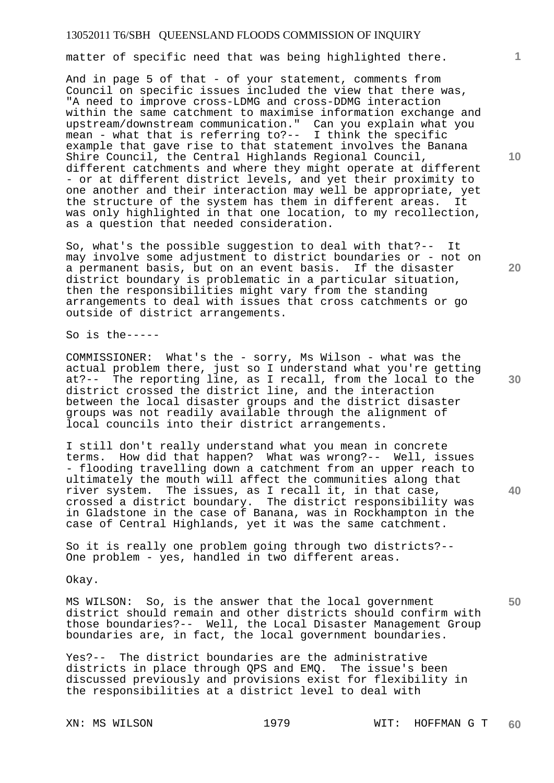matter of specific need that was being highlighted there.

And in page 5 of that - of your statement, comments from Council on specific issues included the view that there was, "A need to improve cross-LDMG and cross-DDMG interaction within the same catchment to maximise information exchange and upstream/downstream communication." Can you explain what you mean - what that is referring to?-- I think the specific example that gave rise to that statement involves the Banana Shire Council, the Central Highlands Regional Council, different catchments and where they might operate at different - or at different district levels, and yet their proximity to one another and their interaction may well be appropriate, yet the structure of the system has them in different areas. It was only highlighted in that one location, to my recollection, as a question that needed consideration.

So, what's the possible suggestion to deal with that?-- It may involve some adjustment to district boundaries or - not on a permanent basis, but on an event basis. If the disaster district boundary is problematic in a particular situation, then the responsibilities might vary from the standing arrangements to deal with issues that cross catchments or go outside of district arrangements.

So is the-----

COMMISSIONER: What's the - sorry, Ms Wilson - what was the actual problem there, just so I understand what you're getting at?-- The reporting line, as I recall, from the local to the district crossed the district line, and the interaction between the local disaster groups and the district disaster groups was not readily available through the alignment of local councils into their district arrangements.

I still don't really understand what you mean in concrete terms. How did that happen? What was wrong?-- Well, issues - flooding travelling down a catchment from an upper reach to ultimately the mouth will affect the communities along that river system. The issues, as I recall it, in that case, crossed a district boundary. The district responsibility was in Gladstone in the case of Banana, was in Rockhampton in the case of Central Highlands, yet it was the same catchment.

So it is really one problem going through two districts?-- One problem - yes, handled in two different areas.

Okay.

MS WILSON: So, is the answer that the local government district should remain and other districts should confirm with those boundaries?-- Well, the Local Disaster Management Group boundaries are, in fact, the local government boundaries.

Yes?-- The district boundaries are the administrative districts in place through QPS and EMQ. The issue's been discussed previously and provisions exist for flexibility in the responsibilities at a district level to deal with

**10** 

**1**

**20** 

**40**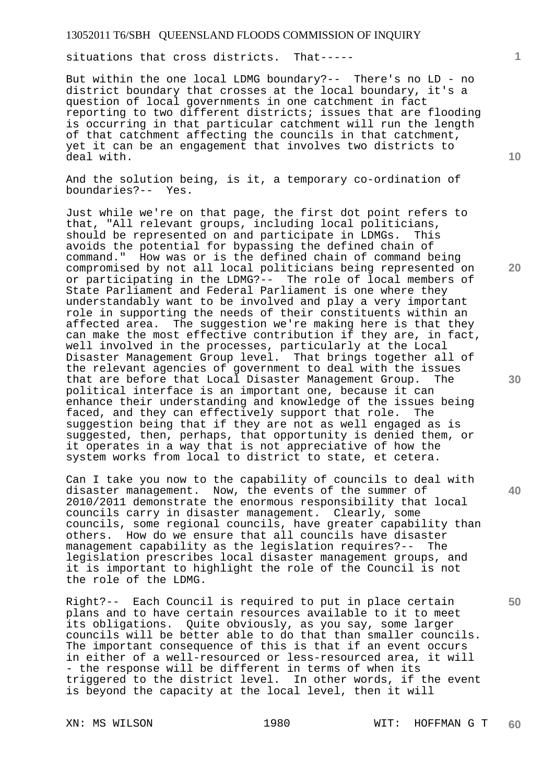situations that cross districts. That-----

But within the one local LDMG boundary?-- There's no LD - no district boundary that crosses at the local boundary, it's a question of local governments in one catchment in fact reporting to two different districts; issues that are flooding is occurring in that particular catchment will run the length of that catchment affecting the councils in that catchment, yet it can be an engagement that involves two districts to deal with.

And the solution being, is it, a temporary co-ordination of boundaries?-- Yes.

Just while we're on that page, the first dot point refers to that, "All relevant groups, including local politicians, should be represented on and participate in LDMGs. This avoids the potential for bypassing the defined chain of command." How was or is the defined chain of command being compromised by not all local politicians being represented on or participating in the LDMG?-- The role of local members of State Parliament and Federal Parliament is one where they understandably want to be involved and play a very important role in supporting the needs of their constituents within an affected area. The suggestion we're making here is that they can make the most effective contribution if they are, in fact, well involved in the processes, particularly at the Local Disaster Management Group level. That brings together all of the relevant agencies of government to deal with the issues that are before that Local Disaster Management Group. The political interface is an important one, because it can enhance their understanding and knowledge of the issues being<br>faced, and they can effectively support that role. The faced, and they can effectively support that role. suggestion being that if they are not as well engaged as is suggested, then, perhaps, that opportunity is denied them, or it operates in a way that is not appreciative of how the system works from local to district to state, et cetera.

Can I take you now to the capability of councils to deal with disaster management. Now, the events of the summer of 2010/2011 demonstrate the enormous responsibility that local councils carry in disaster management. Clearly, some councils, some regional councils, have greater capability than others. How do we ensure that all councils have disaster management capability as the legislation requires?-- The legislation prescribes local disaster management groups, and it is important to highlight the role of the Council is not the role of the LDMG.

Right?-- Each Council is required to put in place certain plans and to have certain resources available to it to meet its obligations. Quite obviously, as you say, some larger councils will be better able to do that than smaller councils. The important consequence of this is that if an event occurs in either of a well-resourced or less-resourced area, it will - the response will be different in terms of when its triggered to the district level. In other words, if the event is beyond the capacity at the local level, then it will

**10** 

**1**

**20** 

- 
- **30**

**40**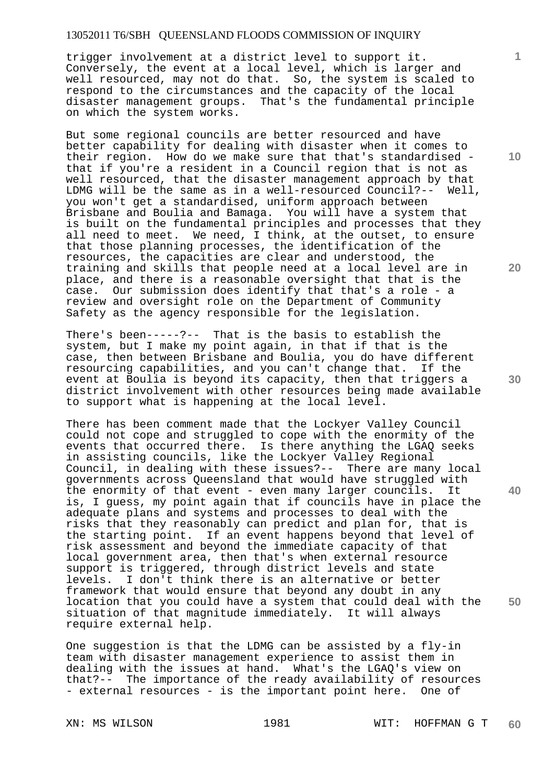trigger involvement at a district level to support it. Conversely, the event at a local level, which is larger and well resourced, may not do that. So, the system is scaled to respond to the circumstances and the capacity of the local disaster management groups. That's the fundamental principle on which the system works.

But some regional councils are better resourced and have better capability for dealing with disaster when it comes to their region. How do we make sure that that's standardised that if you're a resident in a Council region that is not as well resourced, that the disaster management approach by that LDMG will be the same as in a well-resourced Council?-- Well, you won't get a standardised, uniform approach between Brisbane and Boulia and Bamaga. You will have a system that is built on the fundamental principles and processes that they all need to meet. We need, I think, at the outset, to ensure that those planning processes, the identification of the resources, the capacities are clear and understood, the training and skills that people need at a local level are in place, and there is a reasonable oversight that that is the case. Our submission does identify that that's a role - a review and oversight role on the Department of Community Safety as the agency responsible for the legislation.

There's been-----?-- That is the basis to establish the system, but I make my point again, in that if that is the case, then between Brisbane and Boulia, you do have different resourcing capabilities, and you can't change that. If the event at Boulia is beyond its capacity, then that triggers a district involvement with other resources being made available to support what is happening at the local level.

There has been comment made that the Lockyer Valley Council could not cope and struggled to cope with the enormity of the events that occurred there. Is there anything the LGAQ seeks in assisting councils, like the Lockyer Valley Regional Council, in dealing with these issues?-- There are many local governments across Queensland that would have struggled with the enormity of that event - even many larger councils. It is, I guess, my point again that if councils have in place the adequate plans and systems and processes to deal with the risks that they reasonably can predict and plan for, that is the starting point. If an event happens beyond that level of risk assessment and beyond the immediate capacity of that local government area, then that's when external resource support is triggered, through district levels and state levels. I don't think there is an alternative or better framework that would ensure that beyond any doubt in any location that you could have a system that could deal with the situation of that magnitude immediately. It will always require external help.

One suggestion is that the LDMG can be assisted by a fly-in team with disaster management experience to assist them in dealing with the issues at hand. What's the LGAQ's view on that?-- The importance of the ready availability of resources - external resources - is the important point here. One of

**10** 

**1**

**20** 

**30** 

**40**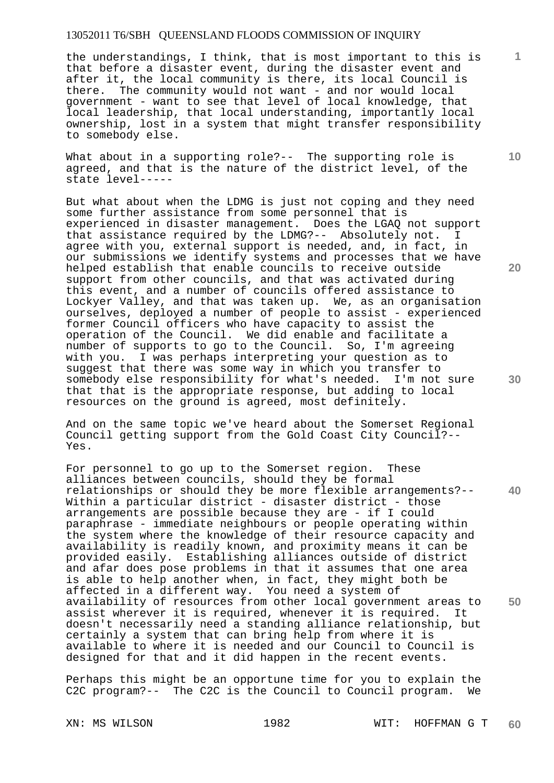the understandings, I think, that is most important to this is that before a disaster event, during the disaster event and after it, the local community is there, its local Council is there. The community would not want - and nor would local government - want to see that level of local knowledge, that local leadership, that local understanding, importantly local ownership, lost in a system that might transfer responsibility to somebody else.

What about in a supporting role?-- The supporting role is agreed, and that is the nature of the district level, of the state level-----

But what about when the LDMG is just not coping and they need some further assistance from some personnel that is experienced in disaster management. Does the LGAQ not support that assistance required by the LDMG?-- Absolutely not. I agree with you, external support is needed, and, in fact, in our submissions we identify systems and processes that we have helped establish that enable councils to receive outside support from other councils, and that was activated during this event, and a number of councils offered assistance to Lockyer Valley, and that was taken up. We, as an organisation ourselves, deployed a number of people to assist - experienced former Council officers who have capacity to assist the operation of the Council. We did enable and facilitate a number of supports to go to the Council. So, I'm agreeing with you. I was perhaps interpreting your question as to suggest that there was some way in which you transfer to somebody else responsibility for what's needed. I'm not sure that that is the appropriate response, but adding to local resources on the ground is agreed, most definitely.

And on the same topic we've heard about the Somerset Regional Council getting support from the Gold Coast City Council?-- Yes.

**40 50**  For personnel to go up to the Somerset region. These alliances between councils, should they be formal relationships or should they be more flexible arrangements?-- Within a particular district - disaster district - those arrangements are possible because they are - if I could paraphrase - immediate neighbours or people operating within the system where the knowledge of their resource capacity and availability is readily known, and proximity means it can be provided easily. Establishing alliances outside of district and afar does pose problems in that it assumes that one area is able to help another when, in fact, they might both be affected in a different way. You need a system of availability of resources from other local government areas to assist wherever it is required, whenever it is required. It doesn't necessarily need a standing alliance relationship, but certainly a system that can bring help from where it is available to where it is needed and our Council to Council is designed for that and it did happen in the recent events.

Perhaps this might be an opportune time for you to explain the C2C program?-- The C2C is the Council to Council program. We

**10** 

**1**

**20**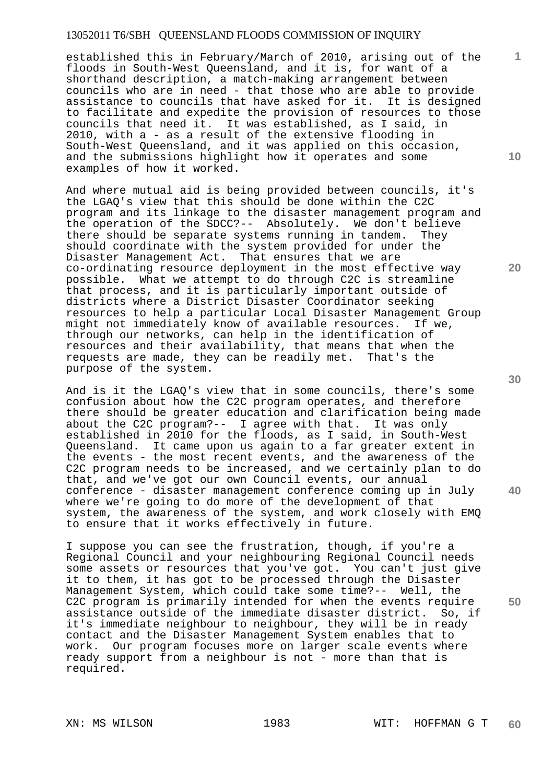established this in February/March of 2010, arising out of the floods in South-West Queensland, and it is, for want of a shorthand description, a match-making arrangement between councils who are in need - that those who are able to provide assistance to councils that have asked for it. It is designed to facilitate and expedite the provision of resources to those councils that need it. It was established, as I said, in 2010, with a - as a result of the extensive flooding in South-West Queensland, and it was applied on this occasion, and the submissions highlight how it operates and some examples of how it worked.

And where mutual aid is being provided between councils, it's the LGAQ's view that this should be done within the C2C program and its linkage to the disaster management program and the operation of the SDCC?-- Absolutely. We don't believe<br>there should be separate systems running in tandem. They there should be separate systems running in tandem. should coordinate with the system provided for under the Disaster Management Act. That ensures that we are co-ordinating resource deployment in the most effective way possible. What we attempt to do through C2C is streamline that process, and it is particularly important outside of districts where a District Disaster Coordinator seeking resources to help a particular Local Disaster Management Group might not immediately know of available resources. If we, through our networks, can help in the identification of resources and their availability, that means that when the requests are made, they can be readily met. That's the purpose of the system.

And is it the LGAQ's view that in some councils, there's some confusion about how the C2C program operates, and therefore there should be greater education and clarification being made about the C2C program?-- I agree with that. It was only established in 2010 for the floods, as I said, in South-West Queensland. It came upon us again to a far greater extent in the events - the most recent events, and the awareness of the C2C program needs to be increased, and we certainly plan to do that, and we've got our own Council events, our annual conference - disaster management conference coming up in July where we're going to do more of the development of that system, the awareness of the system, and work closely with EMQ to ensure that it works effectively in future.

I suppose you can see the frustration, though, if you're a Regional Council and your neighbouring Regional Council needs some assets or resources that you've got. You can't just give it to them, it has got to be processed through the Disaster Management System, which could take some time?-- Well, the C2C program is primarily intended for when the events require assistance outside of the immediate disaster district. So, if it's immediate neighbour to neighbour, they will be in ready contact and the Disaster Management System enables that to work. Our program focuses more on larger scale events where ready support from a neighbour is not - more than that is required.

**10** 

**1**

**20**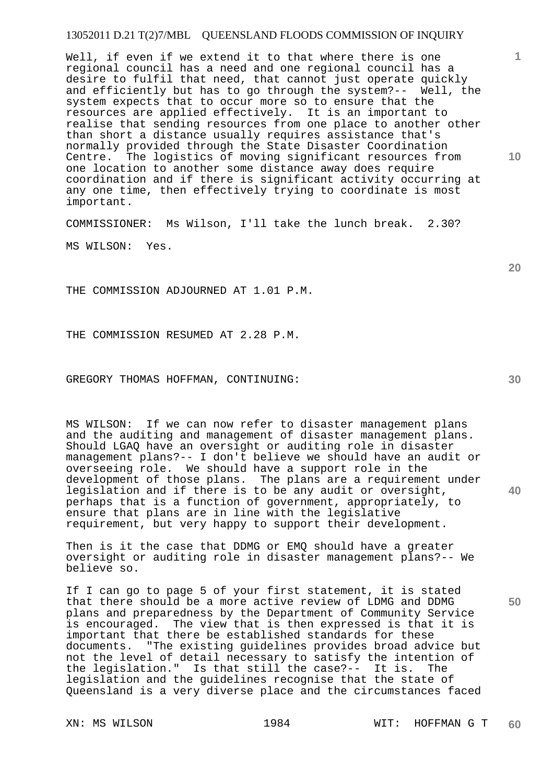Well, if even if we extend it to that where there is one regional council has a need and one regional council has a desire to fulfil that need, that cannot just operate quickly and efficiently but has to go through the system?-- Well, the system expects that to occur more so to ensure that the resources are applied effectively. It is an important to realise that sending resources from one place to another other than short a distance usually requires assistance that's normally provided through the State Disaster Coordination Centre. The logistics of moving significant resources from one location to another some distance away does require coordination and if there is significant activity occurring at any one time, then effectively trying to coordinate is most important.

COMMISSIONER: Ms Wilson, I'll take the lunch break. 2.30?

MS WILSON: Yes.

THE COMMISSION ADJOURNED AT 1.01 P.M.

THE COMMISSION RESUMED AT 2.28 P.M.

GREGORY THOMAS HOFFMAN, CONTINUING:

MS WILSON: If we can now refer to disaster management plans and the auditing and management of disaster management plans. Should LGAQ have an oversight or auditing role in disaster management plans?-- I don't believe we should have an audit or overseeing role. We should have a support role in the development of those plans. The plans are a requirement under legislation and if there is to be any audit or oversight, perhaps that is a function of government, appropriately, to ensure that plans are in line with the legislative requirement, but very happy to support their development.

Then is it the case that DDMG or EMQ should have a greater oversight or auditing role in disaster management plans?-- We believe so.

If I can go to page 5 of your first statement, it is stated that there should be a more active review of LDMG and DDMG plans and preparedness by the Department of Community Service is encouraged. The view that is then expressed is that it is important that there be established standards for these documents. "The existing guidelines provides broad advice but not the level of detail necessary to satisfy the intention of the legislation." Is that still the case?-- It is. The legislation and the guidelines recognise that the state of Queensland is a very diverse place and the circumstances faced

**30** 

**40** 

**50** 

**20** 

**10**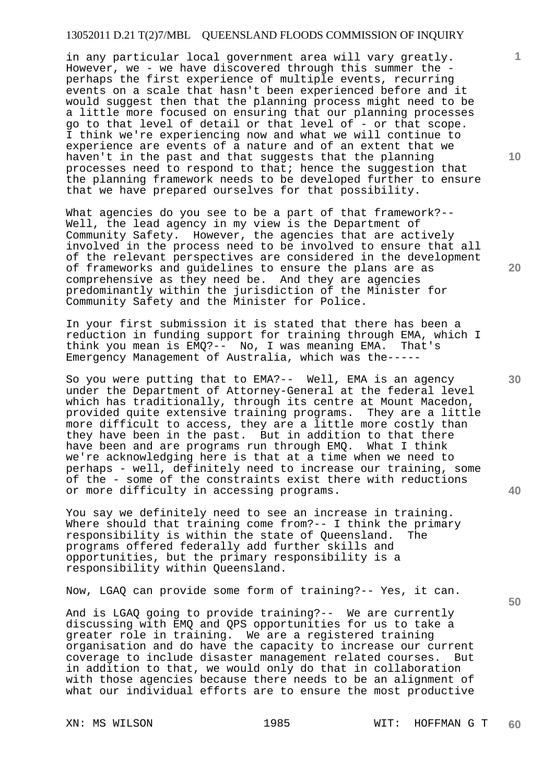in any particular local government area will vary greatly. However, we - we have discovered through this summer the perhaps the first experience of multiple events, recurring events on a scale that hasn't been experienced before and it would suggest then that the planning process might need to be a little more focused on ensuring that our planning processes go to that level of detail or that level of - or that scope. I think we're experiencing now and what we will continue to experience are events of a nature and of an extent that we haven't in the past and that suggests that the planning processes need to respond to that; hence the suggestion that the planning framework needs to be developed further to ensure that we have prepared ourselves for that possibility.

What agencies do you see to be a part of that framework?--Well, the lead agency in my view is the Department of Community Safety. However, the agencies that are actively involved in the process need to be involved to ensure that all of the relevant perspectives are considered in the development of frameworks and guidelines to ensure the plans are as comprehensive as they need be. And they are agencies predominantly within the jurisdiction of the Minister for Community Safety and the Minister for Police.

In your first submission it is stated that there has been a reduction in funding support for training through EMA, which I think you mean is EMQ?-- No, I was meaning EMA. That's Emergency Management of Australia, which was the-----

So you were putting that to EMA?-- Well, EMA is an agency under the Department of Attorney-General at the federal level which has traditionally, through its centre at Mount Macedon, provided quite extensive training programs. They are a little more difficult to access, they are a little more costly than they have been in the past. But in addition to that there have been and are programs run through EMQ. What I think we're acknowledging here is that at a time when we need to perhaps - well, definitely need to increase our training, some of the - some of the constraints exist there with reductions or more difficulty in accessing programs.

You say we definitely need to see an increase in training. Where should that training come from?-- I think the primary responsibility is within the state of Queensland. The programs offered federally add further skills and opportunities, but the primary responsibility is a responsibility within Queensland.

Now, LGAQ can provide some form of training?-- Yes, it can.

And is LGAQ going to provide training?-- We are currently discussing with EMQ and QPS opportunities for us to take a greater role in training. We are a registered training organisation and do have the capacity to increase our current coverage to include disaster management related courses. But in addition to that, we would only do that in collaboration with those agencies because there needs to be an alignment of what our individual efforts are to ensure the most productive

**10** 

**1**

**20** 

**40**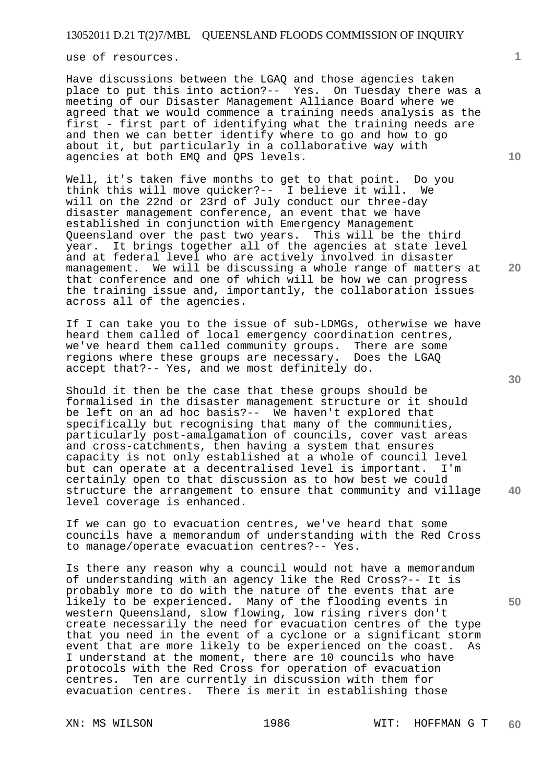use of resources.

Have discussions between the LGAQ and those agencies taken place to put this into action?-- Yes. On Tuesday there was a meeting of our Disaster Management Alliance Board where we agreed that we would commence a training needs analysis as the first - first part of identifying what the training needs are and then we can better identify where to go and how to go about it, but particularly in a collaborative way with agencies at both EMQ and QPS levels.

Well, it's taken five months to get to that point. Do you think this will move quicker?-- I believe it will. We will on the 22nd or 23rd of July conduct our three-day disaster management conference, an event that we have established in conjunction with Emergency Management Queensland over the past two years. This will be the third year. It brings together all of the agencies at state level and at federal level who are actively involved in disaster management. We will be discussing a whole range of matters at that conference and one of which will be how we can progress the training issue and, importantly, the collaboration issues across all of the agencies.

If I can take you to the issue of sub-LDMGs, otherwise we have heard them called of local emergency coordination centres, we've heard them called community groups. There are some regions where these groups are necessary. Does the LGAQ accept that?-- Yes, and we most definitely do.

Should it then be the case that these groups should be formalised in the disaster management structure or it should be left on an ad hoc basis?-- We haven't explored that specifically but recognising that many of the communities, particularly post-amalgamation of councils, cover vast areas and cross-catchments, then having a system that ensures capacity is not only established at a whole of council level but can operate at a decentralised level is important. I'm certainly open to that discussion as to how best we could structure the arrangement to ensure that community and village level coverage is enhanced.

If we can go to evacuation centres, we've heard that some councils have a memorandum of understanding with the Red Cross to manage/operate evacuation centres?-- Yes.

Is there any reason why a council would not have a memorandum of understanding with an agency like the Red Cross?-- It is probably more to do with the nature of the events that are likely to be experienced. Many of the flooding events in western Queensland, slow flowing, low rising rivers don't create necessarily the need for evacuation centres of the type that you need in the event of a cyclone or a significant storm event that are more likely to be experienced on the coast. As I understand at the moment, there are 10 councils who have protocols with the Red Cross for operation of evacuation centres. Ten are currently in discussion with them for evacuation centres. There is merit in establishing those

**20** 

**10** 

**1**

**30** 

**50**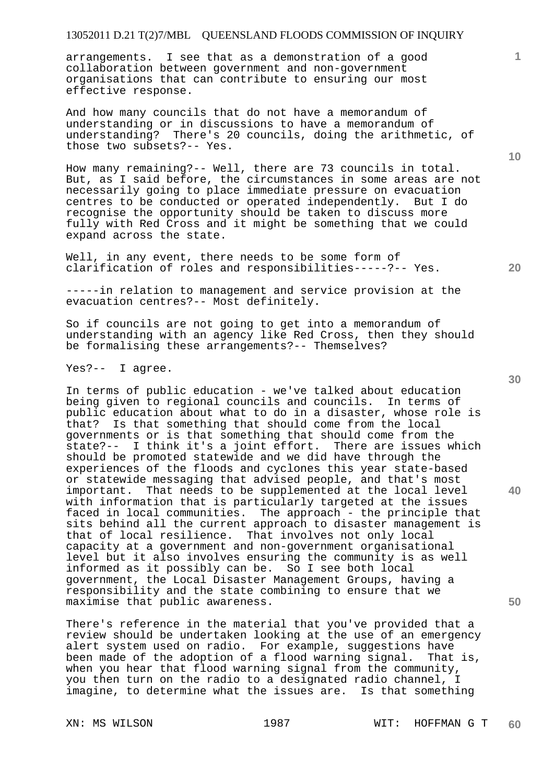arrangements. I see that as a demonstration of a good collaboration between government and non-government organisations that can contribute to ensuring our most effective response.

And how many councils that do not have a memorandum of understanding or in discussions to have a memorandum of understanding? There's 20 councils, doing the arithmetic, of those two subsets?-- Yes.

How many remaining?-- Well, there are 73 councils in total. But, as I said before, the circumstances in some areas are not necessarily going to place immediate pressure on evacuation centres to be conducted or operated independently. But I do recognise the opportunity should be taken to discuss more fully with Red Cross and it might be something that we could expand across the state.

Well, in any event, there needs to be some form of clarification of roles and responsibilities-----?-- Yes.

-----in relation to management and service provision at the evacuation centres?-- Most definitely.

So if councils are not going to get into a memorandum of understanding with an agency like Red Cross, then they should be formalising these arrangements?-- Themselves?

Yes?-- I agree.

In terms of public education - we've talked about education being given to regional councils and councils. In terms of public education about what to do in a disaster, whose role is that? Is that something that should come from the local governments or is that something that should come from the state?-- I think it's a joint effort. There are issues which should be promoted statewide and we did have through the experiences of the floods and cyclones this year state-based or statewide messaging that advised people, and that's most important. That needs to be supplemented at the local level with information that is particularly targeted at the issues faced in local communities. The approach - the principle that sits behind all the current approach to disaster management is that of local resilience. That involves not only local capacity at a government and non-government organisational level but it also involves ensuring the community is as well informed as it possibly can be. So I see both local government, the Local Disaster Management Groups, having a responsibility and the state combining to ensure that we maximise that public awareness.

There's reference in the material that you've provided that a review should be undertaken looking at the use of an emergency alert system used on radio. For example, suggestions have been made of the adoption of a flood warning signal. That is, when you hear that flood warning signal from the community, you then turn on the radio to a designated radio channel, I imagine, to determine what the issues are. Is that something

**30** 

**20** 

**40** 

**50** 

**10**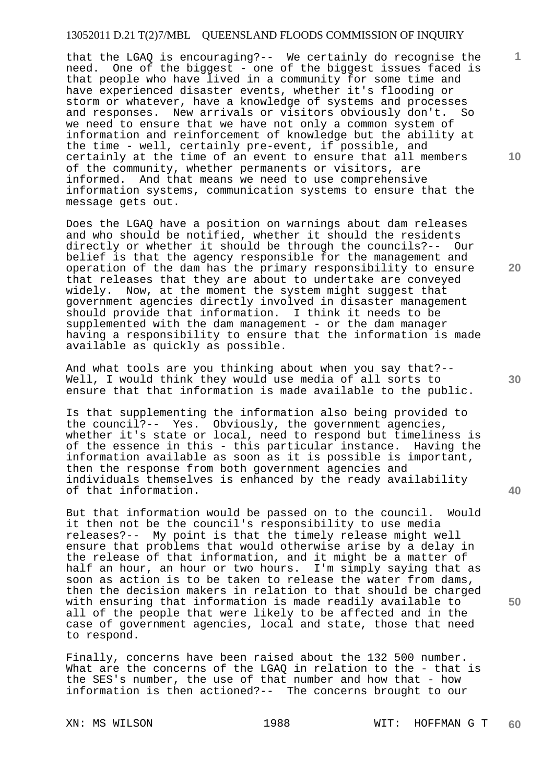that the LGAQ is encouraging?-- We certainly do recognise the need. One of the biggest - one of the biggest issues faced is that people who have lived in a community for some time and have experienced disaster events, whether it's flooding or storm or whatever, have a knowledge of systems and processes and responses. New arrivals or visitors obviously don't. So we need to ensure that we have not only a common system of information and reinforcement of knowledge but the ability at the time - well, certainly pre-event, if possible, and certainly at the time of an event to ensure that all members of the community, whether permanents or visitors, are informed. And that means we need to use comprehensive information systems, communication systems to ensure that the message gets out.

Does the LGAQ have a position on warnings about dam releases and who should be notified, whether it should the residents directly or whether it should be through the councils?-- Our belief is that the agency responsible for the management and operation of the dam has the primary responsibility to ensure that releases that they are about to undertake are conveyed widely. Now, at the moment the system might suggest that government agencies directly involved in disaster management should provide that information. I think it needs to be supplemented with the dam management - or the dam manager having a responsibility to ensure that the information is made available as quickly as possible.

And what tools are you thinking about when you say that?-- Well, I would think they would use media of all sorts to ensure that that information is made available to the public.

Is that supplementing the information also being provided to the council?-- Yes. Obviously, the government agencies, whether it's state or local, need to respond but timeliness is of the essence in this - this particular instance. Having the information available as soon as it is possible is important, then the response from both government agencies and individuals themselves is enhanced by the ready availability of that information.

But that information would be passed on to the council. Would it then not be the council's responsibility to use media releases?-- My point is that the timely release might well ensure that problems that would otherwise arise by a delay in the release of that information, and it might be a matter of half an hour, an hour or two hours. I'm simply saying that as soon as action is to be taken to release the water from dams, then the decision makers in relation to that should be charged with ensuring that information is made readily available to all of the people that were likely to be affected and in the case of government agencies, local and state, those that need to respond.

Finally, concerns have been raised about the 132 500 number. What are the concerns of the LGAQ in relation to the - that is the SES's number, the use of that number and how that - how information is then actioned?-- The concerns brought to our

**10** 

**1**

**20** 

**40**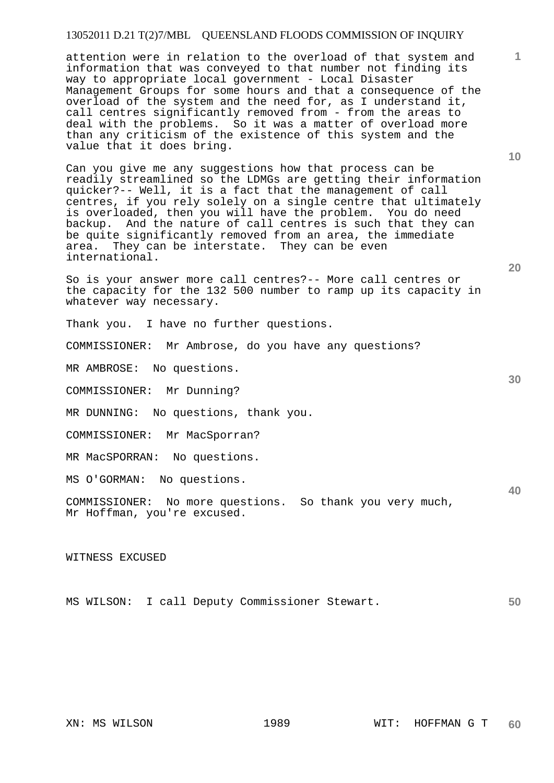attention were in relation to the overload of that system and information that was conveyed to that number not finding its way to appropriate local government - Local Disaster Management Groups for some hours and that a consequence of the overload of the system and the need for, as I understand it, call centres significantly removed from - from the areas to deal with the problems. So it was a matter of overload more than any criticism of the existence of this system and the value that it does bring.

Can you give me any suggestions how that process can be readily streamlined so the LDMGs are getting their information quicker?-- Well, it is a fact that the management of call centres, if you rely solely on a single centre that ultimately is overloaded, then you will have the problem. You do need backup. And the nature of call centres is such that they can be quite significantly removed from an area, the immediate area. They can be interstate. They can be even international.

So is your answer more call centres?-- More call centres or the capacity for the 132 500 number to ramp up its capacity in whatever way necessary.

Thank you. I have no further questions.

COMMISSIONER: Mr Ambrose, do you have any questions?

MR AMBROSE: No questions.

COMMISSIONER: Mr Dunning?

MR DUNNING: No questions, thank you.

COMMISSIONER: Mr MacSporran?

MR MacSPORRAN: No questions.

MS O'GORMAN: No questions.

COMMISSIONER: No more questions. So thank you very much, Mr Hoffman, you're excused.

WITNESS EXCUSED

**50**  MS WILSON: I call Deputy Commissioner Stewart.

**10** 

**1**

**30**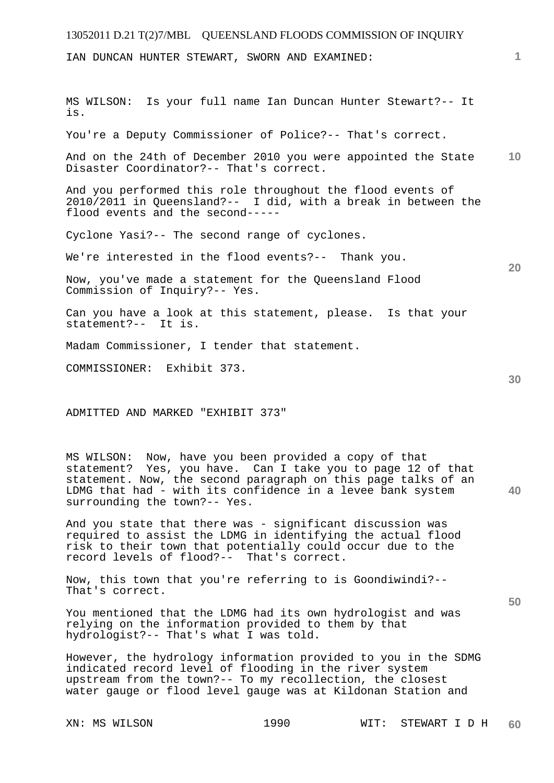| 13052011 D.21 T(2)7/MBL QUEENSLAND FLOODS COMMISSION OF INQUIRY                                                                                                                       |                 |
|---------------------------------------------------------------------------------------------------------------------------------------------------------------------------------------|-----------------|
| IAN DUNCAN HUNTER STEWART, SWORN AND EXAMINED:                                                                                                                                        | 1.              |
| Is your full name Ian Duncan Hunter Stewart?-- It<br>MS WILSON:<br>is.                                                                                                                |                 |
| You're a Deputy Commissioner of Police?-- That's correct.                                                                                                                             |                 |
| And on the 24th of December 2010 you were appointed the State<br>Disaster Coordinator?-- That's correct.                                                                              | 10 <sup>°</sup> |
| And you performed this role throughout the flood events of<br>2010/2011 in Queensland?-- I did, with a break in between the<br>flood events and the second-----                       |                 |
| Cyclone Yasi?-- The second range of cyclones.                                                                                                                                         |                 |
| We're interested in the flood events?-- Thank you.                                                                                                                                    | 20              |
| Now, you've made a statement for the Queensland Flood<br>Commission of Inquiry?-- Yes.                                                                                                |                 |
| Can you have a look at this statement, please. Is that your<br>statement?-- It is.                                                                                                    |                 |
| Madam Commissioner, I tender that statement.                                                                                                                                          |                 |
| COMMISSIONER: Exhibit 373.                                                                                                                                                            | 30              |
| ADMITTED AND MARKED "EXHIBIT 373"                                                                                                                                                     |                 |
| MS WILSON: Now, have you been provided a copy of that<br>statement? Yes, you have. Can I take you to page 12 of that<br>statement. Now, the second paragraph on this page talks of an |                 |

**40** 

**50** 

And you state that there was - significant discussion was required to assist the LDMG in identifying the actual flood risk to their town that potentially could occur due to the record levels of flood?-- That's correct.

LDMG that had - with its confidence in a levee bank system

Now, this town that you're referring to is Goondiwindi?-- That's correct.

You mentioned that the LDMG had its own hydrologist and was relying on the information provided to them by that hydrologist?-- That's what I was told.

However, the hydrology information provided to you in the SDMG indicated record level of flooding in the river system upstream from the town?-- To my recollection, the closest water gauge or flood level gauge was at Kildonan Station and

surrounding the town?-- Yes.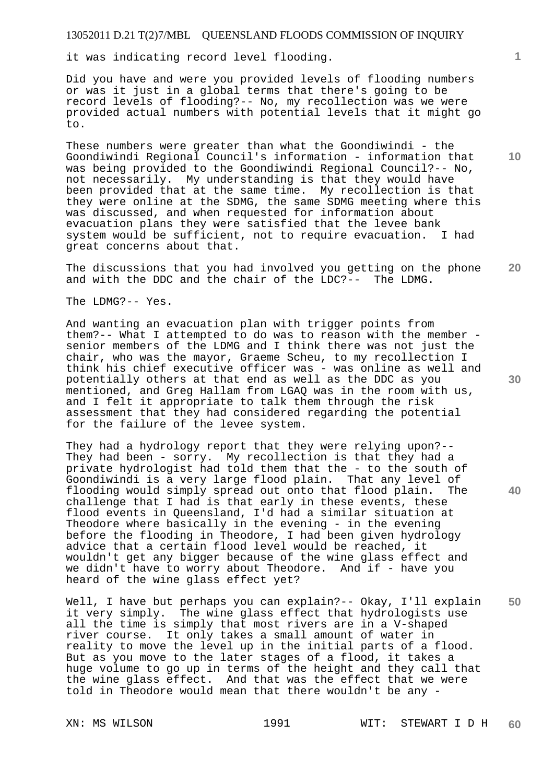it was indicating record level flooding.

Did you have and were you provided levels of flooding numbers or was it just in a global terms that there's going to be record levels of flooding?-- No, my recollection was we were provided actual numbers with potential levels that it might go to.

These numbers were greater than what the Goondiwindi - the Goondiwindi Regional Council's information - information that was being provided to the Goondiwindi Regional Council?-- No, not necessarily. My understanding is that they would have been provided that at the same time. My recollection is that they were online at the SDMG, the same SDMG meeting where this was discussed, and when requested for information about evacuation plans they were satisfied that the levee bank system would be sufficient, not to require evacuation. I had great concerns about that.

**20**  The discussions that you had involved you getting on the phone and with the DDC and the chair of the LDC?-- The LDMG.

The LDMG?-- Yes.

And wanting an evacuation plan with trigger points from them?-- What I attempted to do was to reason with the member senior members of the LDMG and I think there was not just the chair, who was the mayor, Graeme Scheu, to my recollection I think his chief executive officer was - was online as well and potentially others at that end as well as the DDC as you mentioned, and Greg Hallam from LGAQ was in the room with us, and I felt it appropriate to talk them through the risk assessment that they had considered regarding the potential for the failure of the levee system.

They had a hydrology report that they were relying upon?-- They had been - sorry. My recollection is that they had a private hydrologist had told them that the - to the south of Goondiwindi is a very large flood plain. That any level of flooding would simply spread out onto that flood plain. The challenge that I had is that early in these events, these flood events in Queensland, I'd had a similar situation at Theodore where basically in the evening - in the evening before the flooding in Theodore, I had been given hydrology advice that a certain flood level would be reached, it wouldn't get any bigger because of the wine glass effect and we didn't have to worry about Theodore. And if - have you heard of the wine glass effect yet?

**50**  Well, I have but perhaps you can explain?-- Okay, I'll explain it very simply. The wine glass effect that hydrologists use all the time is simply that most rivers are in a V-shaped river course. It only takes a small amount of water in reality to move the level up in the initial parts of a flood. But as you move to the later stages of a flood, it takes a huge volume to go up in terms of the height and they call that the wine glass effect. And that was the effect that we were told in Theodore would mean that there wouldn't be any -

**40** 

**30** 

**10**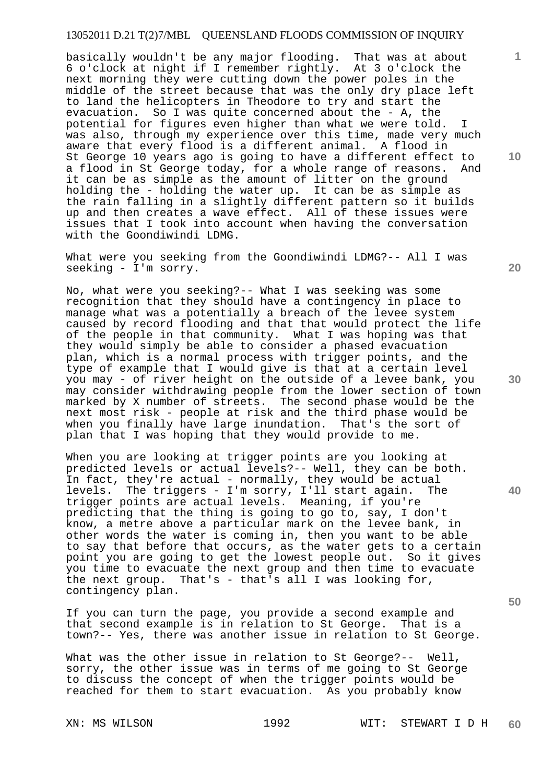basically wouldn't be any major flooding. That was at about 6 o'clock at night if I remember rightly. At 3 o'clock the next morning they were cutting down the power poles in the middle of the street because that was the only dry place left to land the helicopters in Theodore to try and start the evacuation. So I was quite concerned about the - A, the potential for figures even higher than what we were told. I was also, through my experience over this time, made very much aware that every flood is a different animal. A flood in St George 10 years ago is going to have a different effect to a flood in St George today, for a whole range of reasons. And it can be as simple as the amount of litter on the ground holding the - holding the water up. It can be as simple as the rain falling in a slightly different pattern so it builds up and then creates a wave effect. All of these issues were issues that I took into account when having the conversation with the Goondiwindi LDMG.

What were you seeking from the Goondiwindi LDMG?-- All I was seeking - I'm sorry.

No, what were you seeking?-- What I was seeking was some recognition that they should have a contingency in place to manage what was a potentially a breach of the levee system caused by record flooding and that that would protect the life of the people in that community. What I was hoping was that they would simply be able to consider a phased evacuation plan, which is a normal process with trigger points, and the type of example that I would give is that at a certain level you may - of river height on the outside of a levee bank, you may consider withdrawing people from the lower section of town marked by X number of streets. The second phase would be the next most risk - people at risk and the third phase would be when you finally have large inundation. That's the sort of plan that I was hoping that they would provide to me.

When you are looking at trigger points are you looking at predicted levels or actual levels?-- Well, they can be both. In fact, they're actual - normally, they would be actual levels. The triggers - I'm sorry, I'll start again. The trigger points are actual levels. Meaning, if you're predicting that the thing is going to go to, say, I don't know, a metre above a particular mark on the levee bank, in other words the water is coming in, then you want to be able to say that before that occurs, as the water gets to a certain point you are going to get the lowest people out. So it gives you time to evacuate the next group and then time to evacuate<br>the next group. That's - that's all I was looking for, That's - that's all I was looking for, contingency plan.

If you can turn the page, you provide a second example and that second example is in relation to St George. That is a town?-- Yes, there was another issue in relation to St George.

What was the other issue in relation to St George?-- Well, sorry, the other issue was in terms of me going to St George to discuss the concept of when the trigger points would be reached for them to start evacuation. As you probably know

**20** 

**1**

**10** 

**30** 

**40**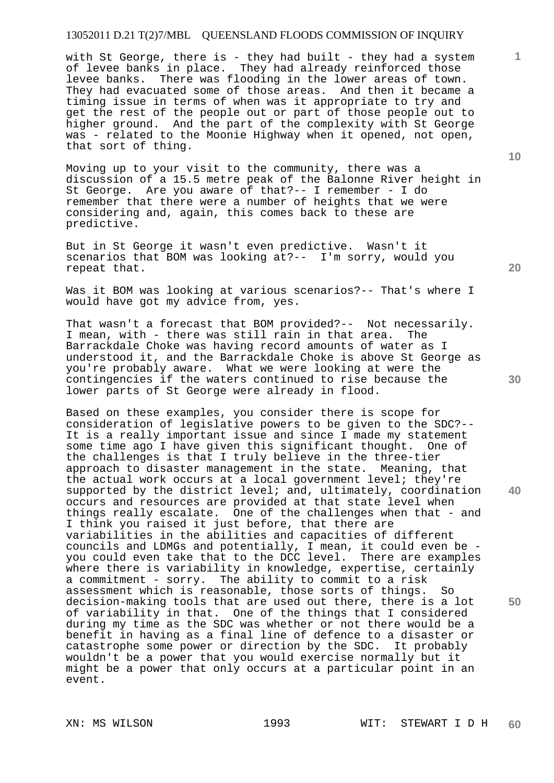with St George, there is - they had built - they had a system of levee banks in place. They had already reinforced those levee banks. There was flooding in the lower areas of town. They had evacuated some of those areas. And then it became a timing issue in terms of when was it appropriate to try and get the rest of the people out or part of those people out to higher ground. And the part of the complexity with St George was - related to the Moonie Highway when it opened, not open, that sort of thing.

Moving up to your visit to the community, there was a discussion of a 15.5 metre peak of the Balonne River height in St George. Are you aware of that?-- I remember - I do remember that there were a number of heights that we were considering and, again, this comes back to these are predictive.

But in St George it wasn't even predictive. Wasn't it scenarios that BOM was looking at?-- I'm sorry, would you repeat that.

Was it BOM was looking at various scenarios?-- That's where I would have got my advice from, yes.

That wasn't a forecast that BOM provided?-- Not necessarily. I mean, with - there was still rain in that area. The Barrackdale Choke was having record amounts of water as I understood it, and the Barrackdale Choke is above St George as you're probably aware. What we were looking at were the contingencies if the waters continued to rise because the lower parts of St George were already in flood.

Based on these examples, you consider there is scope for consideration of legislative powers to be given to the SDC?-- It is a really important issue and since I made my statement some time ago I have given this significant thought. One of the challenges is that I truly believe in the three-tier approach to disaster management in the state. Meaning, that the actual work occurs at a local government level; they're supported by the district level; and, ultimately, coordination occurs and resources are provided at that state level when things really escalate. One of the challenges when that - and I think you raised it just before, that there are variabilities in the abilities and capacities of different councils and LDMGs and potentially, I mean, it could even be you could even take that to the DCC level. There are examples where there is variability in knowledge, expertise, certainly a commitment - sorry. The ability to commit to a risk assessment which is reasonable, those sorts of things. So decision-making tools that are used out there, there is a lot of variability in that. One of the things that I considered during my time as the SDC was whether or not there would be a benefit in having as a final line of defence to a disaster or catastrophe some power or direction by the SDC. It probably wouldn't be a power that you would exercise normally but it might be a power that only occurs at a particular point in an event.

**20** 

**40** 

**50** 

**10**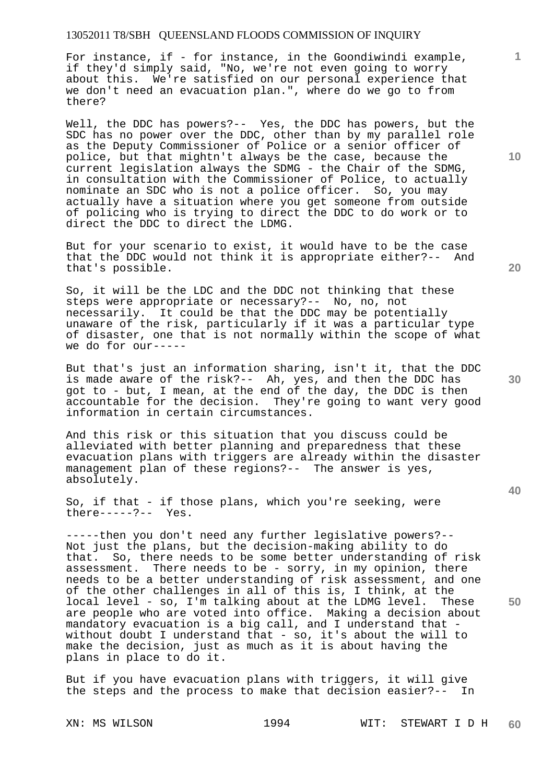For instance, if - for instance, in the Goondiwindi example, if they'd simply said, "No, we're not even going to worry about this. We're satisfied on our personal experience that we don't need an evacuation plan.", where do we go to from there?

Well, the DDC has powers?-- Yes, the DDC has powers, but the SDC has no power over the DDC, other than by my parallel role as the Deputy Commissioner of Police or a senior officer of police, but that mightn't always be the case, because the current legislation always the SDMG - the Chair of the SDMG, in consultation with the Commissioner of Police, to actually nominate an SDC who is not a police officer. So, you may actually have a situation where you get someone from outside of policing who is trying to direct the DDC to do work or to direct the DDC to direct the LDMG.

But for your scenario to exist, it would have to be the case that the DDC would not think it is appropriate either?-- And that's possible.

So, it will be the LDC and the DDC not thinking that these steps were appropriate or necessary?-- No, no, not necessarily. It could be that the DDC may be potentially unaware of the risk, particularly if it was a particular type of disaster, one that is not normally within the scope of what we do for our-----

But that's just an information sharing, isn't it, that the DDC is made aware of the risk?-- Ah, yes, and then the DDC has got to - but, I mean, at the end of the day, the DDC is then accountable for the decision. They're going to want very good information in certain circumstances.

And this risk or this situation that you discuss could be alleviated with better planning and preparedness that these evacuation plans with triggers are already within the disaster management plan of these regions?-- The answer is yes, absolutely.

So, if that - if those plans, which you're seeking, were there-----?-- Yes.

-----then you don't need any further legislative powers?-- Not just the plans, but the decision-making ability to do that. So, there needs to be some better understanding of risk assessment. There needs to be - sorry, in my opinion, there needs to be a better understanding of risk assessment, and one of the other challenges in all of this is, I think, at the local level - so, I'm talking about at the LDMG level. These are people who are voted into office. Making a decision about mandatory evacuation is a big call, and I understand that without doubt I understand that - so, it's about the will to make the decision, just as much as it is about having the plans in place to do it.

But if you have evacuation plans with triggers, it will give the steps and the process to make that decision easier?-- In

XN: MS WILSON 1994 WIT: STEWART I D H **60** 

**20** 

**1**

**10** 

**30**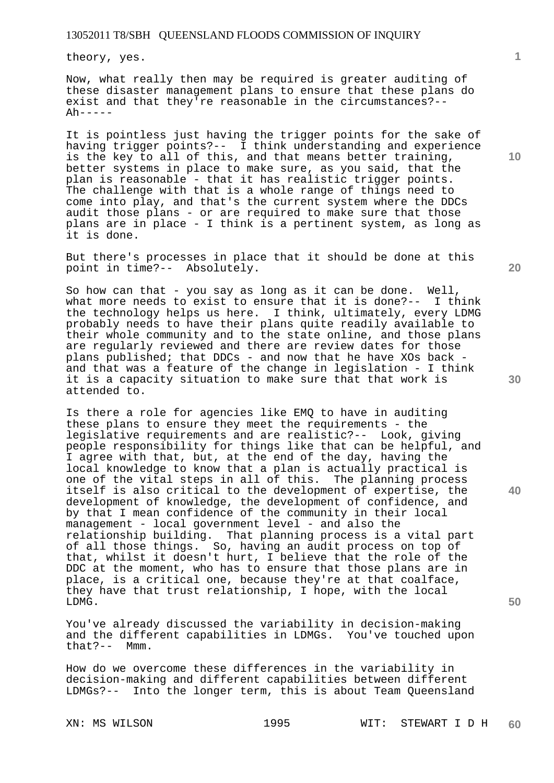theory, yes.

Now, what really then may be required is greater auditing of these disaster management plans to ensure that these plans do exist and that they're reasonable in the circumstances?--  $Ah----$ 

It is pointless just having the trigger points for the sake of having trigger points?-- I think understanding and experience is the key to all of this, and that means better training, better systems in place to make sure, as you said, that the plan is reasonable - that it has realistic trigger points. The challenge with that is a whole range of things need to come into play, and that's the current system where the DDCs audit those plans - or are required to make sure that those plans are in place - I think is a pertinent system, as long as it is done.

But there's processes in place that it should be done at this point in time?-- Absolutely.

So how can that - you say as long as it can be done. Well, what more needs to exist to ensure that it is done?-- I think the technology helps us here. I think, ultimately, every LDMG probably needs to have their plans quite readily available to their whole community and to the state online, and those plans are regularly reviewed and there are review dates for those plans published; that DDCs - and now that he have XOs back and that was a feature of the change in legislation - I think it is a capacity situation to make sure that that work is attended to.

Is there a role for agencies like EMQ to have in auditing these plans to ensure they meet the requirements - the legislative requirements and are realistic?-- Look, giving people responsibility for things like that can be helpful, and I agree with that, but, at the end of the day, having the local knowledge to know that a plan is actually practical is one of the vital steps in all of this. The planning process itself is also critical to the development of expertise, the development of knowledge, the development of confidence, and by that I mean confidence of the community in their local management - local government level - and also the relationship building. That planning process is a vital part of all those things. So, having an audit process on top of that, whilst it doesn't hurt, I believe that the role of the DDC at the moment, who has to ensure that those plans are in place, is a critical one, because they're at that coalface, they have that trust relationship, I hope, with the local LDMG.

You've already discussed the variability in decision-making and the different capabilities in LDMGs. You've touched upon that?-- Mmm.  $that? --$ 

How do we overcome these differences in the variability in decision-making and different capabilities between different LDMGs?-- Into the longer term, this is about Team Queensland

**1**

**20** 

**30** 

**50**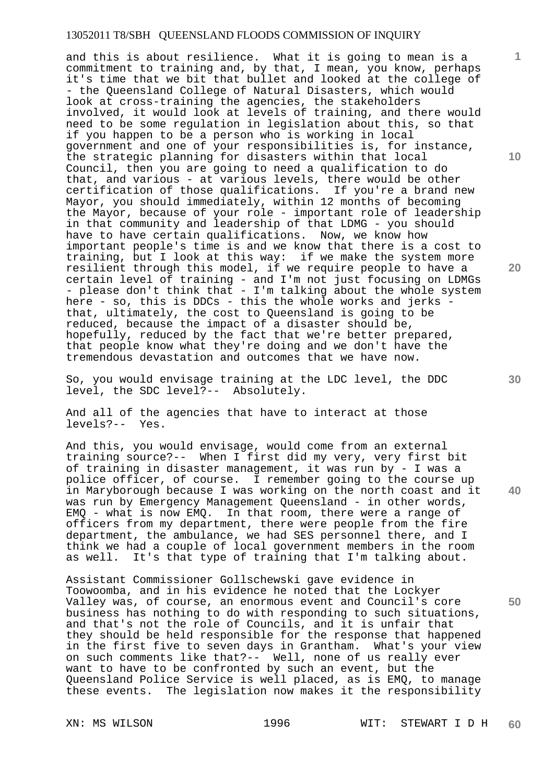and this is about resilience. What it is going to mean is a commitment to training and, by that, I mean, you know, perhaps it's time that we bit that bullet and looked at the college of - the Queensland College of Natural Disasters, which would look at cross-training the agencies, the stakeholders involved, it would look at levels of training, and there would need to be some regulation in legislation about this, so that if you happen to be a person who is working in local government and one of your responsibilities is, for instance, the strategic planning for disasters within that local Council, then you are going to need a qualification to do that, and various - at various levels, there would be other certification of those qualifications. If you're a brand new Mayor, you should immediately, within 12 months of becoming the Mayor, because of your role - important role of leadership in that community and leadership of that LDMG - you should have to have certain qualifications. Now, we know how important people's time is and we know that there is a cost to training, but I look at this way: if we make the system more resilient through this model, if we require people to have a certain level of training - and I'm not just focusing on LDMGs - please don't think that - I'm talking about the whole system here - so, this is DDCs - this the whole works and jerks that, ultimately, the cost to Queensland is going to be reduced, because the impact of a disaster should be, hopefully, reduced by the fact that we're better prepared, that people know what they're doing and we don't have the tremendous devastation and outcomes that we have now.

So, you would envisage training at the LDC level, the DDC level, the SDC level?-- Absolutely.

And all of the agencies that have to interact at those levels?-- Yes.

And this, you would envisage, would come from an external training source?-- When I first did my very, very first bit of training in disaster management, it was run by - I was a police officer, of course. I remember going to the course up in Maryborough because I was working on the north coast and it was run by Emergency Management Queensland - in other words, EMQ - what is now EMQ. In that room, there were a range of officers from my department, there were people from the fire department, the ambulance, we had SES personnel there, and I think we had a couple of local government members in the room as well. It's that type of training that I'm talking about.

Assistant Commissioner Gollschewski gave evidence in Toowoomba, and in his evidence he noted that the Lockyer Valley was, of course, an enormous event and Council's core business has nothing to do with responding to such situations, and that's not the role of Councils, and it is unfair that they should be held responsible for the response that happened in the first five to seven days in Grantham. What's your view on such comments like that?-- Well, none of us really ever want to have to be confronted by such an event, but the Queensland Police Service is well placed, as is EMQ, to manage these events. The legislation now makes it the responsibility

**10** 

**1**

**20** 

**30** 

**50**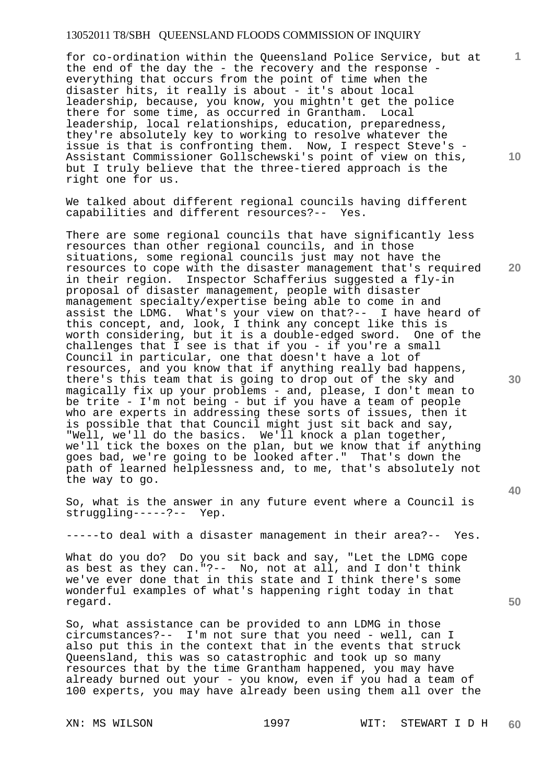for co-ordination within the Queensland Police Service, but at the end of the day the - the recovery and the response everything that occurs from the point of time when the disaster hits, it really is about - it's about local leadership, because, you know, you mightn't get the police there for some time, as occurred in Grantham. Local leadership, local relationships, education, preparedness, they're absolutely key to working to resolve whatever the issue is that is confronting them. Now, I respect Steve's - Assistant Commissioner Gollschewski's point of view on this, but I truly believe that the three-tiered approach is the right one for us.

We talked about different regional councils having different capabilities and different resources?-- Yes.

There are some regional councils that have significantly less resources than other regional councils, and in those situations, some regional councils just may not have the resources to cope with the disaster management that's required in their region. Inspector Schafferius suggested a fly-in proposal of disaster management, people with disaster management specialty/expertise being able to come in and assist the LDMG. What's your view on that?-- I have heard of this concept, and, look, I think any concept like this is worth considering, but it is a double-edged sword. One of the challenges that I see is that if you - if you're a small Council in particular, one that doesn't have a lot of resources, and you know that if anything really bad happens, there's this team that is going to drop out of the sky and magically fix up your problems - and, please, I don't mean to be trite - I'm not being - but if you have a team of people who are experts in addressing these sorts of issues, then it is possible that that Council might just sit back and say, "Well, we'll do the basics. We'll knock a plan together, we'll tick the boxes on the plan, but we know that if anything goes bad, we're going to be looked after." That's down the path of learned helplessness and, to me, that's absolutely not the way to go.

So, what is the answer in any future event where a Council is struggling-----?-- Yep.

-----to deal with a disaster management in their area?-- Yes.

What do you do? Do you sit back and say, "Let the LDMG cope as best as they can."?-- No, not at all, and I don't think we've ever done that in this state and I think there's some wonderful examples of what's happening right today in that regard.

So, what assistance can be provided to ann LDMG in those circumstances?-- I'm not sure that you need - well, can I also put this in the context that in the events that struck Queensland, this was so catastrophic and took up so many resources that by the time Grantham happened, you may have already burned out your - you know, even if you had a team of 100 experts, you may have already been using them all over the

**10** 

**1**

**20** 

**30** 

**40**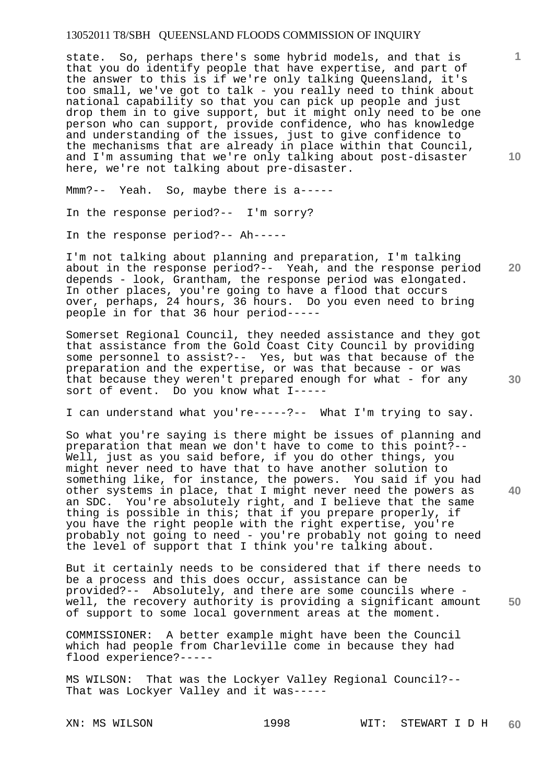state. So, perhaps there's some hybrid models, and that is that you do identify people that have expertise, and part of the answer to this is if we're only talking Queensland, it's too small, we've got to talk - you really need to think about national capability so that you can pick up people and just drop them in to give support, but it might only need to be one person who can support, provide confidence, who has knowledge and understanding of the issues, just to give confidence to the mechanisms that are already in place within that Council, and I'm assuming that we're only talking about post-disaster here, we're not talking about pre-disaster.

Mmm?-- Yeah. So, maybe there is a-----

In the response period?-- I'm sorry?

In the response period?-- Ah-----

I'm not talking about planning and preparation, I'm talking about in the response period?-- Yeah, and the response period depends - look, Grantham, the response period was elongated. In other places, you're going to have a flood that occurs over, perhaps, 24 hours, 36 hours. Do you even need to bring people in for that 36 hour period-----

Somerset Regional Council, they needed assistance and they got that assistance from the Gold Coast City Council by providing some personnel to assist?-- Yes, but was that because of the preparation and the expertise, or was that because - or was that because they weren't prepared enough for what - for any sort of event. Do you know what I-----

I can understand what you're-----?-- What I'm trying to say.

So what you're saying is there might be issues of planning and preparation that mean we don't have to come to this point?-- Well, just as you said before, if you do other things, you might never need to have that to have another solution to something like, for instance, the powers. You said if you had other systems in place, that I might never need the powers as an SDC. You're absolutely right, and I believe that the same thing is possible in this; that if you prepare properly, if you have the right people with the right expertise, you're probably not going to need - you're probably not going to need the level of support that I think you're talking about.

**50**  But it certainly needs to be considered that if there needs to be a process and this does occur, assistance can be provided?-- Absolutely, and there are some councils where well, the recovery authority is providing a significant amount of support to some local government areas at the moment.

COMMISSIONER: A better example might have been the Council which had people from Charleville come in because they had flood experience?-----

MS WILSON: That was the Lockyer Valley Regional Council?-- That was Lockyer Valley and it was-----

**10** 

**1**

**20**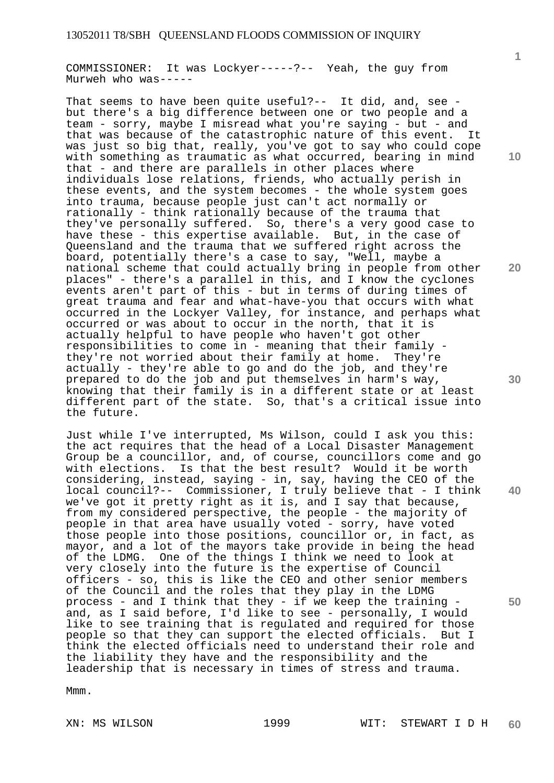COMMISSIONER: It was Lockyer-----?-- Yeah, the guy from Murweh who was-----

That seems to have been quite useful?-- It did, and, see but there's a big difference between one or two people and a team - sorry, maybe I misread what you're saying - but - and that was because of the catastrophic nature of this event. It was just so big that, really, you've got to say who could cope with something as traumatic as what occurred, bearing in mind that - and there are parallels in other places where individuals lose relations, friends, who actually perish in these events, and the system becomes - the whole system goes into trauma, because people just can't act normally or rationally - think rationally because of the trauma that they've personally suffered. So, there's a very good case to have these - this expertise available. But, in the case of Queensland and the trauma that we suffered right across the board, potentially there's a case to say, "Well, maybe a national scheme that could actually bring in people from other places" - there's a parallel in this, and I know the cyclones events aren't part of this - but in terms of during times of great trauma and fear and what-have-you that occurs with what occurred in the Lockyer Valley, for instance, and perhaps what occurred or was about to occur in the north, that it is actually helpful to have people who haven't got other responsibilities to come in - meaning that their family they're not worried about their family at home. They're actually - they're able to go and do the job, and they're prepared to do the job and put themselves in harm's way, knowing that their family is in a different state or at least different part of the state. So, that's a critical issue into the future.

Just while I've interrupted, Ms Wilson, could I ask you this: the act requires that the head of a Local Disaster Management Group be a councillor, and, of course, councillors come and go with elections. Is that the best result? Would it be worth considering, instead, saying - in, say, having the CEO of the local council?-- Commissioner, I truly believe that - I think we've got it pretty right as it is, and I say that because, from my considered perspective, the people - the majority of people in that area have usually voted - sorry, have voted those people into those positions, councillor or, in fact, as mayor, and a lot of the mayors take provide in being the head of the LDMG. One of the things I think we need to look at very closely into the future is the expertise of Council officers - so, this is like the CEO and other senior members of the Council and the roles that they play in the LDMG process - and I think that they - if we keep the training and, as I said before, I'd like to see - personally, I would like to see training that is regulated and required for those people so that they can support the elected officials. But I think the elected officials need to understand their role and the liability they have and the responsibility and the leadership that is necessary in times of stress and trauma.

Mmm.

**1**

**10** 

**20** 

**30** 

**40**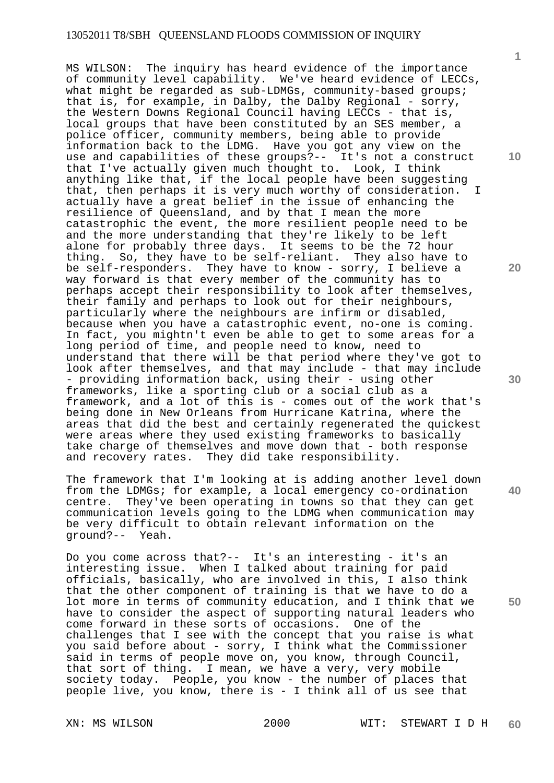MS WILSON: The inquiry has heard evidence of the importance of community level capability. We've heard evidence of LECCs, what might be regarded as sub-LDMGs, community-based groups; that is, for example, in Dalby, the Dalby Regional - sorry, the Western Downs Regional Council having LECCs - that is, local groups that have been constituted by an SES member, a police officer, community members, being able to provide information back to the LDMG. Have you got any view on the use and capabilities of these groups?-- It's not a construct that I've actually given much thought to. Look, I think anything like that, if the local people have been suggesting that, then perhaps it is very much worthy of consideration. I actually have a great belief in the issue of enhancing the resilience of Queensland, and by that I mean the more catastrophic the event, the more resilient people need to be and the more understanding that they're likely to be left alone for probably three days. It seems to be the 72 hour thing. So, they have to be self-reliant. They also have to be self-responders. They have to know - sorry, I believe a way forward is that every member of the community has to perhaps accept their responsibility to look after themselves, their family and perhaps to look out for their neighbours, particularly where the neighbours are infirm or disabled, because when you have a catastrophic event, no-one is coming. In fact, you mightn't even be able to get to some areas for a long period of time, and people need to know, need to understand that there will be that period where they've got to look after themselves, and that may include - that may include - providing information back, using their - using other frameworks, like a sporting club or a social club as a framework, and a lot of this is - comes out of the work that's being done in New Orleans from Hurricane Katrina, where the areas that did the best and certainly regenerated the quickest were areas where they used existing frameworks to basically take charge of themselves and move down that - both response and recovery rates. They did take responsibility.

The framework that I'm looking at is adding another level down from the LDMGs; for example, a local emergency co-ordination centre. They've been operating in towns so that they can get communication levels going to the LDMG when communication may be very difficult to obtain relevant information on the ground?-- Yeah.

Do you come across that?-- It's an interesting - it's an interesting issue. When I talked about training for paid officials, basically, who are involved in this, I also think that the other component of training is that we have to do a lot more in terms of community education, and I think that we have to consider the aspect of supporting natural leaders who come forward in these sorts of occasions. One of the challenges that I see with the concept that you raise is what you said before about - sorry, I think what the Commissioner said in terms of people move on, you know, through Council, that sort of thing. I mean, we have a very, very mobile society today. People, you know - the number of places that people live, you know, there is - I think all of us see that

**1**

**10** 

**20** 

**30** 

**40**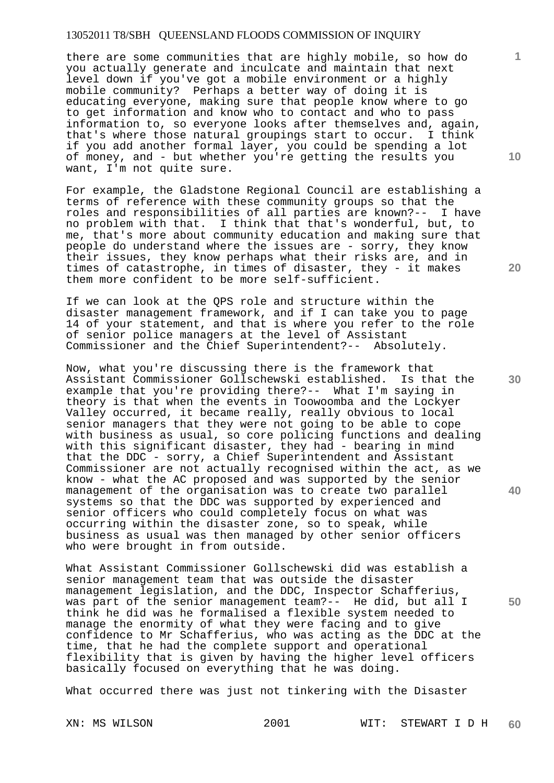there are some communities that are highly mobile, so how do you actually generate and inculcate and maintain that next level down if you've got a mobile environment or a highly mobile community? Perhaps a better way of doing it is educating everyone, making sure that people know where to go to get information and know who to contact and who to pass information to, so everyone looks after themselves and, again, that's where those natural groupings start to occur. I think if you add another formal layer, you could be spending a lot of money, and - but whether you're getting the results you want, I'm not quite sure.

For example, the Gladstone Regional Council are establishing a terms of reference with these community groups so that the roles and responsibilities of all parties are known?-- I have no problem with that. I think that that's wonderful, but, to me, that's more about community education and making sure that people do understand where the issues are - sorry, they know their issues, they know perhaps what their risks are, and in times of catastrophe, in times of disaster, they - it makes them more confident to be more self-sufficient.

If we can look at the QPS role and structure within the disaster management framework, and if I can take you to page 14 of your statement, and that is where you refer to the role of senior police managers at the level of Assistant Commissioner and the Chief Superintendent?-- Absolutely.

Now, what you're discussing there is the framework that Assistant Commissioner Gollschewski established. Is that the example that you're providing there?-- What I'm saying in theory is that when the events in Toowoomba and the Lockyer Valley occurred, it became really, really obvious to local senior managers that they were not going to be able to cope with business as usual, so core policing functions and dealing with this significant disaster, they had - bearing in mind that the DDC - sorry, a Chief Superintendent and Assistant Commissioner are not actually recognised within the act, as we know - what the AC proposed and was supported by the senior management of the organisation was to create two parallel systems so that the DDC was supported by experienced and senior officers who could completely focus on what was occurring within the disaster zone, so to speak, while business as usual was then managed by other senior officers who were brought in from outside.

What Assistant Commissioner Gollschewski did was establish a senior management team that was outside the disaster management legislation, and the DDC, Inspector Schafferius, was part of the senior management team?-- He did, but all I think he did was he formalised a flexible system needed to manage the enormity of what they were facing and to give confidence to Mr Schafferius, who was acting as the DDC at the time, that he had the complete support and operational flexibility that is given by having the higher level officers basically focused on everything that he was doing.

What occurred there was just not tinkering with the Disaster

**10** 

**1**

**20** 

**30** 

**40**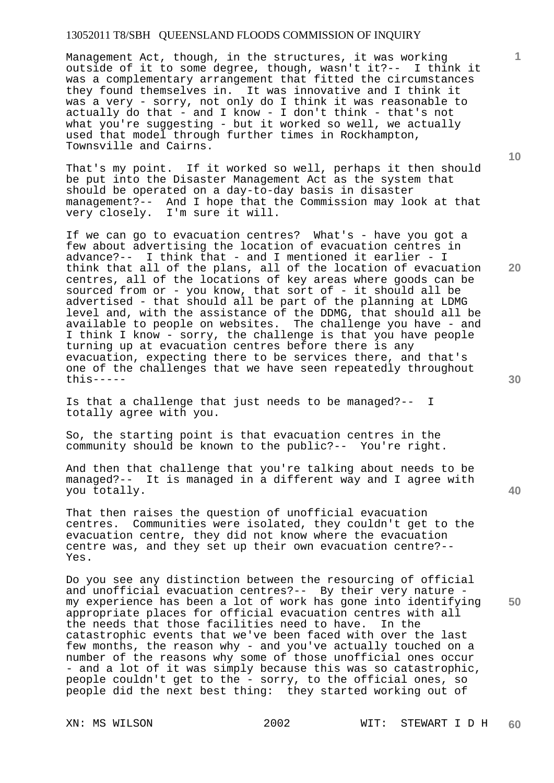Management Act, though, in the structures, it was working outside of it to some degree, though, wasn't it?-- I think it was a complementary arrangement that fitted the circumstances they found themselves in. It was innovative and I think it was a very - sorry, not only do I think it was reasonable to actually do that - and I know - I don't think - that's not what you're suggesting - but it worked so well, we actually used that model through further times in Rockhampton, Townsville and Cairns.

That's my point. If it worked so well, perhaps it then should be put into the Disaster Management Act as the system that should be operated on a day-to-day basis in disaster management?-- And I hope that the Commission may look at that very closely. I'm sure it will.

If we can go to evacuation centres? What's - have you got a few about advertising the location of evacuation centres in advance?-- I think that - and I mentioned it earlier - I think that all of the plans, all of the location of evacuation centres, all of the locations of key areas where goods can be sourced from or - you know, that sort of - it should all be advertised - that should all be part of the planning at LDMG level and, with the assistance of the DDMG, that should all be available to people on websites. The challenge you have - and I think I know - sorry, the challenge is that you have people turning up at evacuation centres before there is any evacuation, expecting there to be services there, and that's one of the challenges that we have seen repeatedly throughout this-----

Is that a challenge that just needs to be managed?-- I totally agree with you.

So, the starting point is that evacuation centres in the community should be known to the public?-- You're right.

And then that challenge that you're talking about needs to be managed?-- It is managed in a different way and I agree with you totally.

That then raises the question of unofficial evacuation centres. Communities were isolated, they couldn't get to the evacuation centre, they did not know where the evacuation centre was, and they set up their own evacuation centre?-- Yes.

Do you see any distinction between the resourcing of official and unofficial evacuation centres?-- By their very nature my experience has been a lot of work has gone into identifying appropriate places for official evacuation centres with all the needs that those facilities need to have. In the catastrophic events that we've been faced with over the last few months, the reason why - and you've actually touched on a number of the reasons why some of those unofficial ones occur - and a lot of it was simply because this was so catastrophic, people couldn't get to the - sorry, to the official ones, so people did the next best thing: they started working out of

**10** 

**1**

**20** 

**40**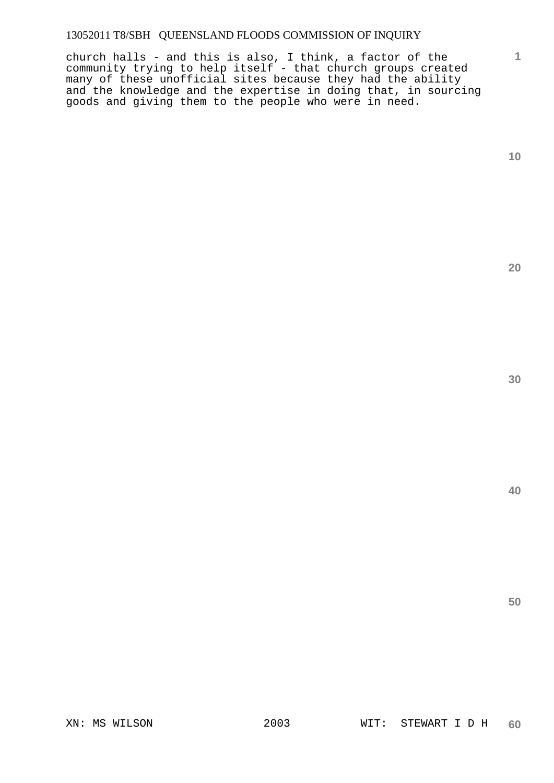church halls - and this is also, I think, a factor of the community trying to help itself - that church groups created many of these unofficial sites because they had the ability and the knowledge and the expertise in doing that, in sourcing goods and giving them to the people who were in need.

**1**

**20**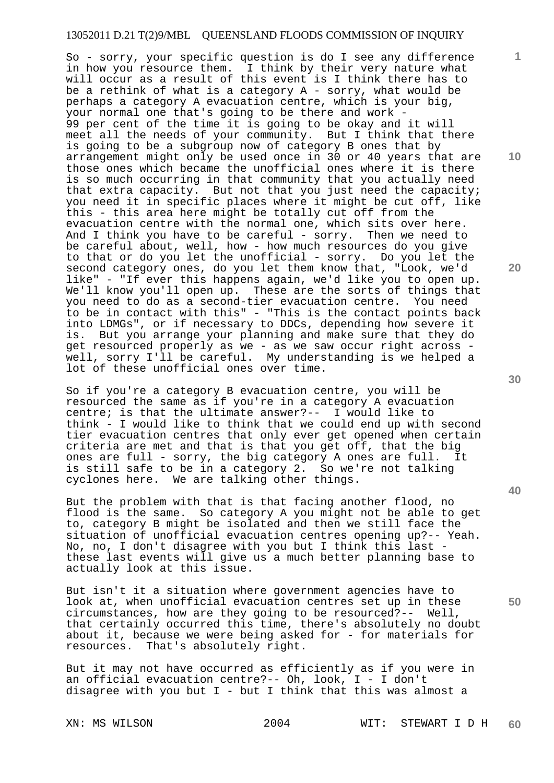So - sorry, your specific question is do I see any difference in how you resource them. I think by their very nature what will occur as a result of this event is I think there has to be a rethink of what is a category  $A$  - sorry, what would be perhaps a category A evacuation centre, which is your big, your normal one that's going to be there and work - 99 per cent of the time it is going to be okay and it will meet all the needs of your community. But I think that there is going to be a subgroup now of category B ones that by arrangement might only be used once in 30 or 40 years that are those ones which became the unofficial ones where it is there is so much occurring in that community that you actually need that extra capacity. But not that you just need the capacity; you need it in specific places where it might be cut off, like this - this area here might be totally cut off from the evacuation centre with the normal one, which sits over here. And I think you have to be careful - sorry. Then we need to be careful about, well, how - how much resources do you give to that or do you let the unofficial - sorry. Do you let the second category ones, do you let them know that, "Look, we'd like" - "If ever this happens again, we'd like you to open up. We'll know you'll open up. These are the sorts of things that you need to do as a second-tier evacuation centre. You need to be in contact with this" - "This is the contact points back into LDMGs", or if necessary to DDCs, depending how severe it is. But you arrange your planning and make sure that they do get resourced properly as we - as we saw occur right across well, sorry I'll be careful. My understanding is we helped a lot of these unofficial ones over time.

So if you're a category B evacuation centre, you will be resourced the same as if you're in a category A evacuation centre; is that the ultimate answer?-- I would like to think - I would like to think that we could end up with second tier evacuation centres that only ever get opened when certain criteria are met and that is that you get off, that the big ones are full - sorry, the big category A ones are full. It is still safe to be in a category 2. So we're not talking cyclones here. We are talking other things.

But the problem with that is that facing another flood, no flood is the same. So category A you might not be able to get to, category B might be isolated and then we still face the situation of unofficial evacuation centres opening up?-- Yeah. No, no, I don't disagree with you but I think this last these last events will give us a much better planning base to actually look at this issue.

But isn't it a situation where government agencies have to look at, when unofficial evacuation centres set up in these circumstances, how are they going to be resourced?-- Well, that certainly occurred this time, there's absolutely no doubt about it, because we were being asked for - for materials for resources. That's absolutely right.

But it may not have occurred as efficiently as if you were in an official evacuation centre?-- Oh, look, I - I don't disagree with you but  $I$  - but I think that this was almost a

XN: MS WILSON 2004 WIT: STEWART I D H **60** 

**10** 

**1**

**20** 

**30** 

**40**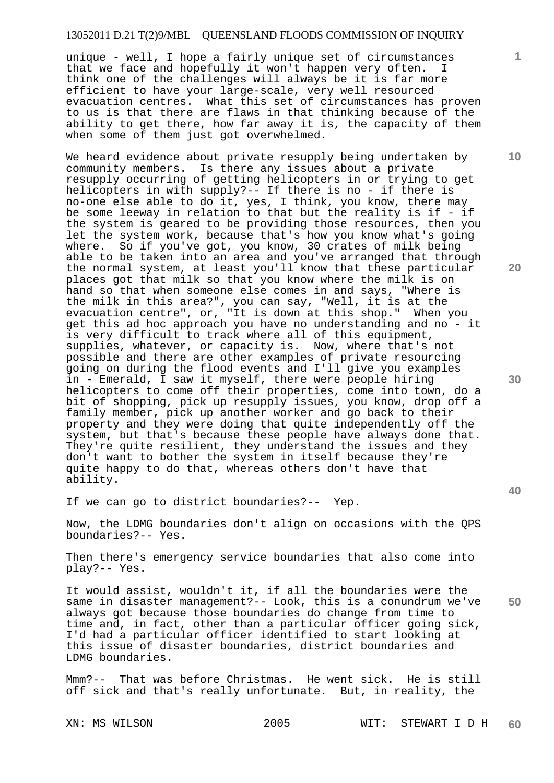unique - well, I hope a fairly unique set of circumstances that we face and hopefully it won't happen very often. I think one of the challenges will always be it is far more efficient to have your large-scale, very well resourced evacuation centres. What this set of circumstances has proven to us is that there are flaws in that thinking because of the ability to get there, how far away it is, the capacity of them when some of them just got overwhelmed.

We heard evidence about private resupply being undertaken by community members. Is there any issues about a private resupply occurring of getting helicopters in or trying to get helicopters in with supply?-- If there is no - if there is no-one else able to do it, yes, I think, you know, there may be some leeway in relation to that but the reality is if - if the system is geared to be providing those resources, then you let the system work, because that's how you know what's going where. So if you've got, you know, 30 crates of milk being able to be taken into an area and you've arranged that through the normal system, at least you'll know that these particular places got that milk so that you know where the milk is on hand so that when someone else comes in and says, "Where is the milk in this area?", you can say, "Well, it is at the evacuation centre", or, "It is down at this shop." When you get this ad hoc approach you have no understanding and no - it is very difficult to track where all of this equipment, supplies, whatever, or capacity is. Now, where that's not possible and there are other examples of private resourcing going on during the flood events and I'll give you examples in - Emerald, I saw it myself, there were people hiring helicopters to come off their properties, come into town, do a bit of shopping, pick up resupply issues, you know, drop off a family member, pick up another worker and go back to their property and they were doing that quite independently off the system, but that's because these people have always done that. They're quite resilient, they understand the issues and they don't want to bother the system in itself because they're quite happy to do that, whereas others don't have that ability.

If we can go to district boundaries?-- Yep.

Now, the LDMG boundaries don't align on occasions with the QPS boundaries?-- Yes.

Then there's emergency service boundaries that also come into play?-- Yes.

**50**  It would assist, wouldn't it, if all the boundaries were the same in disaster management?-- Look, this is a conundrum we've always got because those boundaries do change from time to time and, in fact, other than a particular officer going sick, I'd had a particular officer identified to start looking at this issue of disaster boundaries, district boundaries and LDMG boundaries.

Mmm?-- That was before Christmas. He went sick. He is still off sick and that's really unfortunate. But, in reality, the

XN: MS WILSON 2005 WIT: STEWART I D H **60** 

**30** 

**10** 

**20**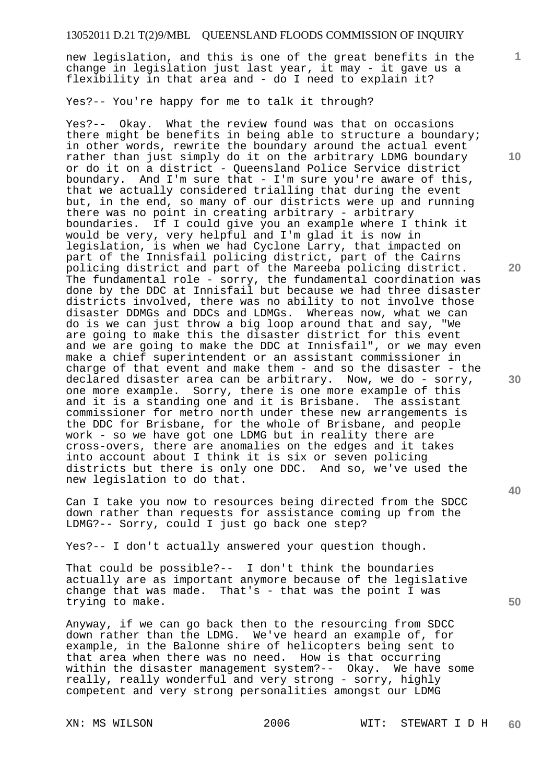new legislation, and this is one of the great benefits in the change in legislation just last year, it may - it gave us a flexibility in that area and - do I need to explain it?

Yes?-- You're happy for me to talk it through?

Yes?-- Okay. What the review found was that on occasions there might be benefits in being able to structure a boundary; in other words, rewrite the boundary around the actual event rather than just simply do it on the arbitrary LDMG boundary or do it on a district - Queensland Police Service district boundary. And I'm sure that - I'm sure you're aware of this, that we actually considered trialling that during the event but, in the end, so many of our districts were up and running there was no point in creating arbitrary - arbitrary boundaries. If I could give you an example where I think it would be very, very helpful and I'm glad it is now in legislation, is when we had Cyclone Larry, that impacted on part of the Innisfail policing district, part of the Cairns policing district and part of the Mareeba policing district. The fundamental role - sorry, the fundamental coordination was done by the DDC at Innisfail but because we had three disaster districts involved, there was no ability to not involve those disaster DDMGs and DDCs and LDMGs. Whereas now, what we can do is we can just throw a big loop around that and say, "We are going to make this the disaster district for this event and we are going to make the DDC at Innisfail", or we may even make a chief superintendent or an assistant commissioner in charge of that event and make them - and so the disaster - the declared disaster area can be arbitrary. Now, we do - sorry, one more example. Sorry, there is one more example of this and it is a standing one and it is Brisbane. The assistant commissioner for metro north under these new arrangements is the DDC for Brisbane, for the whole of Brisbane, and people work - so we have got one LDMG but in reality there are cross-overs, there are anomalies on the edges and it takes into account about I think it is six or seven policing districts but there is only one DDC. And so, we've used the new legislation to do that.

Can I take you now to resources being directed from the SDCC down rather than requests for assistance coming up from the LDMG?-- Sorry, could I just go back one step?

Yes?-- I don't actually answered your question though.

That could be possible?-- I don't think the boundaries actually are as important anymore because of the legislative change that was made. That's - that was the point I was trying to make.

Anyway, if we can go back then to the resourcing from SDCC down rather than the LDMG. We've heard an example of, for example, in the Balonne shire of helicopters being sent to that area when there was no need. How is that occurring within the disaster management system?-- Okay. We have some really, really wonderful and very strong - sorry, highly competent and very strong personalities amongst our LDMG

**10** 

**1**

**20** 

**30** 

**40**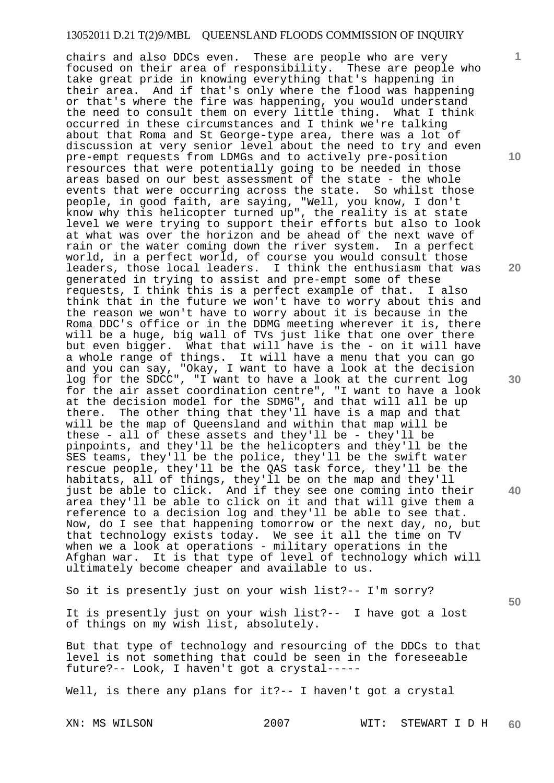chairs and also DDCs even. These are people who are very focused on their area of responsibility. These are people who take great pride in knowing everything that's happening in their area. And if that's only where the flood was happening or that's where the fire was happening, you would understand the need to consult them on every little thing. What I think occurred in these circumstances and I think we're talking about that Roma and St George-type area, there was a lot of discussion at very senior level about the need to try and even pre-empt requests from LDMGs and to actively pre-position resources that were potentially going to be needed in those areas based on our best assessment of the state - the whole events that were occurring across the state. So whilst those people, in good faith, are saying, "Well, you know, I don't people, in good faith, are saying, well, you know, I don't<br>know why this helicopter turned up", the reality is at state level we were trying to support their efforts but also to look at what was over the horizon and be ahead of the next wave of rain or the water coming down the river system. In a perfect world, in a perfect world, of course you would consult those leaders, those local leaders. I think the enthusiasm that was generated in trying to assist and pre-empt some of these requests, I think this is a perfect example of that. I also think that in the future we won't have to worry about this and the reason we won't have to worry about it is because in the Roma DDC's office or in the DDMG meeting wherever it is, there will be a huge, big wall of TVs just like that one over there but even bigger. What that will have is the - on it will have a whole range of things. It will have a menu that you can go and you can say, "Okay, I want to have a look at the decision log for the SDCC", "I want to have a look at the current log for the air asset coordination centre", "I want to have a look at the decision model for the SDMG", and that will all be up there. The other thing that they'll have is a map and that The other thing that they'll have is a map and that will be the map of Queensland and within that map will be these - all of these assets and they'll be - they'll be pinpoints, and they'll be the helicopters and they'll be the SES teams, they'll be the police, they'll be the swift water rescue people, they'll be the QAS task force, they'll be the habitats, all of things, they'll be on the map and they'll just be able to click. And if they see one coming into their area they'll be able to click on it and that will give them a reference to a decision log and they'll be able to see that. Now, do I see that happening tomorrow or the next day, no, but that technology exists today. We see it all the time on TV when we a look at operations - military operations in the Afghan war. It is that type of level of technology which will ultimately become cheaper and available to us.

So it is presently just on your wish list?-- I'm sorry?

It is presently just on your wish list?-- I have got a lost of things on my wish list, absolutely.

But that type of technology and resourcing of the DDCs to that level is not something that could be seen in the foreseeable future?-- Look, I haven't got a crystal-----

Well, is there any plans for it?-- I haven't got a crystal

**10** 

**1**

**20** 

**30** 

**50**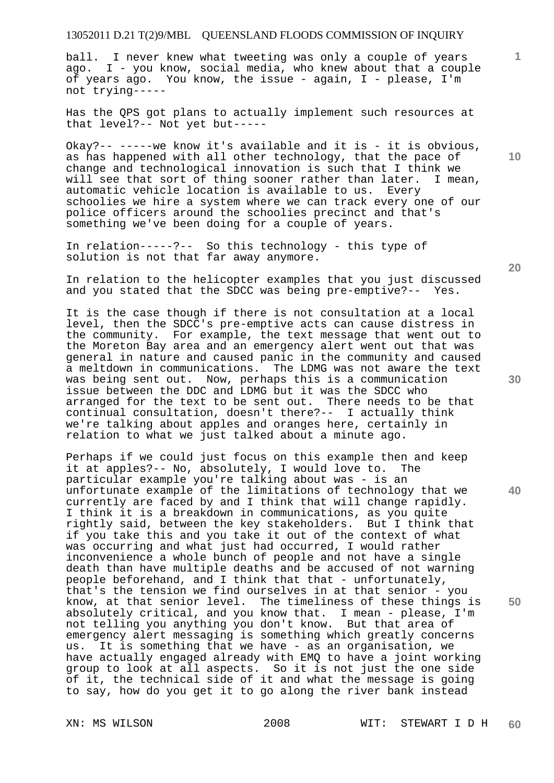ball. I never knew what tweeting was only a couple of years ago. I - you know, social media, who knew about that a couple of years ago. You know, the issue - again, I - please, I'm not trying-----

Has the QPS got plans to actually implement such resources at that level?-- Not yet but-----

Okay?-- -----we know it's available and it is - it is obvious, as has happened with all other technology, that the pace of change and technological innovation is such that I think we<br>will see that sort of thing sooner rather than later. I mean, will see that sort of thing sooner rather than later. automatic vehicle location is available to us. Every schoolies we hire a system where we can track every one of our police officers around the schoolies precinct and that's something we've been doing for a couple of years.

In relation-----?-- So this technology - this type of solution is not that far away anymore.

In relation to the helicopter examples that you just discussed and you stated that the SDCC was being pre-emptive?-- Yes.

It is the case though if there is not consultation at a local level, then the SDCC's pre-emptive acts can cause distress in the community. For example, the text message that went out to the Moreton Bay area and an emergency alert went out that was general in nature and caused panic in the community and caused a meltdown in communications. The LDMG was not aware the text was being sent out. Now, perhaps this is a communication issue between the DDC and LDMG but it was the SDCC who arranged for the text to be sent out. There needs to be that continual consultation, doesn't there?-- I actually think we're talking about apples and oranges here, certainly in relation to what we just talked about a minute ago.

Perhaps if we could just focus on this example then and keep it at apples?-- No, absolutely, I would love to. The particular example you're talking about was - is an unfortunate example of the limitations of technology that we currently are faced by and I think that will change rapidly. I think it is a breakdown in communications, as you quite rightly said, between the key stakeholders. But I think that if you take this and you take it out of the context of what was occurring and what just had occurred, I would rather inconvenience a whole bunch of people and not have a single death than have multiple deaths and be accused of not warning people beforehand, and I think that that - unfortunately, that's the tension we find ourselves in at that senior - you know, at that senior level. The timeliness of these things is absolutely critical, and you know that. I mean - please, I'm not telling you anything you don't know. But that area of emergency alert messaging is something which greatly concerns us. It is something that we have - as an organisation, we have actually engaged already with EMQ to have a joint working group to look at all aspects. So it is not just the one side of it, the technical side of it and what the message is going to say, how do you get it to go along the river bank instead

**20** 

**40** 

**50** 

**10**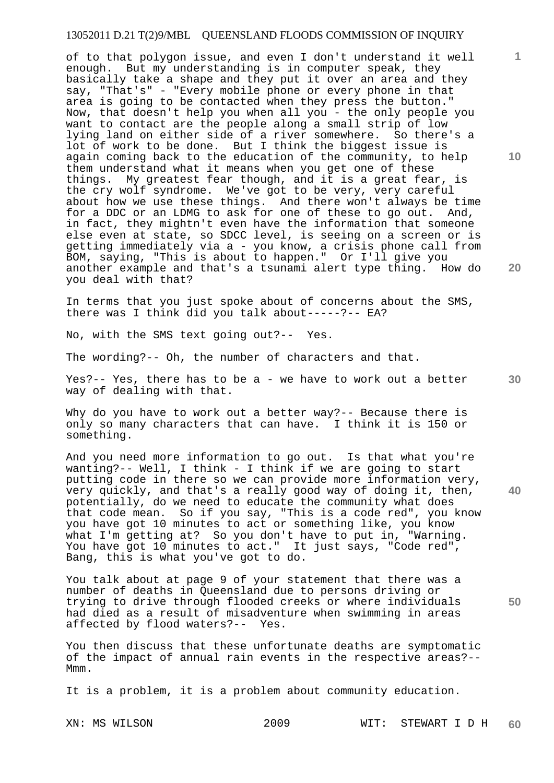of to that polygon issue, and even I don't understand it well enough. But my understanding is in computer speak, they basically take a shape and they put it over an area and they say, "That's" - "Every mobile phone or every phone in that area is going to be contacted when they press the button." Now, that doesn't help you when all you - the only people you want to contact are the people along a small strip of low lying land on either side of a river somewhere. So there's a lot of work to be done. But I think the biggest issue is again coming back to the education of the community, to help them understand what it means when you get one of these things. My greatest fear though, and it is a great fear, is the cry wolf syndrome. We've got to be very, very careful about how we use these things. And there won't always be time for a DDC or an LDMG to ask for one of these to go out. And, in fact, they mightn't even have the information that someone else even at state, so SDCC level, is seeing on a screen or is getting immediately via a - you know, a crisis phone call from BOM, saying, "This is about to happen." Or I'll give you another example and that's a tsunami alert type thing. How do you deal with that?

In terms that you just spoke about of concerns about the SMS, there was I think did you talk about-----?-- EA?

No, with the SMS text going out?-- Yes.

The wording?-- Oh, the number of characters and that.

**30**  Yes?-- Yes, there has to be a - we have to work out a better way of dealing with that.

Why do you have to work out a better way? -- Because there is only so many characters that can have. I think it is 150 or something.

And you need more information to go out. Is that what you're wanting?-- Well, I think - I think if we are going to start putting code in there so we can provide more information very, very quickly, and that's a really good way of doing it, then, potentially, do we need to educate the community what does that code mean. So if you say, "This is a code red", you know you have got 10 minutes to act or something like, you know what I'm getting at? So you don't have to put in, "Warning. You have got 10 minutes to act." It just says, "Code red", Bang, this is what you've got to do.

You talk about at page 9 of your statement that there was a number of deaths in Queensland due to persons driving or trying to drive through flooded creeks or where individuals had died as a result of misadventure when swimming in areas affected by flood waters?-- Yes. affected by flood waters?--

You then discuss that these unfortunate deaths are symptomatic of the impact of annual rain events in the respective areas?-- Mmm.

It is a problem, it is a problem about community education.

XN: MS WILSON 2009 WIT: STEWART I D H **60** 

**10** 

**1**

**40**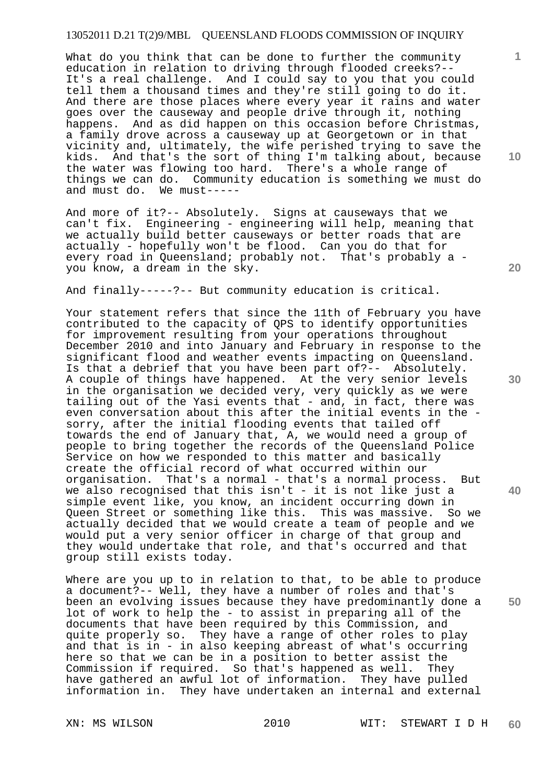What do you think that can be done to further the community education in relation to driving through flooded creeks?-- It's a real challenge. And I could say to you that you could tell them a thousand times and they're still going to do it. And there are those places where every year it rains and water goes over the causeway and people drive through it, nothing happens. And as did happen on this occasion before Christmas, a family drove across a causeway up at Georgetown or in that vicinity and, ultimately, the wife perished trying to save the kids. And that's the sort of thing I'm talking about, because the water was flowing too hard. There's a whole range of things we can do. Community education is something we must do and must do. We must-----

And more of it?-- Absolutely. Signs at causeways that we can't fix. Engineering - engineering will help, meaning that we actually build better causeways or better roads that are actually - hopefully won't be flood. Can you do that for every road in Queensland; probably not. That's probably a you know, a dream in the sky.

And finally-----?-- But community education is critical.

Your statement refers that since the 11th of February you have contributed to the capacity of QPS to identify opportunities for improvement resulting from your operations throughout December 2010 and into January and February in response to the significant flood and weather events impacting on Queensland. Is that a debrief that you have been part of?-- Absolutely. A couple of things have happened. At the very senior levels in the organisation we decided very, very quickly as we were tailing out of the Yasi events that - and, in fact, there was even conversation about this after the initial events in the sorry, after the initial flooding events that tailed off towards the end of January that, A, we would need a group of people to bring together the records of the Queensland Police Service on how we responded to this matter and basically create the official record of what occurred within our organisation. That's a normal - that's a normal process. But we also recognised that this isn't - it is not like just a simple event like, you know, an incident occurring down in Queen Street or something like this. This was massive. So we actually decided that we would create a team of people and we would put a very senior officer in charge of that group and they would undertake that role, and that's occurred and that group still exists today.

Where are you up to in relation to that, to be able to produce a document?-- Well, they have a number of roles and that's been an evolving issues because they have predominantly done a lot of work to help the - to assist in preparing all of the documents that have been required by this Commission, and quite properly so. They have a range of other roles to play and that is in - in also keeping abreast of what's occurring here so that we can be in a position to better assist the Commission if required. So that's happened as well. They have gathered an awful lot of information. They have pulled information in. They have undertaken an internal and external

**10** 

**1**

**20** 

**30** 

**40**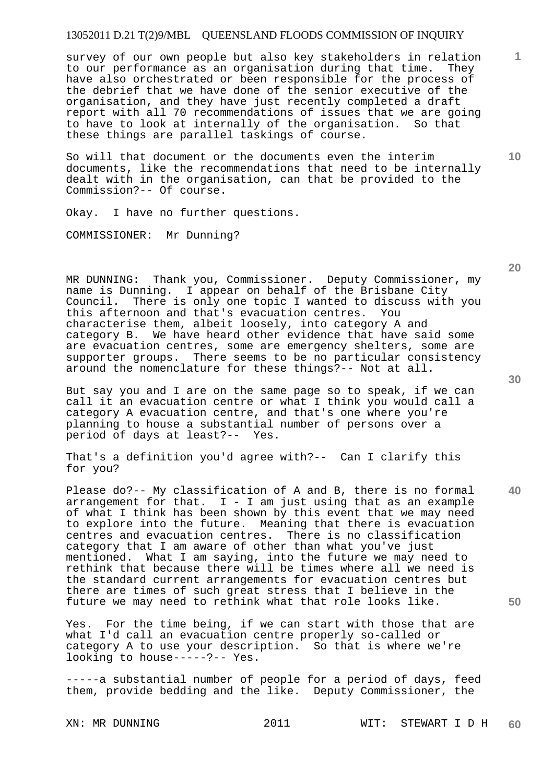survey of our own people but also key stakeholders in relation to our performance as an organisation during that time. They have also orchestrated or been responsible for the process of the debrief that we have done of the senior executive of the organisation, and they have just recently completed a draft report with all 70 recommendations of issues that we are going to have to look at internally of the organisation. So that these things are parallel taskings of course.

So will that document or the documents even the interim documents, like the recommendations that need to be internally dealt with in the organisation, can that be provided to the Commission?-- Of course.

Okay. I have no further questions.

COMMISSIONER: Mr Dunning?

MR DUNNING: Thank you, Commissioner. Deputy Commissioner, my name is Dunning. I appear on behalf of the Brisbane City Council. There is only one topic I wanted to discuss with you this afternoon and that's evacuation centres. You characterise them, albeit loosely, into category A and category B. We have heard other evidence that have said some are evacuation centres, some are emergency shelters, some are supporter groups. There seems to be no particular consistency around the nomenclature for these things?-- Not at all.

But say you and I are on the same page so to speak, if we can call it an evacuation centre or what I think you would call a category A evacuation centre, and that's one where you're planning to house a substantial number of persons over a period of days at least?-- Yes.

That's a definition you'd agree with?-- Can I clarify this for you?

Please do?-- My classification of A and B, there is no formal arrangement for that.  $I - I$  am just using that as an example of what I think has been shown by this event that we may need to explore into the future. Meaning that there is evacuation centres and evacuation centres. There is no classification category that I am aware of other than what you've just mentioned. What I am saying, into the future we may need to rethink that because there will be times where all we need is the standard current arrangements for evacuation centres but there are times of such great stress that I believe in the future we may need to rethink what that role looks like.

Yes. For the time being, if we can start with those that are what I'd call an evacuation centre properly so-called or category A to use your description. So that is where we're looking to house-----?-- Yes.

-----a substantial number of people for a period of days, feed them, provide bedding and the like. Deputy Commissioner, the

XN: MR DUNNING 2011 WIT: STEWART I D H **60** 

**30** 

**40** 

**10** 

**20**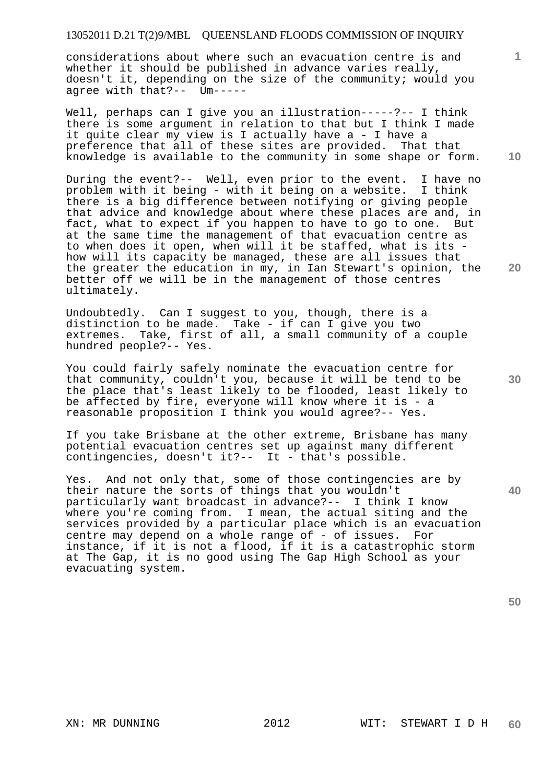considerations about where such an evacuation centre is and whether it should be published in advance varies really, doesn't it, depending on the size of the community; would you agree with that?-- Um-----

Well, perhaps can I give you an illustration-----?-- I think there is some argument in relation to that but I think I made it quite clear my view is I actually have a - I have a preference that all of these sites are provided. That that knowledge is available to the community in some shape or form.

During the event?-- Well, even prior to the event. I have no problem with it being - with it being on a website. I think there is a big difference between notifying or giving people that advice and knowledge about where these places are and, in fact, what to expect if you happen to have to go to one. But at the same time the management of that evacuation centre as to when does it open, when will it be staffed, what is its how will its capacity be managed, these are all issues that the greater the education in my, in Ian Stewart's opinion, the better off we will be in the management of those centres ultimately.

Undoubtedly. Can I suggest to you, though, there is a distinction to be made. Take - if can I give you two extremes. Take, first of all, a small community of a couple hundred people?-- Yes.

You could fairly safely nominate the evacuation centre for that community, couldn't you, because it will be tend to be the place that's least likely to be flooded, least likely to be affected by fire, everyone will know where it is - a reasonable proposition I think you would agree?-- Yes.

If you take Brisbane at the other extreme, Brisbane has many potential evacuation centres set up against many different contingencies, doesn't it?-- It - that's possible.

Yes. And not only that, some of those contingencies are by their nature the sorts of things that you wouldn't particularly want broadcast in advance?-- I think I know where you're coming from. I mean, the actual siting and the services provided by a particular place which is an evacuation centre may depend on a whole range of - of issues. For instance, if it is not a flood, if it is a catastrophic storm at The Gap, it is no good using The Gap High School as your evacuating system.

**40** 

**1**

**10** 

**30**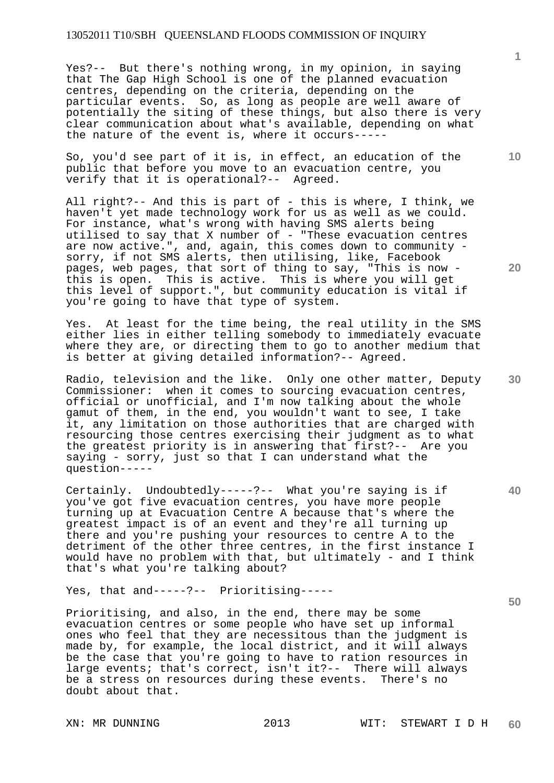Yes?-- But there's nothing wrong, in my opinion, in saying that The Gap High School is one of the planned evacuation centres, depending on the criteria, depending on the particular events. So, as long as people are well aware of potentially the siting of these things, but also there is very clear communication about what's available, depending on what the nature of the event is, where it occurs-----

So, you'd see part of it is, in effect, an education of the public that before you move to an evacuation centre, you verify that it is operational?-- Agreed.

All right?-- And this is part of - this is where, I think, we haven't yet made technology work for us as well as we could. For instance, what's wrong with having SMS alerts being utilised to say that X number of - "These evacuation centres are now active.", and, again, this comes down to community sorry, if not SMS alerts, then utilising, like, Facebook pages, web pages, that sort of thing to say, "This is now this is open. This is active. This is where you will get this level of support.", but community education is vital if you're going to have that type of system.

Yes. At least for the time being, the real utility in the SMS either lies in either telling somebody to immediately evacuate where they are, or directing them to go to another medium that is better at giving detailed information?-- Agreed.

Radio, television and the like. Only one other matter, Deputy Commissioner: when it comes to sourcing evacuation centres, official or unofficial, and I'm now talking about the whole gamut of them, in the end, you wouldn't want to see, I take it, any limitation on those authorities that are charged with resourcing those centres exercising their judgment as to what the greatest priority is in answering that first?-- Are you saying - sorry, just so that I can understand what the question-----

Certainly. Undoubtedly-----?-- What you're saying is if you've got five evacuation centres, you have more people turning up at Evacuation Centre A because that's where the greatest impact is of an event and they're all turning up there and you're pushing your resources to centre A to the detriment of the other three centres, in the first instance I would have no problem with that, but ultimately - and I think that's what you're talking about?

Yes, that and-----?-- Prioritising-----

Prioritising, and also, in the end, there may be some evacuation centres or some people who have set up informal ones who feel that they are necessitous than the judgment is made by, for example, the local district, and it will always be the case that you're going to have to ration resources in large events; that's correct, isn't it ?-- There will always be a stress on resources during these events. There's no doubt about that.

**1**

**10** 

**20** 

**40**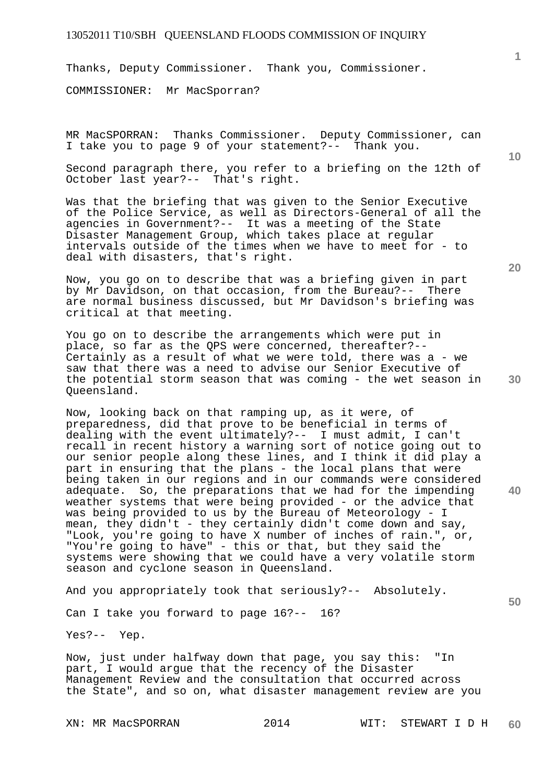Thanks, Deputy Commissioner. Thank you, Commissioner.

COMMISSIONER: Mr MacSporran?

MR MacSPORRAN: Thanks Commissioner. Deputy Commissioner, can I take you to page 9 of your statement?-- Thank you.

Second paragraph there, you refer to a briefing on the 12th of October last year?-- That's right.

Was that the briefing that was given to the Senior Executive of the Police Service, as well as Directors-General of all the agencies in Government?-- It was a meeting of the State Disaster Management Group, which takes place at regular intervals outside of the times when we have to meet for - to deal with disasters, that's right.

Now, you go on to describe that was a briefing given in part by Mr Davidson, on that occasion, from the Bureau?-- There are normal business discussed, but Mr Davidson's briefing was critical at that meeting.

You go on to describe the arrangements which were put in place, so far as the QPS were concerned, thereafter?-- Certainly as a result of what we were told, there was a - we saw that there was a need to advise our Senior Executive of the potential storm season that was coming - the wet season in Queensland.

Now, looking back on that ramping up, as it were, of preparedness, did that prove to be beneficial in terms of dealing with the event ultimately?-- I must admit, I can't recall in recent history a warning sort of notice going out to our senior people along these lines, and I think it did play a part in ensuring that the plans - the local plans that were being taken in our regions and in our commands were considered adequate. So, the preparations that we had for the impending weather systems that were being provided - or the advice that was being provided to us by the Bureau of Meteorology - I mean, they didn't - they certainly didn't come down and say, "Look, you're going to have X number of inches of rain.", or, "You're going to have" - this or that, but they said the systems were showing that we could have a very volatile storm season and cyclone season in Queensland.

And you appropriately took that seriously?-- Absolutely.

Can I take you forward to page 16?-- 16?

Yes?-- Yep.

Now, just under halfway down that page, you say this: "In part, I would argue that the recency of the Disaster Management Review and the consultation that occurred across the State", and so on, what disaster management review are you

**20** 

**10** 

**1**

**30** 

**50**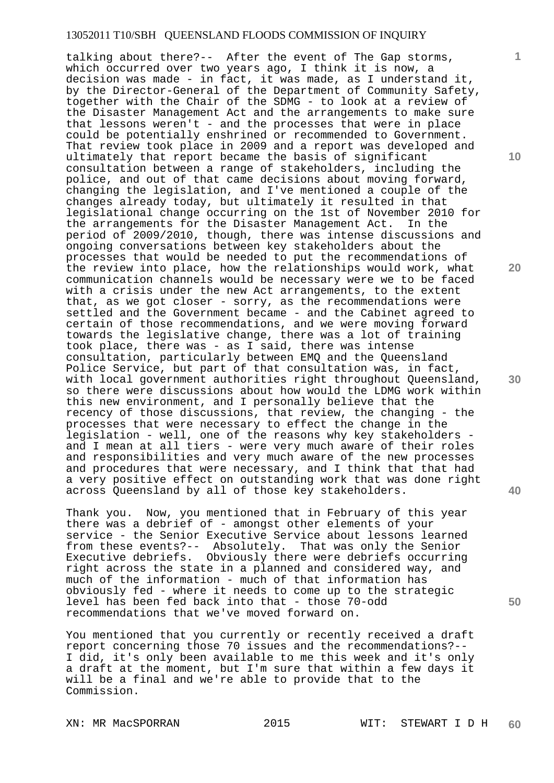talking about there?-- After the event of The Gap storms, which occurred over two years ago, I think it is now, a decision was made - in fact, it was made, as I understand it, by the Director-General of the Department of Community Safety, together with the Chair of the SDMG - to look at a review of the Disaster Management Act and the arrangements to make sure that lessons weren't - and the processes that were in place could be potentially enshrined or recommended to Government. That review took place in 2009 and a report was developed and ultimately that report became the basis of significant consultation between a range of stakeholders, including the police, and out of that came decisions about moving forward, changing the legislation, and I've mentioned a couple of the changes already today, but ultimately it resulted in that legislational change occurring on the 1st of November 2010 for the arrangements for the Disaster Management Act. In the period of 2009/2010, though, there was intense discussions and ongoing conversations between key stakeholders about the processes that would be needed to put the recommendations of the review into place, how the relationships would work, what communication channels would be necessary were we to be faced with a crisis under the new Act arrangements, to the extent that, as we got closer - sorry, as the recommendations were settled and the Government became - and the Cabinet agreed to certain of those recommendations, and we were moving forward towards the legislative change, there was a lot of training took place, there was - as I said, there was intense consultation, particularly between EMQ and the Queensland Police Service, but part of that consultation was, in fact, with local government authorities right throughout Queensland, so there were discussions about how would the LDMG work within this new environment, and I personally believe that the recency of those discussions, that review, the changing - the processes that were necessary to effect the change in the legislation - well, one of the reasons why key stakeholders and I mean at all tiers - were very much aware of their roles and responsibilities and very much aware of the new processes and procedures that were necessary, and I think that that had a very positive effect on outstanding work that was done right across Queensland by all of those key stakeholders.

Thank you. Now, you mentioned that in February of this year there was a debrief of - amongst other elements of your service - the Senior Executive Service about lessons learned from these events?-- Absolutely. That was only the Senior Executive debriefs. Obviously there were debriefs occurring right across the state in a planned and considered way, and much of the information - much of that information has obviously fed - where it needs to come up to the strategic level has been fed back into that - those 70-odd recommendations that we've moved forward on.

You mentioned that you currently or recently received a draft report concerning those 70 issues and the recommendations?-- I did, it's only been available to me this week and it's only a draft at the moment, but I'm sure that within a few days it will be a final and we're able to provide that to the Commission.

XN: MR MacSPORRAN 2015 WIT: STEWART I D H

**10** 

**1**

**20** 



**40**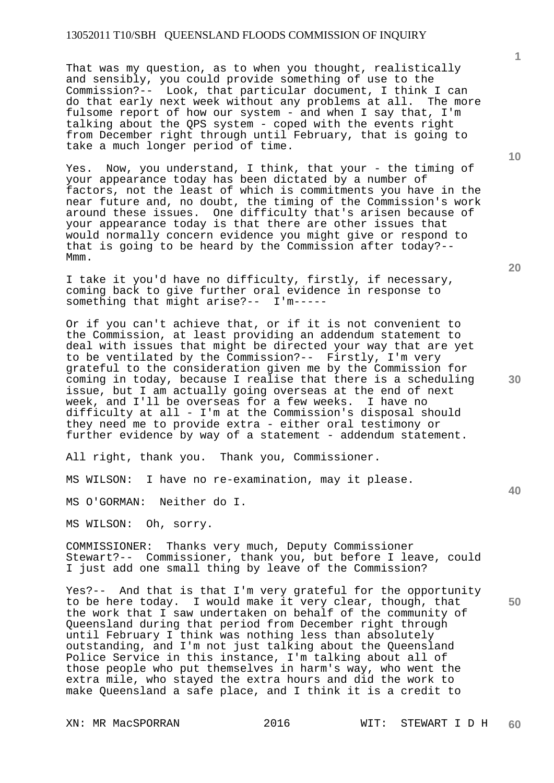That was my question, as to when you thought, realistically and sensibly, you could provide something of use to the Commission?-- Look, that particular document, I think I can do that early next week without any problems at all. The more fulsome report of how our system - and when I say that, I'm talking about the QPS system - coped with the events right from December right through until February, that is going to take a much longer period of time.

Yes. Now, you understand, I think, that your - the timing of your appearance today has been dictated by a number of factors, not the least of which is commitments you have in the near future and, no doubt, the timing of the Commission's work around these issues. One difficulty that's arisen because of your appearance today is that there are other issues that would normally concern evidence you might give or respond to that is going to be heard by the Commission after today?-- Mmm.

I take it you'd have no difficulty, firstly, if necessary, coming back to give further oral evidence in response to something that might arise?-- I'm-----

Or if you can't achieve that, or if it is not convenient to the Commission, at least providing an addendum statement to deal with issues that might be directed your way that are yet to be ventilated by the Commission?-- Firstly, I'm very grateful to the consideration given me by the Commission for coming in today, because I realise that there is a scheduling issue, but I am actually going overseas at the end of next week, and I'll be overseas for a few weeks. I have no difficulty at all - I'm at the Commission's disposal should they need me to provide extra - either oral testimony or further evidence by way of a statement - addendum statement.

All right, thank you. Thank you, Commissioner.

MS WILSON: I have no re-examination, may it please.

MS O'GORMAN: Neither do I.

MS WILSON: Oh, sorry.

COMMISSIONER: Thanks very much, Deputy Commissioner Stewart?-- Commissioner, thank you, but before I leave, could I just add one small thing by leave of the Commission?

Yes?-- And that is that I'm very grateful for the opportunity to be here today. I would make it very clear, though, that the work that I saw undertaken on behalf of the community of Queensland during that period from December right through until February I think was nothing less than absolutely outstanding, and I'm not just talking about the Queensland Police Service in this instance, I'm talking about all of those people who put themselves in harm's way, who went the extra mile, who stayed the extra hours and did the work to make Queensland a safe place, and I think it is a credit to

**10** 

**1**

**20** 

**30** 

**40**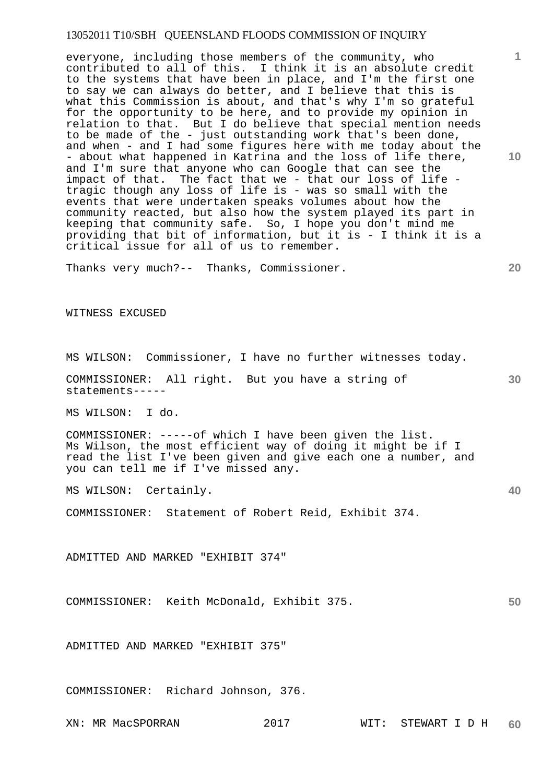everyone, including those members of the community, who contributed to all of this. I think it is an absolute credit to the systems that have been in place, and I'm the first one to say we can always do better, and I believe that this is what this Commission is about, and that's why I'm so grateful for the opportunity to be here, and to provide my opinion in relation to that. But I do believe that special mention needs to be made of the - just outstanding work that's been done, and when - and I had some figures here with me today about the - about what happened in Katrina and the loss of life there, and I'm sure that anyone who can Google that can see the impact of that. The fact that we - that our loss of life tragic though any loss of life is - was so small with the events that were undertaken speaks volumes about how the community reacted, but also how the system played its part in keeping that community safe. So, I hope you don't mind me providing that bit of information, but it is - I think it is a critical issue for all of us to remember.

Thanks very much?-- Thanks, Commissioner.

WITNESS EXCUSED

MS WILSON: Commissioner, I have no further witnesses today.

COMMISSIONER: All right. But you have a string of statements-----

MS WILSON: I do.

COMMISSIONER: -----of which I have been given the list. Ms Wilson, the most efficient way of doing it might be if I read the list I've been given and give each one a number, and you can tell me if I've missed any.

MS WILSON: Certainly.

COMMISSIONER: Statement of Robert Reid, Exhibit 374.

ADMITTED AND MARKED "EXHIBIT 374"

COMMISSIONER: Keith McDonald, Exhibit 375.

ADMITTED AND MARKED "EXHIBIT 375"

COMMISSIONER: Richard Johnson, 376.

**10** 

**1**

**20** 

**30**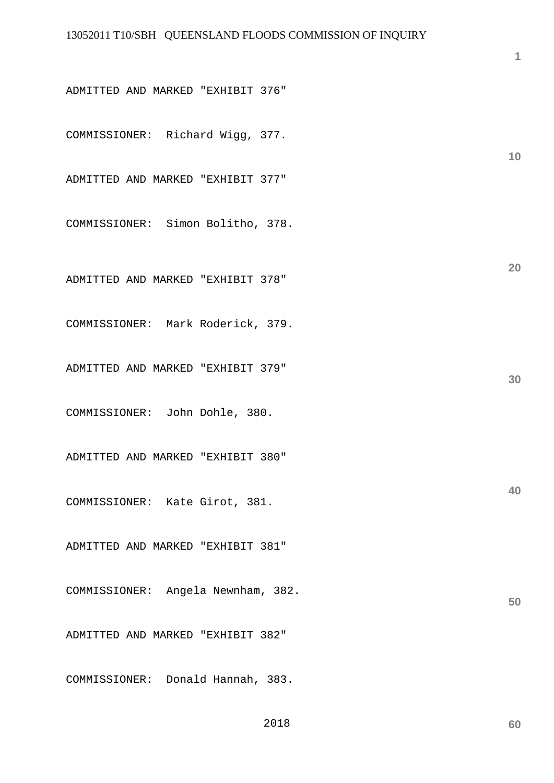ADMITTED AND MARKED "EXHIBIT 376"

COMMISSIONER: Richard Wigg, 377.

ADMITTED AND MARKED "EXHIBIT 377"

COMMISSIONER: Simon Bolitho, 378.

ADMITTED AND MARKED "EXHIBIT 378"

COMMISSIONER: Mark Roderick, 379.

ADMITTED AND MARKED "EXHIBIT 379"

COMMISSIONER: John Dohle, 380.

ADMITTED AND MARKED "EXHIBIT 380"

COMMISSIONER: Kate Girot, 381.

ADMITTED AND MARKED "EXHIBIT 381"

COMMISSIONER: Angela Newnham, 382.

ADMITTED AND MARKED "EXHIBIT 382"

COMMISSIONER: Donald Hannah, 383.

2018

**10** 

**1**

**20** 

**30** 

**40**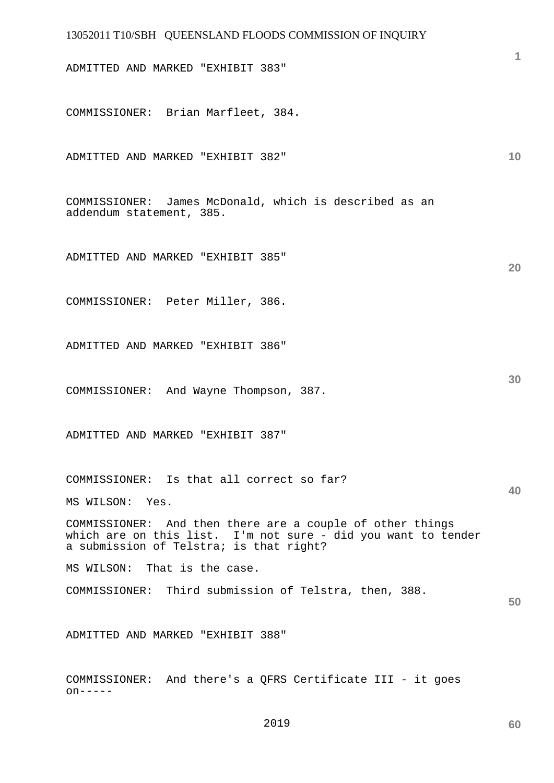# 13052011 T10/SBH QUEENSLAND FLOODS COMMISSION OF INQUIRY **1 10 20 30 40 50**  ADMITTED AND MARKED "EXHIBIT 383" COMMISSIONER: Brian Marfleet, 384. ADMITTED AND MARKED "EXHIBIT 382" COMMISSIONER: James McDonald, which is described as an addendum statement, 385. ADMITTED AND MARKED "EXHIBIT 385" COMMISSIONER: Peter Miller, 386. ADMITTED AND MARKED "EXHIBIT 386" COMMISSIONER: And Wayne Thompson, 387. ADMITTED AND MARKED "EXHIBIT 387" COMMISSIONER: Is that all correct so far? MS WILSON: Yes. COMMISSIONER: And then there are a couple of other things which are on this list. I'm not sure - did you want to tender a submission of Telstra; is that right? MS WILSON: That is the case. COMMISSIONER: Third submission of Telstra, then, 388. ADMITTED AND MARKED "EXHIBIT 388" COMMISSIONER: And there's a QFRS Certificate III - it goes on-----